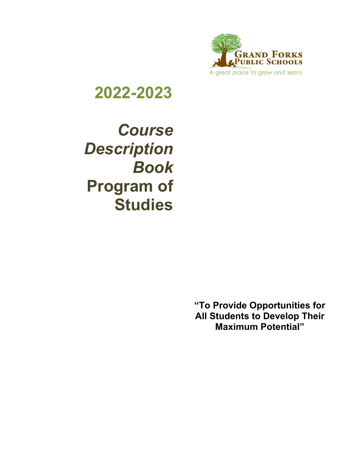

# **2022-2023**

*Course Description Book* **Program of Studies**

> **"To Provide Opportunities for All Students to Develop Their Maximum Potential"**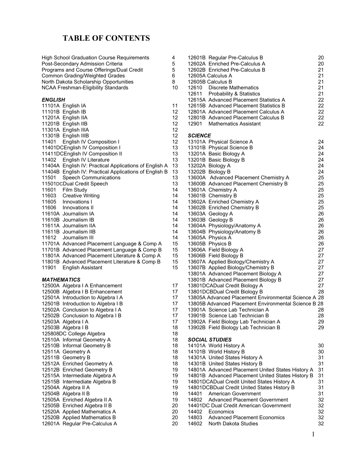### **TABLE OF CONTENTS**

| <b>High School Graduation Course Requirements</b><br>Post-Secondary Admission Criteria<br>Programs and Course Offerings/Dual Credit<br><b>Common Grading/Weighted Grades</b><br>North Dakota Scholarship Opportunities |                                                        |          |  |  |
|------------------------------------------------------------------------------------------------------------------------------------------------------------------------------------------------------------------------|--------------------------------------------------------|----------|--|--|
|                                                                                                                                                                                                                        | <b>NCAA Freshman-Eligibility Standards</b>             | 10       |  |  |
| ENGLISH                                                                                                                                                                                                                |                                                        |          |  |  |
|                                                                                                                                                                                                                        | 11101A English IA                                      | 11       |  |  |
|                                                                                                                                                                                                                        | 11101B English IB                                      | 12       |  |  |
|                                                                                                                                                                                                                        | 11201A English IIA                                     | 12       |  |  |
|                                                                                                                                                                                                                        | 11201B English IIB                                     | 12       |  |  |
|                                                                                                                                                                                                                        | 11301A English IIIA                                    | 12       |  |  |
|                                                                                                                                                                                                                        | 11301B English IIIB                                    | 12       |  |  |
| 11401                                                                                                                                                                                                                  | English IV Composition I                               | 12       |  |  |
|                                                                                                                                                                                                                        | 11401DCEnglish IV Composition I                        | 13       |  |  |
|                                                                                                                                                                                                                        | 11411DCEnglish IV Composition II                       | 13       |  |  |
|                                                                                                                                                                                                                        | 11402 English IV Literature                            | 13       |  |  |
|                                                                                                                                                                                                                        | 11404A English IV: Practical Applications of English A | 13       |  |  |
|                                                                                                                                                                                                                        | 11404B English IV: Practical Applications of English B | 13       |  |  |
| 11501                                                                                                                                                                                                                  | <b>Speech Communications</b>                           | 13       |  |  |
|                                                                                                                                                                                                                        | 11501DCDual Credit Speech                              | 13       |  |  |
|                                                                                                                                                                                                                        | 11601 Film Study<br>11603 Creative Writing             | 14       |  |  |
|                                                                                                                                                                                                                        |                                                        | 14       |  |  |
|                                                                                                                                                                                                                        | 11605 Innovations I                                    | 14       |  |  |
|                                                                                                                                                                                                                        | 11606 Innovations II                                   | 14       |  |  |
|                                                                                                                                                                                                                        | 11610A Journalism IA                                   | 14       |  |  |
|                                                                                                                                                                                                                        | 11610B Journalism IB                                   | 14       |  |  |
|                                                                                                                                                                                                                        | 11611A Journalism IIA                                  | 14       |  |  |
|                                                                                                                                                                                                                        | 11611B Journalism IIB                                  | 14       |  |  |
|                                                                                                                                                                                                                        | 11612 Journalism III                                   | 14       |  |  |
|                                                                                                                                                                                                                        | 11701A Advanced Placement Language & Comp A            | 15<br>15 |  |  |
|                                                                                                                                                                                                                        | 11701B Advanced Placement Language & Comp B            | 15       |  |  |
|                                                                                                                                                                                                                        | 11801A Advanced Placement Literature & Comp A          | 15       |  |  |
| 11901                                                                                                                                                                                                                  | 11801B Advanced Placement Literature & Comp B          | 15       |  |  |
|                                                                                                                                                                                                                        | <b>English Assistant</b>                               |          |  |  |
| <b>MATHEMATICS</b>                                                                                                                                                                                                     |                                                        |          |  |  |
|                                                                                                                                                                                                                        | 12500A Algebra I A Enhancement                         | 17       |  |  |
|                                                                                                                                                                                                                        | 12500B Algebra I B Enhancement                         | 17       |  |  |
|                                                                                                                                                                                                                        | 12501A Introduction to Algebra I A                     | 17       |  |  |
|                                                                                                                                                                                                                        | 12501B Introduction to Algebra I B                     | 17       |  |  |
|                                                                                                                                                                                                                        | 12502A Conclusion to Algebra I A                       | 17       |  |  |
|                                                                                                                                                                                                                        |                                                        |          |  |  |

12502B Conclusion to Algebra I B 17<br>12503A Algebra I A 17 12503A Algebra I A 12503B Algebra I B 18 125808DC College Algebra 18 12510A Informal Geometry A 18 12510B Informal Geometry B 18 12511A Geometry A 18<br>12511B Geometry B 18 12511B Geometry B<br>12512A Enriched Geometry A 18 12512A Enriched Geometry A 18<br>12512B Enriched Geometry B 19 12512B Enriched Geometry B 12515A Intermediate Algebra A<br>12515B Intermediate Algebra B 19 12515B Intermediate Algebra B 19<br>12504A Algebra II A 19 12504A Algebra II A 19<br>12504B Algebra II B 19 19 19 19 19 12504B Algebra II B 19 12505A Enriched Algebra II A<br>12505B Enriched Algebra II B 1999 1999 1999 12505B Enriched Algebra II B 12520A Applied Mathematics A<br>12520B Applied Mathematics B 20

12520B Applied Mathematics B 20<br>12601A Regular Pre-Calculus A 20 12601A Regular Pre-Calculus A

|                |                | 12601B Regular Pre-Calculus B<br>12602A Enriched Pre-Calculus A<br>12602B Enriched Pre-Calculus B<br>12605A Calculus A<br>12605B Calculus B<br>12610 Discrete Mathematics<br>12611 Probability & Statistics<br>12615A Advanced Placement Statistics A<br>12615B Advanced Placement Statistics B<br>12801A Advanced Placement Calculus A | 20<br>20<br>21<br>21<br>21<br>21<br>21<br>22<br>22<br>22 |
|----------------|----------------|-----------------------------------------------------------------------------------------------------------------------------------------------------------------------------------------------------------------------------------------------------------------------------------------------------------------------------------------|----------------------------------------------------------|
|                |                | 12801B Advanced Placement Calculus B                                                                                                                                                                                                                                                                                                    | 22                                                       |
|                |                | 12901 Mathematics Assistant                                                                                                                                                                                                                                                                                                             | 22                                                       |
|                |                |                                                                                                                                                                                                                                                                                                                                         |                                                          |
| 21.21.21.21.31 | <b>SCIENCE</b> |                                                                                                                                                                                                                                                                                                                                         |                                                          |
|                |                | 13101A Physical Science A                                                                                                                                                                                                                                                                                                               | 24                                                       |
|                |                | 13101B Physical Science B                                                                                                                                                                                                                                                                                                               | 24                                                       |
| 3              |                | 13201A Basic Biology A                                                                                                                                                                                                                                                                                                                  | 24                                                       |
| 3<br>3         |                | 13201B Basic Biology B                                                                                                                                                                                                                                                                                                                  | 24                                                       |
|                |                | 13202A Biology A                                                                                                                                                                                                                                                                                                                        | 24                                                       |
| 3              |                | 13202B Biology B                                                                                                                                                                                                                                                                                                                        | 24                                                       |
|                |                | 13600A Advanced Placement Chemistry A                                                                                                                                                                                                                                                                                                   | 25                                                       |
| 3              |                | 13600B Advanced Placement Chemistry B                                                                                                                                                                                                                                                                                                   | 25                                                       |
| į              |                | 13601A Chemistry A                                                                                                                                                                                                                                                                                                                      | 25                                                       |
| Į<br>l         |                | 13601B Chemistry B<br>13602A Enriched Chemistry A                                                                                                                                                                                                                                                                                       | 25<br>25                                                 |
|                |                | 13602B Enriched Chemistry B                                                                                                                                                                                                                                                                                                             | 25                                                       |
| l              |                | 13603A Geology A                                                                                                                                                                                                                                                                                                                        | 26                                                       |
|                |                | 13603B Geology B                                                                                                                                                                                                                                                                                                                        | 26                                                       |
| l              |                | 13604A Physiology/Anatomy A                                                                                                                                                                                                                                                                                                             | 26                                                       |
| l              |                | 13604B Physiology/Anatomy B                                                                                                                                                                                                                                                                                                             | 26                                                       |
| l              |                | 13605A Physics A                                                                                                                                                                                                                                                                                                                        | 26                                                       |
|                |                | 13605B Physics B                                                                                                                                                                                                                                                                                                                        | 26                                                       |
| ううう            |                | 13606A Field Biology A                                                                                                                                                                                                                                                                                                                  | 27                                                       |
|                |                | 13606B Field Biology B                                                                                                                                                                                                                                                                                                                  | 27                                                       |
|                |                | 13607A Applied Biology/Chemistry A                                                                                                                                                                                                                                                                                                      | 27                                                       |
|                |                | 13607B Applied Biology/Chemistry B                                                                                                                                                                                                                                                                                                      | 27                                                       |
|                |                | 13801A Advanced Placement Biology A                                                                                                                                                                                                                                                                                                     | 27                                                       |
| 7              |                | 13801B Advanced Placement Biology B<br>13801DCADual Credit Biology A                                                                                                                                                                                                                                                                    | 27<br>27                                                 |
| 7              |                | 13801DCBDual Credit Biology B                                                                                                                                                                                                                                                                                                           | 28                                                       |
| 7              |                | 13805A Advanced Placement Environmental Science A 28                                                                                                                                                                                                                                                                                    |                                                          |
| 7              |                | 13805B Advanced Placement Environmental Science B 28                                                                                                                                                                                                                                                                                    |                                                          |
| 7              |                | 13901A Science Lab Technician A                                                                                                                                                                                                                                                                                                         | 28                                                       |
|                |                | 13901B Science Lab Technician B                                                                                                                                                                                                                                                                                                         | 28                                                       |
|                |                | 13902A Field Biology Lab Technician A                                                                                                                                                                                                                                                                                                   | 29                                                       |
| 3              |                | 13902B Field Biology Lab Technician B                                                                                                                                                                                                                                                                                                   | 29                                                       |
|                |                |                                                                                                                                                                                                                                                                                                                                         |                                                          |
| 333333         |                | <b>SOCIAL STUDIES</b>                                                                                                                                                                                                                                                                                                                   |                                                          |
|                |                | 14101A World History A                                                                                                                                                                                                                                                                                                                  | 30                                                       |
|                |                | 14101B World History B                                                                                                                                                                                                                                                                                                                  | 30                                                       |
|                |                | 14301A United States History A                                                                                                                                                                                                                                                                                                          | 31<br>31                                                 |
| )              |                | 14301B United States History B<br>14801A Advanced Placement United States History A                                                                                                                                                                                                                                                     | 31                                                       |
| )              |                | 14801B Advanced Placement United States History B                                                                                                                                                                                                                                                                                       | 31                                                       |
| €              |                | 14801DCADual Credit United States History A                                                                                                                                                                                                                                                                                             | 31                                                       |
| J              |                | 14801DCBDual Credit United States History B                                                                                                                                                                                                                                                                                             | 31                                                       |
| €              | 14401          | American Government                                                                                                                                                                                                                                                                                                                     | 31                                                       |
| J              | 14802          | <b>Advanced Placement Government</b>                                                                                                                                                                                                                                                                                                    | 32                                                       |
| J              |                | 14401DC Dual Credit American Government                                                                                                                                                                                                                                                                                                 | 32                                                       |
| )              | 14402          | Economics                                                                                                                                                                                                                                                                                                                               | 32                                                       |
|                |                | 14803 Advanced Placement Economics                                                                                                                                                                                                                                                                                                      | 32                                                       |
|                | 14602          | North Dakota Studies                                                                                                                                                                                                                                                                                                                    | 32                                                       |
|                |                |                                                                                                                                                                                                                                                                                                                                         |                                                          |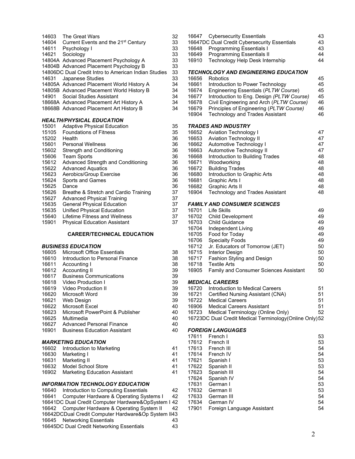- 14603 The Great Wars 32<br>14604 Current Events and the 21<sup>st</sup> Century 33 14604 Current Events and the 21<sup>st</sup> Century 33<br>14611 Psychology I 33 14611 Psychology I 33<br>14621 Sociology 14621 33 14621 Sociology<br>14804A Advanced Placement Psvchology A 33 14804A Advanced Placement Psychology A 33<br>14804B Advanced Placement Psychology B 33 14804B Advanced Placement Psychology B 14806DC Dual Credit Intro to American Indian Studies 33 14631 Japanese Studies 33 14805A Advanced Placement World History A 34<br>14805B Advanced Placement World History B 34 14805B Advanced Placement World History B 34<br>14901 Social Studies Assistant 34 14901 Social Studies Assistant<br>18668A Advanced Placement Art History A 34 18668A Advanced Placement Art History A 34<br>18668B Advanced Placement Art History B 34 18668B Advanced Placement Art History B *HEALTH/PHYSICAL EDUCATION* 15001 Adaptive Physical Education 35<br>15105 Foundations of Fitness 35 15105 Foundations of Fitness 35<br>15202 Health 36
- 15202 Health 36<br>15601 Personal Wellness 36 36 15601 Personal Wellness<br>15602 Strength and Conditioning 1980 1980 36 15602 Strength and Conditioning 36 1560 Team Sports<br>Advanced Strength and Conditioning 1560 Strength and Conditioning 15612 Advanced Strength and Conditioning 36<br>15622 Advanced Aquatics 36 Advanced Aquatics 15623 Aerobics/Group Exercise 36 15624 Sports and Games 36 15625 Dance 36<br>15626 Breathe & Stretch and Cardio Training 37 15626 Breathe & Stretch and Cardio Training 37<br>15627 Advanced Physical Training 37 15627 Advanced Physical Training<br>15635 General Physical Education 37 15635 General Physical Education<br>15635 Unified Physical Education 37 15635 Unified Physical Education 37
- Lifetime Fitness and Wellness
- 15901 Physical Education Assistant 37

### **CAREER/TECHNICAL EDUCATION**

### *BUSINESS EDUCATION*

| 16605 | Microsoft Office Essentials                      | 38 |
|-------|--------------------------------------------------|----|
| 16610 | Introduction to Personal Finance                 | 38 |
| 16611 | Accounting I                                     | 38 |
| 16612 | Accounting II                                    | 39 |
| 16617 | <b>Business Communications</b>                   | 39 |
| 16618 | Video Production I                               | 39 |
| 16619 | Video Production II                              | 39 |
| 16620 | Microsoft Word                                   | 39 |
| 16621 | Web Design                                       | 39 |
| 16622 | Microsoft Excel                                  | 40 |
| 16623 | Microsoft PowerPoint & Publisher                 | 40 |
| 16625 | Multimedia                                       | 40 |
| 16627 | Advanced Personal Finance                        | 40 |
| 16901 | <b>Business Education Assistant</b>              | 40 |
|       | <b>MARKETING EDUCATION</b>                       |    |
| 16602 | Introduction to Marketing                        | 41 |
| 16630 | Marketing I                                      | 41 |
| 16631 | Marketing II                                     | 41 |
| 16632 | Model School Store                               | 41 |
| 16902 | <b>Marketing Education Assistant</b>             | 41 |
|       | <b>INFORMATION TECHNOLOGY EDUCATION</b>          |    |
| 16640 | Introduction to Computing Essentials             | 42 |
| 16641 | Computer Hardware & Operating Systems I          | 42 |
|       |                                                  | 42 |
|       | 16641DC Dual Credit Computer Hardware&OpSystem I |    |

| 16642 Computer Hardware & Operating System II       | 42  |
|-----------------------------------------------------|-----|
| 16642DCDual Credit Computer Hardware&Op System II43 |     |
| 16645 Networking Essentials                         | 43  |
| 16645DC Dual Credit Networking Essentials           | 43. |

| 16647 | <b>Cybersecurity Essentials</b>                         | 43 |
|-------|---------------------------------------------------------|----|
|       | 16647DC Dual Credit Cybersecurity Essentials            | 43 |
| 16648 | <b>Programming Essentials I</b>                         | 43 |
| 16649 | <b>Programming Essentials II</b>                        | 44 |
| 16910 | Technology Help Desk Internship                         | 44 |
|       | <b>TECHNOLOGY AND ENGINEERING EDUCATION</b>             |    |
| 16656 | Robotics                                                | 45 |
| 16661 | Introduction to Power Technology                        | 45 |
| 16674 | Engineering Essentials (PLTW Course)                    | 45 |
| 16677 | Introduction to Eng. Design (PLTW Course)               | 45 |
| 16678 | Civil Engineering and Arch (PLTW Course)                | 46 |
| 16679 | Principles of Engineering (PLTW Course)                 | 46 |
| 16904 | <b>Technology and Trades Assistant</b>                  | 46 |
|       | <b>TRADES AND INDUSTRY</b>                              |    |
| 16652 | <b>Aviation Technology I</b>                            | 47 |
| 16653 | <b>Aviation Technology II</b>                           | 47 |
| 16662 | Automotive Technology I                                 | 47 |
| 16663 | Automotive Technology II                                | 47 |
| 16668 | Introduction to Building Trades                         | 48 |
| 16671 | Woodworking                                             | 48 |
| 16672 | <b>Building Trades</b>                                  | 48 |
| 16680 | Introduction to Graphic Arts                            | 48 |
| 16681 | Graphic Arts I                                          | 48 |
| 16682 | <b>Graphic Arts II</b>                                  | 48 |
|       |                                                         | 48 |
| 16904 | <b>Technology and Trades Assistant</b>                  |    |
|       | <b>FAMILY AND CONSUMER SCIENCES</b>                     |    |
| 16701 | Life Skills                                             | 49 |
| 16702 | <b>Child Development</b>                                | 49 |
| 16703 | <b>Child Guidance</b>                                   | 49 |
| 16704 | Independent Living                                      | 49 |
| 16705 | Food for Today                                          | 49 |
| 16706 | <b>Specialty Foods</b>                                  | 49 |
| 16712 | Jr. Educators of Tomorrow (JET)                         | 50 |
| 16715 | <b>Interior Design</b>                                  | 50 |
| 16717 | Fashion Styling and Design                              | 50 |
| 16718 | <b>Textile Arts</b>                                     | 50 |
| 16905 | Family and Consumer Sciences Assistant                  | 50 |
|       |                                                         |    |
|       | <b>MEDICAL CAREERS</b>                                  |    |
| 16720 | Introduction to Medical Careers                         | 51 |
| 16721 | Certified Nursing Assistant (CNA)                       | 51 |
| 16722 | Medical Careers                                         | 51 |
| 16906 | <b>Medical Careers Assistant</b>                        | 51 |
| 16723 | Medical Terminology (Online Only)                       | 52 |
|       | 16723DC Dual Credit Medical Terminology(Online Only) 52 |    |
|       | <b>FOREIGN LANGUAGES</b>                                |    |
| 17611 | French I                                                | 53 |
| 17612 | French II                                               | 53 |
| 17613 | French III                                              | 54 |
|       | 17614 French IV                                         | 54 |
| 17621 | Spanish I                                               | 53 |
| 17622 | Spanish II                                              | 53 |
| 17623 | Spanish III                                             | 54 |
| 17624 | Spanish IV                                              | 54 |
| 17631 | German I                                                | 53 |
| 17632 | German II                                               | 53 |
| 17633 | German III                                              | 54 |
| 17634 | German IV                                               | 54 |
| 17901 | Foreign Language Assistant                              | 54 |
|       |                                                         |    |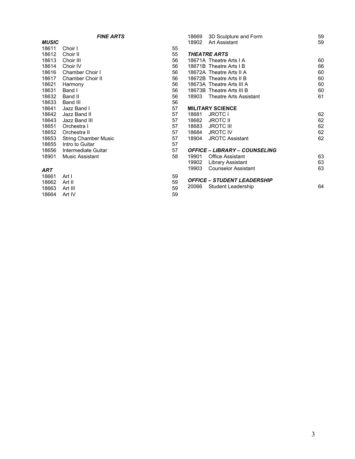|              | <b>FINE ARTS</b>            |    | 18669 | 3D Sculpture and Form                | 59 |
|--------------|-----------------------------|----|-------|--------------------------------------|----|
| <b>MUSIC</b> |                             |    | 18902 | <b>Art Assistant</b>                 | 59 |
| 18611        | Choir I                     | 55 |       |                                      |    |
| 18612        | Choir II                    | 55 |       | <b>THEATRE ARTS</b>                  |    |
| 18613        | Choir III                   | 56 |       | 18671A Theatre Arts   A              | 60 |
| 18614        | Choir IV                    | 56 |       | 18671B Theatre Arts I B              | 66 |
| 18616        | Chamber Choir I             | 56 |       | 18672A Theatre Arts II A             | 60 |
| 18617        | <b>Chamber Choir II</b>     | 56 |       | 18672B Theatre Arts II B             | 60 |
| 18621        | Harmony                     | 56 |       | 18673A Theatre Arts III A            | 60 |
| 18631        | Band I                      | 56 |       | 18673B Theatre Arts III B            | 60 |
| 18632        | Band II                     | 56 | 18903 | Theatre Arts Assistant               | 61 |
| 18633        | Band III                    | 56 |       |                                      |    |
| 18641        | Jazz Band I                 | 57 |       | <b>MILITARY SCIENCE</b>              |    |
| 18642        | Jazz Band II                | 57 | 18681 | <b>JROTC I</b>                       | 62 |
| 18643        | Jazz Band III               | 57 | 18682 | <b>JROTC II</b>                      | 62 |
| 18651        | Orchestra I                 | 57 | 18683 | <b>JROTC III</b>                     | 62 |
| 18652        | Orchestra II                | 57 | 18684 | <b>JROTC IV</b>                      | 62 |
| 18653        | <b>String Chamber Music</b> | 57 | 18904 | <b>JROTC Assistant</b>               | 62 |
| 18655        | Intro to Guitar             | 57 |       |                                      |    |
| 18656        | Intermediate Guitar         | 57 |       | <b>OFFICE - LIBRARY - COUNSELING</b> |    |
| 18901        | Music Assistant             | 58 | 19901 | <b>Office Assistant</b>              | 63 |
|              |                             |    | 19902 | Library Assistant                    | 63 |
| <b>ART</b>   |                             |    | 19903 | <b>Counselor Assistant</b>           | 63 |
| 18661        | Art I                       | 59 |       |                                      |    |
| 18662        | Art II                      | 59 |       | <b>OFFICE - STUDENT LEADERSHIP</b>   |    |
| 18663        | Art III                     | 59 | 20066 | Student Leadership                   | 64 |
| 18664        | Art IV                      | 59 |       |                                      |    |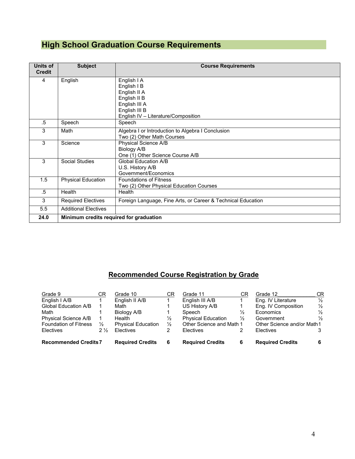# **High School Graduation Course Requirements**

| Units of<br><b>Credit</b> | <b>Subject</b>                          | <b>Course Requirements</b>                                                                                                          |
|---------------------------|-----------------------------------------|-------------------------------------------------------------------------------------------------------------------------------------|
| 4                         | English                                 | English I A<br>English I B<br>English II A<br>English II B<br>English III A<br>English III B<br>English IV - Literature/Composition |
| .5                        | Speech                                  | Speech                                                                                                                              |
| 3                         | Math                                    | Algebra I or Introduction to Algebra I Conclusion<br>Two (2) Other Math Courses                                                     |
| 3                         | Science                                 | Physical Science A/B<br>Biology A/B<br>One (1) Other Science Course A/B                                                             |
| 3                         | <b>Social Studies</b>                   | <b>Global Education A/B</b><br>U.S. History A/B<br>Government/Economics                                                             |
| 1.5                       | <b>Physical Education</b>               | <b>Foundations of Fitness</b><br>Two (2) Other Physical Education Courses                                                           |
| $.5\,$                    | Health                                  | Health                                                                                                                              |
| 3                         | <b>Required Electives</b>               | Foreign Language, Fine Arts, or Career & Technical Education                                                                        |
| 5.5                       | <b>Additional Electives</b>             |                                                                                                                                     |
| 24.0                      | Minimum credits required for graduation |                                                                                                                                     |

### **Recommended Course Registration by Grade**

| CR<br>СR<br>СR<br>Grade 12<br>English I A/B<br>English II A/B<br>English III A/B<br>Eng. IV Literature<br>Global Education A/B<br>Eng. IV Composition<br>US History A/B<br>Math<br>Economics<br>Math<br>Biology A/B<br>Speech<br><b>Physical Education</b><br>Physical Science A/B<br>Health<br>⅓<br>Government<br>Other Science and Math 1<br><b>Foundation of Fitness</b><br><b>Physical Education</b><br>$\frac{1}{2}$<br>$\frac{1}{2}$<br>Electives<br><b>Electives</b><br>$2\frac{1}{2}$<br>Electives<br>Electives | <b>Recommended Credits 7</b> | <b>Required Credits</b> | <b>Required Credits</b> | 6 | <b>Required Credits</b>    |               |
|-------------------------------------------------------------------------------------------------------------------------------------------------------------------------------------------------------------------------------------------------------------------------------------------------------------------------------------------------------------------------------------------------------------------------------------------------------------------------------------------------------------------------|------------------------------|-------------------------|-------------------------|---|----------------------------|---------------|
|                                                                                                                                                                                                                                                                                                                                                                                                                                                                                                                         |                              |                         |                         |   |                            |               |
|                                                                                                                                                                                                                                                                                                                                                                                                                                                                                                                         |                              |                         |                         |   | Other Science and/or Math1 |               |
|                                                                                                                                                                                                                                                                                                                                                                                                                                                                                                                         |                              |                         |                         |   |                            | $\frac{1}{2}$ |
|                                                                                                                                                                                                                                                                                                                                                                                                                                                                                                                         |                              |                         |                         |   |                            | $\frac{1}{2}$ |
|                                                                                                                                                                                                                                                                                                                                                                                                                                                                                                                         |                              |                         |                         |   |                            | $\frac{1}{2}$ |
|                                                                                                                                                                                                                                                                                                                                                                                                                                                                                                                         |                              |                         |                         |   |                            | $\frac{1}{2}$ |
|                                                                                                                                                                                                                                                                                                                                                                                                                                                                                                                         | Grade 9                      | Grade 10                | Grade 11                |   |                            | CR.           |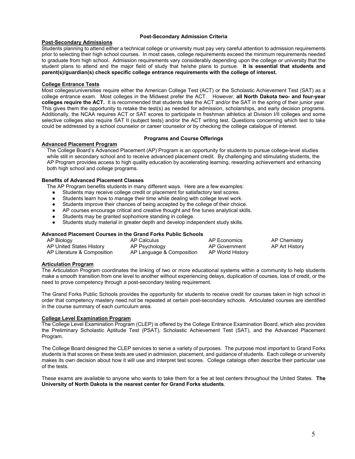#### **Post-Secondary Admission Criteria**

### **Post-Secondary Admissions**

Students planning to attend either a technical college or university must pay very careful attention to admission requirements prior to selecting their high school courses. In most cases, college requirements exceed the minimum requirements needed to graduate from high school. Admission requirements vary considerably depending upon the college or university that the student plans to attend and the major field of study that he/she plans to pursue. **It is essential that students and parent(s)/guardian(s) check specific college entrance requirements with the college of interest.** 

### **College Entrance Tests**

Most colleges/universities require either the American College Test (ACT) or the Scholastic Achievement Test (SAT) as a college entrance exam. Most colleges in the Midwest prefer the ACT. However, **all North Dakota two- and four-year colleges require the ACT.** It is recommended that students take the ACT and/or the SAT in the spring of their junior year. This gives them the opportunity to retake the test(s) as needed for admission, scholarships, and early decision programs. Additionally, the NCAA requires ACT or SAT scores to participate in freshman athletics at Division I/II colleges and some selective colleges also require SAT II (subject tests) and/or the ACT writing test. Questions concerning which test to take could be addressed by a school counselor or career counselor or by checking the college catalogue of interest.

#### **Advanced Placement Program**

#### **Programs and Course Offerings**

The College Board's Advanced Placement (AP) Program is an opportunity for students to pursue college-level studies while still in secondary school and to receive advanced placement credit. By challenging and stimulating students, the AP Program provides access to high quality education by accelerating learning, rewarding achievement and enhancing both high school and college programs.

### **Benefits of Advanced Placement Classes**

The AP Program benefits students in many different ways. Here are a few examples:

- Students may receive college credit or placement for satisfactory test scores.
- Students learn how to manage their time while dealing with college level work.
- Students improve their chances of being accepted by the college of their choice.
- AP courses encourage critical and creative thought and fine tunes analytical skills.
- Students may be granted sophomore standing in college.
- Students study material in greater depth and develop independent study skills.

### **Advanced Placement Courses in the Grand Forks Public Schools**

| AP Biology                  | AP Calculus               | AP Economics     | AP Chemistry   |
|-----------------------------|---------------------------|------------------|----------------|
| AP United States History    | AP Psychology             | AP Government    | AP Art History |
| AP Literature & Composition | AP Language & Composition | AP World History |                |

### **Articulation Program**

The Articulation Program coordinates the linking of two or more educational systems within a community to help students make a smooth transition from one level to another without experiencing delays, duplication of courses, loss of credit, or the need to prove competency through a post-secondary testing requirement.

The Grand Forks Public Schools provides the opportunity for students to receive credit for courses taken in high school in order that competency mastery need not be repeated at certain post-secondary schools. Articulated courses are identified in the course summary of each curriculum area.

### **College Level Examination Program**

The College Level Examination Program (CLEP) is offered by the College Entrance Examination Board, which also provides the Preliminary Scholastic Aptitude Test (PSAT), Scholastic Achievement Test (SAT), and the Advanced Placement Program.

The College Board designed the CLEP services to serve a variety of purposes. The purpose most important to Grand Forks students is that scores on these tests are used in admission, placement, and guidance of students. Each college or university makes its own decision about how it will use and interpret test scores. College catalogs often describe their particular use of the tests.

These exams are available to anyone who wants to take them for a fee at test centers throughout the United States. **The University of North Dakota is the nearest center for Grand Forks students**.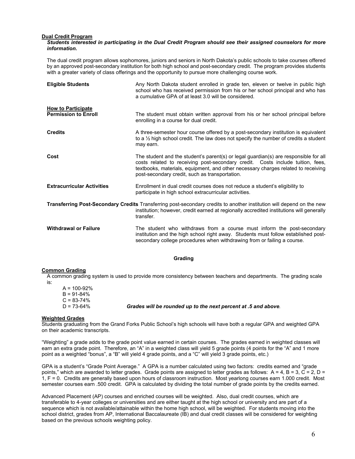#### **Dual Credit Program**

#### *Students interested in participating in the Dual Credit Program should see their assigned counselors for more information.*

The dual credit program allows sophomores, juniors and seniors in North Dakota's public schools to take courses offered by an approved post-secondary institution for both high school and post-secondary credit. The program provides students with a greater variety of class offerings and the opportunity to pursue more challenging course work.

| <b>Eligible Students</b>                                 | Any North Dakota student enrolled in grade ten, eleven or twelve in public high<br>school who has received permission from his or her school principal and who has<br>a cumulative GPA of at least 3.0 will be considered.                                                                                    |  |  |  |  |
|----------------------------------------------------------|---------------------------------------------------------------------------------------------------------------------------------------------------------------------------------------------------------------------------------------------------------------------------------------------------------------|--|--|--|--|
| <b>How to Participate</b><br><b>Permission to Enroll</b> | The student must obtain written approval from his or her school principal before                                                                                                                                                                                                                              |  |  |  |  |
|                                                          | enrolling in a course for dual credit.                                                                                                                                                                                                                                                                        |  |  |  |  |
| <b>Credits</b>                                           | A three-semester hour course offered by a post-secondary institution is equivalent<br>to a $\frac{1}{2}$ high school credit. The law does not specify the number of credits a student<br>may earn.                                                                                                            |  |  |  |  |
| Cost                                                     | The student and the student's parent(s) or legal guardian(s) are responsible for all<br>costs related to receiving post-secondary credit. Costs include tuition, fees,<br>textbooks, materials, equipment, and other necessary charges related to receiving<br>post-secondary credit, such as transportation. |  |  |  |  |
| <b>Extracurricular Activities</b>                        | Enrollment in dual credit courses does not reduce a student's eligibility to<br>participate in high school extracurricular activities.                                                                                                                                                                        |  |  |  |  |
|                                                          | Transferring Post-Secondary Credits Transferring post-secondary credits to another institution will depend on the new<br>institution; however, credit earned at regionally accredited institutions will generally<br>transfer.                                                                                |  |  |  |  |
| <b>Withdrawal or Failure</b>                             | The student who withdraws from a course must inform the post-secondary<br>institution and the high school right away. Students must follow established post-<br>secondary college procedures when withdrawing from or failing a course.                                                                       |  |  |  |  |

#### **Grading**

#### **Common Grading**

A common grading system is used to provide more consistency between teachers and departments. The grading scale is:

 $A = 100 - 92%$  $B = 91 - 84%$  $C = 83-74%$ <br>D = 73-64%

Grades will be rounded up to the next percent at .5 and above.

### **Weighted Grades**

Students graduating from the Grand Forks Public School's high schools will have both a regular GPA and weighted GPA on their academic transcripts.

"Weighting" a grade adds to the grade point value earned in certain courses. The grades earned in weighted classes will earn an extra grade point. Therefore, an "A" in a weighted class will yield 5 grade points (4 points for the "A" and 1 more point as a weighted "bonus", a "B" will yield 4 grade points, and a "C" will yield 3 grade points, etc.)

GPA is a student's "Grade Point Average." A GPA is a number calculated using two factors: credits earned and "grade points," which are awarded to letter grades. Grade points are assigned to letter grades as follows:  $A = 4$ ,  $B = 3$ ,  $C = 2$ ,  $D = 1$ 1, F = 0. Credits are generally based upon hours of classroom instruction. Most yearlong courses earn 1.000 credit. Most semester courses earn .500 credit. GPA is calculated by dividing the total number of grade points by the credits earned.

Advanced Placement (AP) courses and enriched courses will be weighted. Also, dual credit courses, which are transferable to 4-year colleges or universities and are either taught at the high school or university and are part of a sequence which is not available/attainable within the home high school, will be weighted. For students moving into the school district, grades from AP, International Baccalaureate (IB) and dual credit classes will be considered for weighting based on the previous schools weighting policy.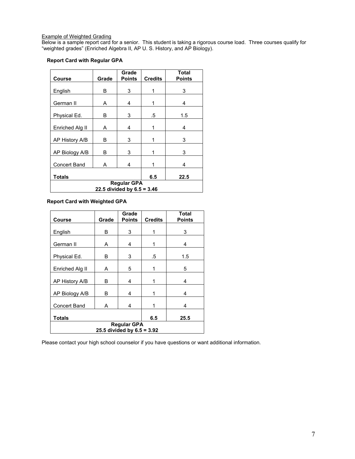### Example of Weighted Grading

Below is a sample report card for a senior. This student is taking a rigorous course load. Three courses qualify for "weighted grades" (Enriched Algebra II, AP U. S. History, and AP Biology).

### **Report Card with Regular GPA**

| <b>Course</b>                | Grade | Grade<br><b>Points</b>                             | <b>Credits</b> | <b>Total</b><br>Points |  |  |  |
|------------------------------|-------|----------------------------------------------------|----------------|------------------------|--|--|--|
| English                      | В     | 3                                                  | 1              | 3                      |  |  |  |
| German II                    | A     | 4                                                  | 1              | 4                      |  |  |  |
| Physical Ed.                 | В     | 3                                                  | .5             | 1.5                    |  |  |  |
| Enriched Alg II              | А     | 4                                                  | 1              | 4                      |  |  |  |
| AP History A/B               | B     | 3                                                  | 1              | 3                      |  |  |  |
| AP Biology A/B               | В     | 3                                                  | 1              | 3                      |  |  |  |
| <b>Concert Band</b>          | A     | 4                                                  |                | 4                      |  |  |  |
| <b>Totals</b><br>6.5<br>22.5 |       |                                                    |                |                        |  |  |  |
|                              |       | <b>Regular GPA</b><br>22.5 divided by $6.5 = 3.46$ |                |                        |  |  |  |

### **Report Card with Weighted GPA**

| <b>Course</b>                | Grade                                            | Grade<br><b>Points</b> | <b>Credits</b> | <b>Total</b><br><b>Points</b> |  |  |
|------------------------------|--------------------------------------------------|------------------------|----------------|-------------------------------|--|--|
| English                      | в                                                | 3                      |                | 3                             |  |  |
| German II                    | A                                                | 4                      |                | 4                             |  |  |
| Physical Ed.                 | в                                                | 3                      | .5             | 1.5                           |  |  |
| Enriched Alg II              | A                                                | 5                      | 1              | 5                             |  |  |
| AP History A/B               | В                                                | 4                      |                | 4                             |  |  |
| AP Biology A/B               | в                                                | 4                      |                | 4                             |  |  |
| <b>Concert Band</b>          | А                                                | 4                      |                | 4                             |  |  |
| <b>Totals</b><br>6.5<br>25.5 |                                                  |                        |                |                               |  |  |
|                              | <b>Regular GPA</b><br>25.5 divided by 6.5 = 3.92 |                        |                |                               |  |  |

Please contact your high school counselor if you have questions or want additional information.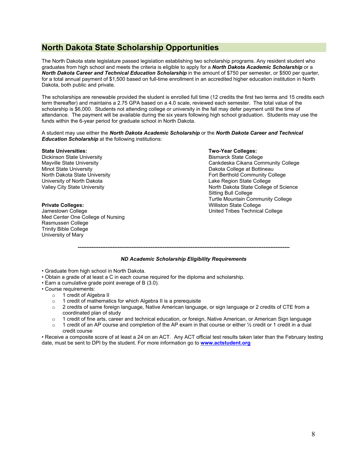### **North Dakota State Scholarship Opportunities**

The North Dakota state legislature passed legislation establishing two scholarship programs. Any resident student who graduates from high school and meets the criteria is eligible to apply for a *North Dakota Academic Scholarship* or a *North Dakota Career and Technical Education Scholarship* in the amount of \$750 per semester, or \$500 per quarter, for a total annual payment of \$1,500 based on full-time enrollment in an accredited higher education institution in North Dakota, both public and private.

The scholarships are renewable provided the student is enrolled full time (12 credits the first two terms and 15 credits each term thereafter) and maintains a 2.75 GPA based on a 4.0 scale, reviewed each semester. The total value of the scholarship is \$6,000. Students not attending college or university in the fall may defer payment until the time of attendance. The payment will be available during the six years following high school graduation. Students may use the funds within the 6-year period for graduate school in North Dakota.

A student may use either the *North Dakota Academic Scholarship* or the *North Dakota Career and Technical Education Scholarship* at the following institutions:

Dickinson State University Bismarck State College<br>Mayville State University Cankdeska Cikana Com Minot State University<br>
Minot State University<br>
North Dakota State University<br>
Community Co

Jamestown College United Tribes Technical College Med Center One College of Nursing Rasmussen College Trinity Bible College University of Mary

### **State Universities: Two-Year Colleges:**

Mayville State University Cankdeska Cikana Community College<br>Minot State University Dakota College at Bottineau North Dakota State University **Fort Berthold Community College**<br>University of North Dakota **For all and State Region State College** Lake Region State College Valley City State University North Dakota State College of Science Sitting Bull College Turtle Mountain Community College **Private Colleges:** Williston State College

*--------------------------------------------------------------------------------------------------------------------------*

#### *ND Academic Scholarship Eligibility Requirements*

- Graduate from high school in North Dakota.
- Obtain a grade of at least a C in each course required for the diploma and scholarship.
- Earn a cumulative grade point average of B (3.0).
- Course requirements:
	- o 1 credit of Algebra II
	- o 1 credit of mathematics for which Algebra II is a prerequisite
	- $\circ$  2 credits of same foreign language, Native American language, or sign language or 2 credits of CTE from a coordinated plan of study
	- o 1 credit of fine arts, career and technical education, or foreign, Native American, or American Sign language
	- $\circ$  1 credit of an AP course and completion of the AP exam in that course or either  $\frac{1}{2}$  credit or 1 credit in a dual credit course

• Receive a composite score of at least a 24 on an ACT. Any ACT official test results taken later than the February testing date, must be sent to DPI by the student. For more information go to **www.actstudent.org**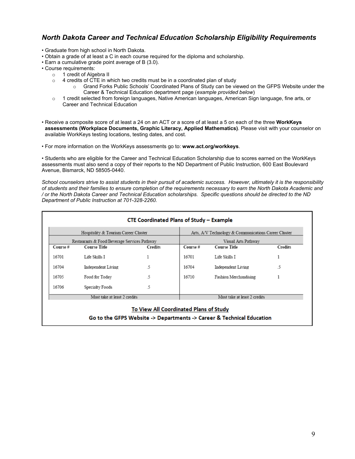### *North Dakota Career and Technical Education Scholarship Eligibility Requirements*

- Graduate from high school in North Dakota.
- Obtain a grade of at least a C in each course required for the diploma and scholarship.
- Earn a cumulative grade point average of B (3.0).
- Course requirements:
	- o 1 credit of Algebra II
	- $\circ$  4 credits of CTE in which two credits must be in a coordinated plan of study
		- o Grand Forks Public Schools' Coordinated Plans of Study can be viewed on the GFPS Website under the Career & Technical Education department page (*example provided below*)
	- o 1 credit selected from foreign languages, Native American languages, American Sign language, fine arts, or Career and Technical Education
- Receive a composite score of at least a 24 on an ACT or a score of at least a 5 on each of the three **WorkKeys assessments (Workplace Documents, Graphic Literacy, Applied Mathematics)**. Please visit with your counselor on available WorkKeys testing locations, testing dates, and cost.

• For more information on the WorkKeys assessments go to: **www.act.org/workkeys**.

• Students who are eligible for the Career and Technical Education Scholarship due to scores earned on the WorkKeys assessments must also send a copy of their reports to the ND Department of Public Instruction, 600 East Boulevard Avenue, Bismarck, ND 58505-0440.

*School counselors strive to assist students in their pursuit of academic success. However, ultimately it is the responsibility of students and their families to ensure completion of the requirements necessary to earn the North Dakota Academic and / or the North Dakota Career and Technical Education scholarships. Specific questions should be directed to the ND Department of Public Instruction at 701-328-2260.*

| <b>CTE Coordinated Plans of Study - Example</b>                                              |                              |                |                     |                              |                |
|----------------------------------------------------------------------------------------------|------------------------------|----------------|---------------------|------------------------------|----------------|
| Hospitality & Tourism Career Cluster<br>Arts, A/V Technology & Communications Career Cluster |                              |                |                     |                              |                |
| Restaurants & Food/Beverage Services Pathway                                                 |                              |                | Visual Arts Pathway |                              |                |
| Course #                                                                                     | <b>Course Title</b>          | <b>Credits</b> | Course#             | <b>Course Title</b>          | <b>Credits</b> |
| 16701                                                                                        | Life Skills I                |                | 16701               | Life Skills I                |                |
| 16704                                                                                        | Independent Living           | .5             | 16704               | Independent Living           | .5             |
| 16705                                                                                        | Food for Today               | .5             | 16710               | Fashion Merchandising        |                |
| 16706                                                                                        | Specialty Foods              | .5             |                     |                              |                |
|                                                                                              | Must take at least 2 credits |                |                     | Must take at least 2 credits |                |
| To View All Coordinated Plans of Study                                                       |                              |                |                     |                              |                |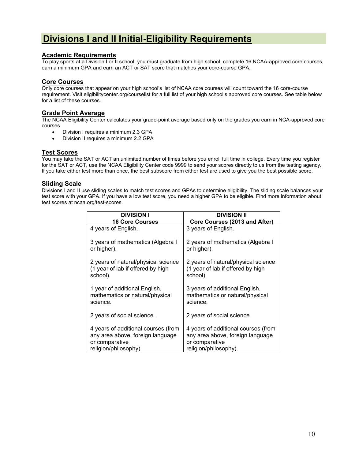# **Divisions I and II Initial-Eligibility Requirements**

### **Academic Requirements**

To play sports at a Division I or II school, you must graduate from high school, complete 16 NCAA-approved core courses, earn a minimum GPA and earn an ACT or SAT score that matches your core-course GPA.

### **Core Courses**

Only core courses that appear on your high school's list of NCAA core courses will count toward the 16 core-course requirement. Visit eligibilitycenter.org/courselist for a full list of your high school's approved core courses. See table below for a list of these courses.

### **Grade Point Average**

The NCAA Eligibility Center calculates your grade-point average based only on the grades you earn in NCA-approved core courses.

- Division I requires a minimum 2.3 GPA
- Division II requires a minimum 2.2 GPA

### **Test Scores**

You may take the SAT or ACT an unlimited number of times before you enroll full time in college. Every time you register for the SAT or ACT, use the NCAA Eligibility Center code 9999 to send your scores directly to us from the testing agency. If you take either test more than once, the best subscore from either test are used to give you the best possible score.

### **Sliding Scale**

Divisions I and II use sliding scales to match test scores and GPAs to determine eligibility. The sliding scale balances your test score with your GPA. If you have a low test score, you need a higher GPA to be eligible. Find more information about test scores at ncaa.org/test-scores.

| <b>DIVISION I</b>                   | <b>DIVISION II</b>                  |
|-------------------------------------|-------------------------------------|
| <b>16 Core Courses</b>              | Core Courses (2013 and After)       |
| 4 years of English.                 | 3 years of English.                 |
| 3 years of mathematics (Algebra I   | 2 years of mathematics (Algebra I   |
| or higher).                         | or higher).                         |
| 2 years of natural/physical science | 2 years of natural/physical science |
| (1 year of lab if offered by high   | (1 year of lab if offered by high   |
| school).                            | school).                            |
| 1 year of additional English,       | 3 years of additional English,      |
| mathematics or natural/physical     | mathematics or natural/physical     |
| science.                            | science.                            |
| 2 years of social science.          | 2 years of social science.          |
| 4 years of additional courses (from | 4 years of additional courses (from |
| any area above, foreign language    | any area above, foreign language    |
| or comparative                      | or comparative                      |
| religion/philosophy).               | religion/philosophy).               |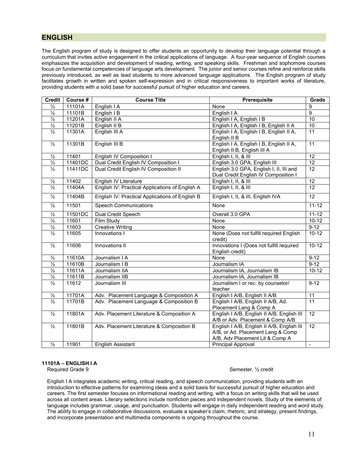### **ENGLISH**

The English program of study is designed to offer students an opportunity to develop their language potential through a curriculum that invites active engagement in the critical applications of language. A four-year sequence of English courses emphasizes the acquisition and development of reading, writing, and speaking skills. Freshman and sophomore courses focus on fundamental competencies of language arts development. The junior and senior courses refine and reinforce skills previously introduced, as well as lead students to more advanced language applications. The English program of study facilitates growth in written and spoken self-expression and in critical responsiveness to important works of literature, providing students with a solid base for successful pursuit of higher education and careers.

| <b>Credit</b>            | Course # | <b>Course Title</b>                             | <b>Prerequisite</b>                                         | Grade           |
|--------------------------|----------|-------------------------------------------------|-------------------------------------------------------------|-----------------|
| $\frac{1}{2}$            | 11101A   | English I A                                     | None                                                        | 9               |
| $\frac{1}{2}$            | 11101B   | English I B                                     | English I A                                                 | 9               |
| $\frac{1}{2}$            | 11201A   | English II A                                    | English I A, English I B                                    | 10              |
| $\frac{1}{2}$            | 11201B   | English II B                                    | English I A, English I B, English II A                      | 10              |
| $\frac{1}{2}$            | 11301A   | English III A                                   | English I A, English I B, English II A,                     | $\overline{11}$ |
|                          |          |                                                 | English II B                                                |                 |
| $\frac{1}{2}$            | 11301B   | English III B                                   | English I A, English I B, English II A,                     | 11              |
|                          |          |                                                 | English II B, English III A                                 |                 |
| $\frac{1}{2}$            | 11401    | English IV Composition I                        | English I, II, & III                                        | 12              |
| $\frac{1}{2}$            | 11401DC  | Dual Credit English IV Composition I            | English 3.0 GPA, English III                                | 12              |
| $\frac{1}{2}$            | 11411DC  | Dual Credit English IV Composition II           | English 3.0 GPA, English I, II, III and                     | 12              |
|                          |          |                                                 | Dual Credit English IV Composition I                        |                 |
| $\frac{1}{2}$            | 11402    | English IV Literature                           | English I, II, & III                                        | 12              |
| $\overline{\frac{1}{2}}$ | 11404A   | English IV: Practical Applications of English A | English I, II, & III                                        | 12              |
| $\frac{1}{2}$            | 11404B   | English IV: Practical Applications of English B | English I, II, & III, English IVA                           | 12              |
| $\frac{1}{2}$            | 11501    | <b>Speech Communications</b>                    | None                                                        | $11 - 12$       |
| $\frac{1}{2}$            | 11501DC  | Dual Credit Speech                              | Overall 3.0 GPA                                             | $11 - 12$       |
| $\frac{1}{2}$            | 11601    | Film Study                                      | None                                                        | $10-12$         |
| $\frac{1}{2}$            | 11603    | <b>Creative Writing</b>                         | None                                                        | $9-12$          |
| $\frac{1}{2}$            | 11605    | Innovations I                                   | None (Does not fulfill required English<br>credit)          | $10-12$         |
| $\frac{1}{2}$            | 11606    | Innovations II                                  | Innovations I (Does not fulfill required<br>English credit) | $10-12$         |
| $\frac{1}{2}$            | 11610A   | Journalism I A                                  | None                                                        | $9 - 12$        |
| $\frac{1}{2}$            | 11610B   | Journalism I B                                  | Journalism IA                                               | $9-12$          |
| $\frac{1}{2}$            | 11611A   | Journalism IIA                                  | Journalism IA, Journalism IB                                | $10-12$         |
| $\frac{1}{2}$            | 11611B   | Journalism IIB                                  | Journalism IA, Journalism IB                                |                 |
| $\frac{1}{2}$            | 11612    | Journalism III                                  | Journalism I or rec. by counselor/                          | $9 - 12$        |
|                          |          |                                                 | teacher                                                     |                 |
| $\frac{1}{2}$            | 11701A   | Adv. Placement Language & Composition A         | English I A/B, English II A/B                               | 11              |
| $\frac{1}{2}$            | 11701B   | Adv. Placement Language & Composition B         | English I A/B, English II A/B, Ad.                          | $\overline{11}$ |
|                          |          |                                                 | Placement Lang & Comp A                                     |                 |
| $\frac{1}{2}$            | 11801A   | Adv. Placement Literature & Composition A       | English I A/B, English II A/B, English III                  | $\overline{12}$ |
|                          |          |                                                 | A/B or Adv. Placement & Comp A/B                            |                 |
| $\frac{1}{2}$            | 11801B   | Adv. Placement Literature & Composition B       | English I A/B, English II A/B, English III                  | $\overline{12}$ |
|                          |          |                                                 | A/B, or Ad. Placement Lang & Comp                           |                 |
|                          |          |                                                 | A/B, Adv Placement Lit & Comp A                             |                 |
| $\frac{1}{2}$            | 11901    | <b>English Assistant</b>                        | Principal Approval                                          | $\blacksquare$  |

# **11101A – ENGLISH I A**

Semester, 1/2 credit

English I A integrates academic writing, critical reading, and speech communication, providing students with an introduction to effective patterns for examining ideas and a solid basis for successful pursuit of higher education and careers. The first semester focuses on informational reading and writing, with a focus on writing skills that will be used across all content areas. Literary selections include nonfiction pieces and independent novels. Study of the elements of language includes grammar, usage, and punctuation. Students will engage in daily independent reading and word study. The ability to engage in collaborative discussions, evaluate a speaker's claim, rhetoric, and strategy, present findings, and incorporate presentation and multimedia components is ongoing throughout the course.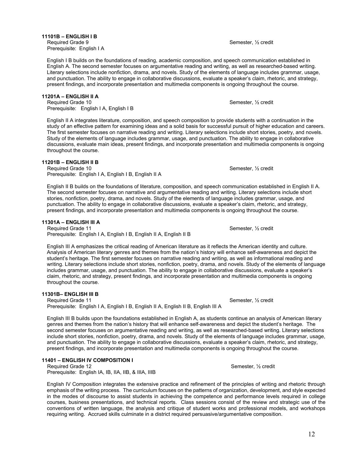**11101B – ENGLISH I B** Required Grade 9 Semester, 1/2 credit Prerequisite: English I A

English I B builds on the foundations of reading, academic composition, and speech communication established in English A. The second semester focuses on argumentative reading and writing, as well as researched-based writing. Literary selections include nonfiction, drama, and novels. Study of the elements of language includes grammar, usage, and punctuation. The ability to engage in collaborative discussions, evaluate a speaker's claim, rhetoric, and strategy, present findings, and incorporate presentation and multimedia components is ongoing throughout the course.

### **11201A – ENGLISH II A**

Required Grade 10 Semester, 1/2 credit entitled and the Semester, 1/2 credit Prerequisite: English I A, English I B

English II A integrates literature, composition, and speech composition to provide students with a continuation in the study of an effective pattern for examining ideas and a solid basis for successful pursuit of higher education and careers. The first semester focuses on narrative reading and writing. Literary selections include short stories, poetry, and novels. Study of the elements of language includes grammar, usage, and punctuation. The ability to engage in collaborative discussions, evaluate main ideas, present findings, and incorporate presentation and multimedia components is ongoing throughout the course.

### **11201B – ENGLISH II B**

Required Grade 10 Semester, 1/2 credit entitled at the Semester, 1/2 credit Prerequisite: English I A, English I B, English II A

English II B builds on the foundations of literature, composition, and speech communication established in English II A. The second semester focuses on narrative and argumentative reading and writing. Literary selections include short stories, nonfiction, poetry, drama, and novels. Study of the elements of language includes grammar, usage, and punctuation. The ability to engage in collaborative discussions, evaluate a speaker's claim, rhetoric, and strategy, present findings, and incorporate presentation and multimedia components is ongoing throughout the course.

### **11301A – ENGLISH III A**

Required Grade 11 Semester, 1/2 credit Prerequisite: English I A, English I B, English II A, English II B

English III A emphasizes the critical reading of American literature as it reflects the American identity and culture. Analysis of American literary genres and themes from the nation's history will enhance self-awareness and depict the student's heritage. The first semester focuses on narrative reading and writing, as well as informational reading and writing. Literary selections include short stories, nonfiction, poetry, drama, and novels. Study of the elements of language includes grammar, usage, and punctuation. The ability to engage in collaborative discussions, evaluate a speaker's claim, rhetoric, and strategy, present findings, and incorporate presentation and multimedia components is ongoing throughout the course.

### **11301B– ENGLISH III B**

Required Grade 11 Semester, 1/2 credit Prerequisite: English I A, English I B, English II A, English II B, English III A

English III B builds upon the foundations established in English A, as students continue an analysis of American literary genres and themes from the nation's history that will enhance self-awareness and depict the student's heritage. The second semester focuses on argumentative reading and writing, as well as researched-based writing. Literary selections include short stories, nonfiction, poetry, drama, and novels. Study of the elements of language includes grammar, usage, and punctuation. The ability to engage in collaborative discussions, evaluate a speaker's claim, rhetoric, and strategy, present findings, and incorporate presentation and multimedia components is ongoing throughout the course.

# **11401 – ENGLISH IV COMPOSITION I**

Prerequisite: English IA, IB, IIA, IIB, & IIIA, IIIB

English IV Composition integrates the extensive practice and refinement of the principles of writing and rhetoric through emphasis of the writing process. The curriculum focuses on the patterns of organization, development, and style expected in the modes of discourse to assist students in achieving the competence and performance levels required in college courses, business presentations, and technical reports. Class sessions consist of the review and strategic use of the conventions of written language, the analysis and critique of student works and professional models, and workshops requiring writing. Accrued skills culminate in a district required persuasive/argumentative composition.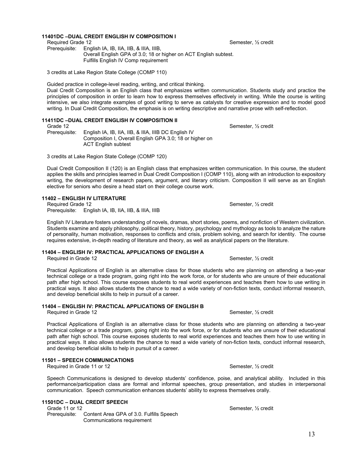### **11401DC –DUAL CREDIT ENGLISH IV COMPOSITION I**

13

Required Grade 12 Semester, 1/2 credit Prerequisite: English IA, IB, IIA, IIB, & IIIA, IIIB, Overall English GPA of 3.0; 18 or higher on ACT English subtest. Fulfills English IV Comp requirement

3 credits at Lake Region State College (COMP 110)

Guided practice in college-level reading, writing, and critical thinking.

Dual Credit Composition is an English class that emphasizes written communication. Students study and practice the principles of composition in order to learn how to express themselves effectively in writing. While the course is writing intensive, we also integrate examples of good writing to serve as catalysts for creative expression and to model good writing. In Dual Credit Composition, the emphasis is on writing descriptive and narrative prose with self-reflection.

### **11411DC –DUAL CREDIT ENGLISH IV COMPOSITION II**

Grade 12 Semester, 1/2 credit Prerequisite: English IA, IB, IIA, IIB, & IIIA, IIIB DC English IV Composition I, Overall English GPA 3.0; 18 or higher on ACT English subtest

3 credits at Lake Region State College (COMP 120)

Dual Credit Composition II (120) is an English class that emphasizes written communication. In this course, the student applies the skills and principles learned in Dual Credit Composition I (COMP 110), along with an introduction to expository writing, the development of research papers, argument, and literary criticism. Composition II will serve as an English elective for seniors who desire a head start on their college course work.

### **11402 – ENGLISH IV LITERATURE**

Required Grade 12 Semester, 1/2 credit Prerequisite: English IA, IB, IIA, IIB, & IIIA, IIIB

English IV Literature fosters understanding of novels, dramas, short stories, poems, and nonfiction of Western civilization. Students examine and apply philosophy, political theory, history, psychology and mythology as tools to analyze the nature of personality, human motivation, responses to conflicts and crisis, problem solving, and search for identity. The course requires extensive, in-depth reading of literature and theory, as well as analytical papers on the literature.

### **11404 – ENGLISH IV: PRACTICAL APPLICATIONS OF ENGLISH A**

Required in Grade 12 Semester, 1/2 credit

Practical Applications of English is an alternative class for those students who are planning on attending a two-year technical college or a trade program, going right into the work force, or for students who are unsure of their educational path after high school. This course exposes students to real world experiences and teaches them how to use writing in practical ways. It also allows students the chance to read a wide variety of non-fiction texts, conduct informal research, and develop beneficial skills to help in pursuit of a career.

### **11404 – ENGLISH IV: PRACTICAL APPLICATIONS OF ENGLISH B**

Required in Grade 12 Semester, ½ credit

Practical Applications of English is an alternative class for those students who are planning on attending a two-year technical college or a trade program, going right into the work force, or for students who are unsure of their educational path after high school. This course exposes students to real world experiences and teaches them how to use writing in practical ways. It also allows students the chance to read a wide variety of non-fiction texts, conduct informal research, and develop beneficial skills to help in pursuit of a career.

### **11501 – SPEECH COMMUNICATIONS**

Required in Grade 11 or 12 Semester, 1/2 credit

Speech Communications is designed to develop students' confidence, poise, and analytical ability. Included in this performance/participation class are formal and informal speeches, group presentation, and studies in interpersonal communication. Speech communication enhances students' ability to express themselves orally.

### **11501DC – DUAL CREDIT SPEECH**

Grade 11 or 12 Semester, 1/2 credit Prerequisite: Content Area GPA of 3.0. Fulfills Speech Communications requirement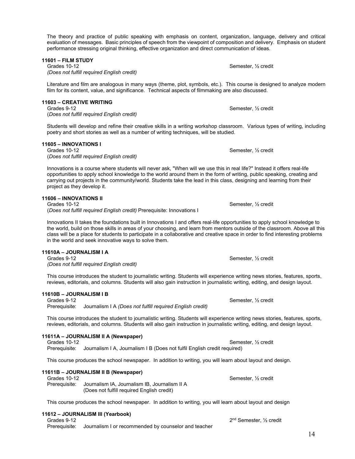The theory and practice of public speaking with emphasis on content, organization, language, delivery and critical evaluation of messages. Basic principles of speech from the viewpoint of composition and delivery. Emphasis on student performance stressing original thinking, effective organization and direct communication of ideas.

Semester, 1/2 credit

Literature and film are analogous in many ways (theme, plot, symbols, etc.). This course is designed to analyze modern film for its content, value, and significance. Technical aspects of filmmaking are also discussed.

#### **11603 – CREATIVE WRITING**

**11601 – FILM STUDY**

Grades 9-12 Semester, 1/2 credit (*Does not fulfill required English credit)*

*(Does not fulfill required English credit)*

Students will develop and refine their creative skills in a writing workshop classroom. Various types of writing, including poetry and short stories as well as a number of writing techniques, will be studied.

### **11605 – INNOVATIONS I**

Grades 10-12 Semester, ½ credit (*Does not fulfill required English credit)*

Innovations is a course where students will never ask, "When will we use this in real life?" Instead it offers real-life opportunities to apply school knowledge to the world around them in the form of writing, public speaking, creating and carrying out projects in the community/world. Students take the lead in this class, designing and learning from their project as they develop it.

### **11606 – INNOVATIONS II**

Grades 10-12 Semester,  $\frac{1}{2}$  credit (*Does not fulfill required English credit)* Prerequisite: Innovations I

Innovations II takes the foundations built in Innovations I and offers real-life opportunities to apply school knowledge to the world, build on those skills in areas of your choosing, and learn from mentors outside of the classroom. Above all this class will be a place for students to participate in a collaborative and creative space in order to find interesting problems in the world and seek innovative ways to solve them.

### **11610A – JOURNALISM I A**

Grades 9-12 Semester, 1/2 credit *(Does not fulfill required English credit)*

This course introduces the student to journalistic writing. Students will experience writing news stories, features, sports, reviews, editorials, and columns. Students will also gain instruction in journalistic writing, editing, and design layout.

#### **11610B – JOURNALISM I B**

Grades 9-12 Semester, 1/2 credit Prerequisite: Journalism I A *(Does not fulfill required English credit)*

This course introduces the student to journalistic writing. Students will experience writing news stories, features, sports, reviews, editorials, and columns. Students will also gain instruction in journalistic writing, editing, and design layout.

### **11611A – JOURNALISM II A (Newspaper)**

Grades 10-12 Semester,  $\frac{1}{2}$  credit

Prerequisite: Journalism I A, Journalism I B (Does not fulfil English credit required)

This course produces the school newspaper. In addition to writing, you will learn about layout and design.

### **11611B – JOURNALISM II B (Newspaper)**

Grades 10-12 Semester, 1/2 credit Prerequisite: Journalism IA, Journalism IB, Journalism II A (Does not fulfill required English credit)

This course produces the school newspaper. In addition to writing, you will learn about layout and design

### **11612 – JOURNALISM III (Yearbook)**

Grades 9-12 2nd Semester, 1/2 credit Prerequisite: Journalism I or recommended by counselor and teacher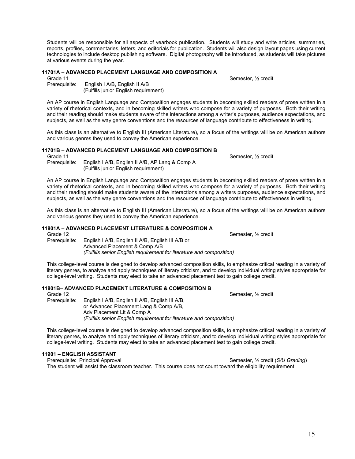Students will be responsible for all aspects of yearbook publication. Students will study and write articles, summaries, reports, profiles, commentaries, letters, and editorials for publication. Students will also design layout pages using current technologies to include desktop publishing software. Digital photography will be introduced, as students will take pictures at various events during the year.

### **11701A – ADVANCED PLACEMENT LANGUAGE AND COMPOSITION A**

Grade 11 Semester, 1/2 credit

Prerequisite: English I A/B, English II A/B (Fulfills junior English requirement)

An AP course in English Language and Composition engages students in becoming skilled readers of prose written in a variety of rhetorical contexts, and in becoming skilled writers who compose for a variety of purposes. Both their writing and their reading should make students aware of the interactions among a writer's purposes, audience expectations, and subjects, as well as the way genre conventions and the resources of language contribute to effectiveness in writing.

As this class is an alternative to English III (American Literature), so a focus of the writings will be on American authors and various genres they used to convey the American experience.

### **11701B – ADVANCED PLACEMENT LANGUAGE AND COMPOSITION B**

Grade 11 Semester, 1/2 credit entitled to the semester of the Semester, 1/2 credit

Prerequisite: English I A/B, English II A/B, AP Lang & Comp A (Fulfills junior English requirement)

An AP course in English Language and Composition engages students in becoming skilled readers of prose written in a variety of rhetorical contexts, and in becoming skilled writers who compose for a variety of purposes. Both their writing and their reading should make students aware of the interactions among a writers purposes, audience expectations, and subjects, as well as the way genre conventions and the resources of language contribute to effectiveness in writing.

As this class is an alternative to English III (American Literature), so a focus of the writings will be on American authors and various genres they used to convey the American experience.

### **11801A – ADVANCED PLACEMENT LITERATURE & COMPOSITION A**

Grade 12 Semester, 1/2 Credit enterprise of the Semester, 1/2 Credit enterprise of the Semester, 1/2 Credit

Prerequisite: English I A/B, English II A/B, English III A/B or Advanced Placement & Comp A/B *(Fulfills senior English requirement for literature and composition)*

This college-level course is designed to develop advanced composition skills, to emphasize critical reading in a variety of literary genres, to analyze and apply techniques of literary criticism, and to develop individual writing styles appropriate for college-level writing. Students may elect to take an advanced placement test to gain college credit.

#### **11801B– ADVANCED PLACEMENT LITERATURE & COMPOSITION B** Grade 12 Semester, 1/2 credit entitled and the Semester, 1/2 credit entitled and the Semester, 1/2 credit

Prerequisite: English I A/B, English II A/B, English III A/B, or Advanced Placement Lang & Comp A/B, Adv Placement Lit & Comp A *(Fulfills senior English requirement for literature and composition)*

This college-level course is designed to develop advanced composition skills, to emphasize critical reading in a variety of literary genres, to analyze and apply techniques of literary criticism, and to develop individual writing styles appropriate for college-level writing. Students may elect to take an advanced placement test to gain college credit.

# **11901 – ENGLISH ASSISTANT**

Semester, 1/<sub>2</sub> credit (*S/U Grading*) The student will assist the classroom teacher. This course does not count toward the eligibility requirement.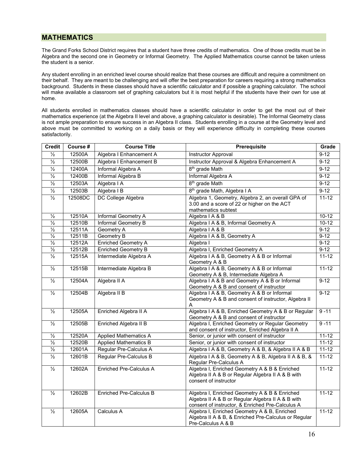### **MATHEMATICS**

The Grand Forks School District requires that a student have three credits of mathematics. One of those credits must be in Algebra and the second one in Geometry or Informal Geometry. The Applied Mathematics course cannot be taken unless the student is a senior.

Any student enrolling in an enriched level course should realize that these courses are difficult and require a commitment on their behalf. They are meant to be challenging and will offer the best preparation for careers requiring a strong mathematics background. Students in these classes should have a scientific calculator and if possible a graphing calculator. The school will make available a classroom set of graphing calculators but it is most helpful if the students have their own for use at home.

All students enrolled in mathematics classes should have a scientific calculator in order to get the most out of their mathematics experience (at the Algebra II level and above, a graphing calculator is desirable). The Informal Geometry class is not ample preparation to ensure success in an Algebra II class. Students enrolling in a course at the Geometry level and above must be committed to working on a daily basis or they will experience difficulty in completing these courses satisfactorily.

| <b>Credit</b>            | Course # | <b>Course Title</b>            | Prerequisite                                                                                                                                           | Grade     |
|--------------------------|----------|--------------------------------|--------------------------------------------------------------------------------------------------------------------------------------------------------|-----------|
| $\overline{\frac{1}{2}}$ | 12500A   | Algebra I Enhancement A        | <b>Instructor Approval</b>                                                                                                                             | $9-12$    |
| $\frac{1}{2}$            | 12500B   | Algebra I Enhancement B        | Instructor Approval & Algebra Enhancement A                                                                                                            | $9-12$    |
| $\frac{1}{2}$            | 12400A   | Informal Algebra A             | 8 <sup>th</sup> grade Math                                                                                                                             | $9-12$    |
| $\frac{1}{2}$            | 12400B   | Informal Algebra B             | Informal Algebra A                                                                                                                                     | $9 - 12$  |
| $\frac{1}{2}$            | 12503A   | Algebra I A                    | 8 <sup>th</sup> grade Math                                                                                                                             | $9-12$    |
| $\frac{1}{2}$            | 12503B   | Algebra I B                    | 8 <sup>th</sup> grade Math, Algebra I A                                                                                                                | $9-12$    |
| $\frac{1}{2}$            | 12508DC  | DC College Algebra             | Algebra 1, Geometry, Algebra 2, an overall GPA of<br>3.00 and a score of 22 or higher on the ACT<br>mathematics subtest                                | $11 - 12$ |
| $\frac{1}{2}$            | 12510A   | Informal Geometry A            | Algebra I A & B                                                                                                                                        | $10-12$   |
| $\frac{1}{2}$            | 12510B   | <b>Informal Geometry B</b>     | Algebra I A & B, Informal Geometry A                                                                                                                   | $10-12$   |
| $\frac{1}{2}$            | 12511A   | Geometry A                     | Algebra I A & B                                                                                                                                        | $9-12$    |
| $\frac{1}{2}$            | 12511B   | Geometry B                     | Algebra I A & B, Geometry A                                                                                                                            | $9-12$    |
| $\frac{1}{2}$            | 12512A   | <b>Enriched Geometry A</b>     | Algebra I                                                                                                                                              | $9-12$    |
| $\frac{1}{2}$            | 12512B   | <b>Enriched Geometry B</b>     | Algebra I, Enriched Geometry A                                                                                                                         | $9-12$    |
| $\frac{1}{2}$            | 12515A   | Intermediate Algebra A         | Algebra I A & B, Geometry A & B or Informal<br>Geometry A & B                                                                                          | $11 - 12$ |
| $\frac{1}{2}$            | 12515B   | Intermediate Algebra B         | Algebra I A & B, Geometry A & B or Informal<br>Geometry A & B, Intermediate Algebra A                                                                  | $11 - 12$ |
| $\frac{1}{2}$            | 12504A   | Algebra II A                   | Algebra I A & B and Geometry A & B or Informal<br>Geometry A & B and consent of instructor                                                             | $9-12$    |
| $\frac{1}{2}$            | 12504B   | Algebra II B                   | Algebra I A & B, Geometry A & B or Informal<br>Geometry A & B and consent of instructor, Algebra II<br>A                                               | $9 - 12$  |
| $\frac{1}{2}$            | 12505A   | Enriched Algebra II A          | Algebra I A & B, Enriched Geometry A & B or Regular<br>Geometry A & B and consent of instructor                                                        | $9 - 11$  |
| $\frac{1}{2}$            | 12505B   | Enriched Algebra II B          | Algebra I, Enriched Geometry or Regular Geometry<br>and consent of instructor, Enriched Algebra II A                                                   | $9 - 11$  |
| $\frac{1}{2}$            | 12520A   | <b>Applied Mathematics A</b>   | Senior, or junior with consent of instructor                                                                                                           | $11 - 12$ |
| $\frac{1}{2}$            | 12520B   | <b>Applied Mathematics B</b>   | Senior, or junior with consent of instructor                                                                                                           | $11 - 12$ |
| $\frac{1}{2}$            | 12601A   | Regular Pre-Calculus A         | Algebra I A & B, Geometry A & B, & Algebra II A & B                                                                                                    | $11 - 12$ |
| $\frac{1}{2}$            | 12601B   | Regular Pre-Calculus B         | Algebra I A & B, Geometry A & B, Algebra II A & B, &<br>Regular Pre-Calculus A                                                                         | $11 - 12$ |
| $\frac{1}{2}$            | 12602A   | <b>Enriched Pre-Calculus A</b> | Algebra I, Enriched Geometry A & B & Enriched<br>Algebra II A & B or Regular Algebra II A & B with<br>consent of instructor                            | $11 - 12$ |
| $\frac{1}{2}$            | 12602B   | <b>Enriched Pre-Calculus B</b> | Algebra I, Enriched Geometry A & B & Enriched<br>Algebra II A & B or Regular Algebra II A & B with<br>consent of instructor, & Enriched Pre-Calculus A | $11 - 12$ |
| $\frac{1}{2}$            | 12605A   | Calculus A                     | Algebra I, Enriched Geometry A & B, Enriched<br>Algebra II A & B, & Enriched Pre-Calculus or Regular<br>Pre-Calculus A & B                             | $11 - 12$ |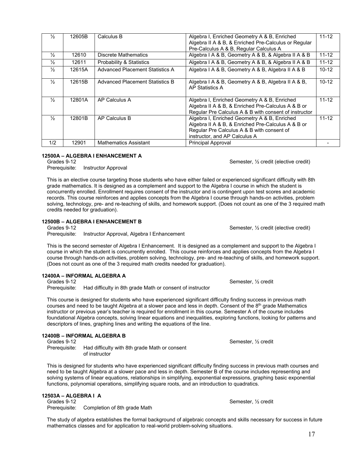| $\frac{1}{2}$ | 12605B | Calculus B                          | Algebra I, Enriched Geometry A & B, Enriched<br>Algebra II A & B, & Enriched Pre-Calculus or Regular                                                                              | $11 - 12$ |
|---------------|--------|-------------------------------------|-----------------------------------------------------------------------------------------------------------------------------------------------------------------------------------|-----------|
|               |        |                                     | Pre-Calculus A & B, Regular Calculus A                                                                                                                                            |           |
| $\frac{1}{2}$ | 12610  | Discrete Mathematics                | Algebra I A & B, Geometry A & B, & Algebra II A & B                                                                                                                               | $11 - 12$ |
| $\frac{1}{2}$ | 12611  | <b>Probability &amp; Statistics</b> | Algebra I A & B, Geometry A & B, & Algebra II A & B                                                                                                                               | $11 - 12$ |
| $\frac{1}{2}$ | 12615A | Advanced Placement Statistics A     | Algebra I A & B, Geometry A & B, Algebra II A & B                                                                                                                                 | $10 - 12$ |
| $\frac{1}{2}$ | 12615B | Advanced Placement Statistics B     | Algebra I A & B, Geometry A & B, Algebra II A & B,<br><b>AP Statistics A</b>                                                                                                      | $10-12$   |
| $\frac{1}{2}$ | 12801A | AP Calculus A                       | Algebra I, Enriched Geometry A & B, Enriched<br>Algebra II A & B, & Enriched Pre-Calculus A & B or<br>Regular Pre Calculus A & B with consent of instructor                       | $11 - 12$ |
| $\frac{1}{2}$ | 12801B | AP Calculus B                       | Algebra I, Enriched Geometry A & B, Enriched<br>Algebra II A & B, & Enriched Pre-Calculus A & B or<br>Regular Pre Calculus A & B with consent of<br>instructor, and AP Calculus A | $11 - 12$ |
| 1/2           | 12901  | <b>Mathematics Assistant</b>        | <b>Principal Approval</b>                                                                                                                                                         |           |

### **12500A – ALGEBRA I ENHANCEMENT A**

Grades 9-12 Semester, 1/2 credit (elective credit) Semester, 1/2 credit (elective credit) Prerequisite: Instructor Approval

This is an elective course targeting those students who have either failed or experienced significant difficulty with 8th grade mathematics. It is designed as a complement and support to the Algebra I course in which the student is concurrently enrolled. Enrollment requires consent of the instructor and is contingent upon test scores and academic records. This course reinforces and applies concepts from the Algebra I course through hands-on activities, problem solving, technology, pre- and re-teaching of skills, and homework support. (Does not count as one of the 3 required math credits needed for graduation).

### **12500B – ALGEBRA I ENHANCEMENT B**

Prerequisite: Instructor Approval, Algebra I Enhancement

This is the second semester of Algebra I Enhancement. It is designed as a complement and support to the Algebra I course in which the student is concurrently enrolled. This course reinforces and applies concepts from the Algebra I course through hands-on activities, problem solving, technology, pre- and re-teaching of skills, and homework support. (Does not count as one of the 3 required math credits needed for graduation).

### **12400A – INFORMAL ALGEBRA A**

Grades 9-12 Semester,  $\frac{1}{2}$  credit Prerequisite: Had difficulty in 8th grade Math or consent of instructor

This course is designed for students who have experienced significant difficulty finding success in previous math courses and need to be taught Algebra at a slower pace and less in depth. Consent of the  $8<sup>th</sup>$  grade Mathematics instructor or previous year's teacher is required for enrollment in this course. Semester A of the course includes foundational Algebra concepts, solving linear equations and inequalities, exploring functions, looking for patterns and descriptors of lines, graphing lines and writing the equations of the line.

### **12400B – INFORMAL ALGEBRA B**

Prerequisite: Had difficulty with 8th grade Math or consent of instructor

This is designed for students who have experienced significant difficulty finding success in previous math courses and need to be taught Algebra at a slower pace and less in depth. Semester B of the course includes representing and solving systems of linear equations, relationships in simplifying, exponential expressions, graphing basic exponential functions, polynomial operations, simplifying square roots, and an introduction to quadratics.

| 12503A - ALGEBRA I A |  |  |  |  |
|----------------------|--|--|--|--|
|                      |  |  |  |  |

Grades 9-12 Semester, 1/2 credit<br>Prerequisite: Completion of 8th grade Math Completion of 8th grade Math

The study of algebra establishes the formal background of algebraic concepts and skills necessary for success in future mathematics classes and for application to real-world problem-solving situations.

Grades 9-12 Semester,  $\frac{1}{2}$  credit (elective credit)

Grades 9-12 Semester,  $\frac{1}{2}$  credit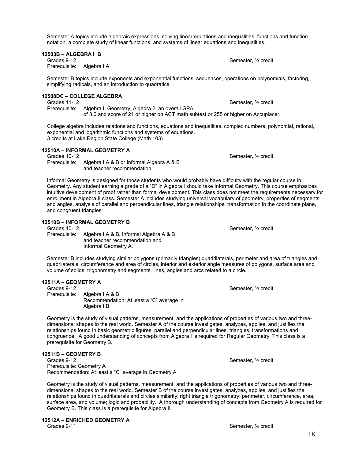Semester A topics include algebraic expressions, solving linear equations and inequalities, functions and function notation, a complete study of linear functions, and systems of linear equations and inequalities.

**12503B – ALGEBRA I B**

Prerequisite: Algebra I A

Semester B topics include exponents and exponential functions, sequences, operations on polynomials, factoring, simplifying radicals, and an introduction to quadratics.

### **12508DC – COLLEGE ALGEBRA**

Grades 11-12 Semester, ½ credit Prerequisite: Algebra I, Geometry, Algebra 2, an overall GPA

of 3.0 and score of 21 or higher on ACT math subtest or 255 or higher on Accuplacer.

College algebra includes relations and functions, equations and inequalities, complex numbers; polynomial, rational, exponential and logarithmic functions and systems of equations. 3 credits at Lake Region State College (Math 103)

### **12510A – INFORMAL GEOMETRY A**

Grades 10-12 Semester, ½ credit Prerequisite: Algebra I A & B or Informal Algebra A & B and teacher recommendation

Informal Geometry is designed for those students who would probably have difficulty with the regular course in Geometry. Any student earning a grade of a "D" in Algebra I should take Informal Geometry. This course emphasizes intuitive development of proof rather than formal development. This class does not meet the requirements necessary for enrollment in Algebra II class. Semester A includes studying universal vocabulary of geometry, properties of segments and angles, analysis of parallel and perpendicular lines, triangle relationships, transformation in the coordinate plane, and congruent triangles.

### **12510B – INFORMAL GEOMETRY B**

Grades 10-12 Semester,  $\frac{1}{2}$  credit

Prerequisite: Algebra I A & B, Informal Algebra A & B and teacher recommendation and Informal Geometry A.

Semester B includes studying similar polygons (primarily triangles) quadrilaterals, perimeter and area of triangles and quadrilaterals, circumference and area of circles, interior and exterior angle measures of polygons, surface area and volume of solids, trigonometry and segments, lines, angles and arcs related to a circle.

### **12511A – GEOMETRY A**

Grades 9-12 Semester, 1/2 credit Prerequisite: Algebra I A & B Recommendation: At least a "C" average in Algebra I B

Geometry is the study of visual patterns, measurement, and the applications of properties of various two and threedimensional shapes to the real world. Semester A of the course investigates, analyzes, applies, and justifies the relationships found in basic geometric figures, parallel and perpendicular lines, triangles, transformations and congruence. A good understanding of concepts from Algebra I is required for Regular Geometry. This class is a prerequisite for Geometry B.

# **12511B – GEOMETRY B**

Prerequisite: Geometry A Recommendation: At least a "C" average in Geometry A

Geometry is the study of visual patterns, measurement, and the applications of properties of various two and threedimensional shapes to the real world. Semester B of the course investigates, analyzes, applies, and justifies the relationships found in quadrilaterals and circles similarity; right triangle trigonometry; perimeter, circumference, area, surface area, and volume; logic and probability. A thorough understanding of concepts from Geometry A is required for Geometry B. This class is a prerequisite for Algebra II.

### **12512A – ENRICHED GEOMETRY A**

Grades 9-11 Semester, 1/2 credit

Semester, 1/2 credit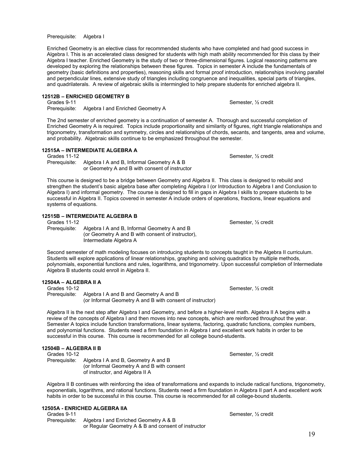### Prerequisite: Algebra I

Enriched Geometry is an elective class for recommended students who have completed and had good success in Algebra I. This is an accelerated class designed for students with high math ability recommended for this class by their Algebra I teacher. Enriched Geometry is the study of two or three-dimensional figures. Logical reasoning patterns are developed by exploring the relationships between these figures. Topics in semester A include the fundamentals of geometry (basic definitions and properties), reasoning skills and formal proof introduction, relationships involving parallel and perpendicular lines, extensive study of triangles including congruence and inequalities, special parts of triangles, and quadrilaterals. A review of algebraic skills is intermingled to help prepare students for enriched algebra II.

### **12512B – ENRICHED GEOMETRY B**

Grades 9-11 Semester, 1/2 credit Prerequisite: Algebra I and Enriched Geometry A

The 2nd semester of enriched geometry is a continuation of semester A. Thorough and successful completion of Enriched Geometry A is required. Topics include proportionality and similarity of figures, right triangle relationships and trigonometry, transformation and symmetry, circles and relationships of chords, secants, and tangents, area and volume, and probability. Algebraic skills continue to be emphasized throughout the semester.

### **12515A – INTERMEDIATE ALGEBRA A**

Grades 11-12 Semester, ½ credit Algebra I A and B, Informal Geometry A & B or Geometry A and B with consent of instructor

This course is designed to be a bridge between Geometry and Algebra II. This class is designed to rebuild and strengthen the student's basic algebra base after completing Algebra I (or Introduction to Algebra I and Conclusion to Algebra I) and informal geometry. The course is designed to fill in gaps in Algebra I skills to prepare students to be successful in Algebra II. Topics covered in semester A include orders of operations, fractions, linear equations and systems of equations.

### **12515B – INTERMEDIATE ALGEBRA B**

Grades 11-12 Semester, 1/2 credit Prerequisite: Algebra I A and B, Informal Geometry A and B (or Geometry A and B with consent of instructor), Intermediate Algebra A

Second semester of math modeling focuses on introducing students to concepts taught in the Algebra II curriculum. Students will explore applications of linear relationships, graphing and solving quadratics by multiple methods, polynomials, exponential functions and rules, logarithms, and trigonometry. Upon successful completion of Intermediate Algebra B students could enroll in Algebra II.

### **12504A – ALGEBRA II A**

Grades 10-12 Semester,  $\frac{1}{2}$  credit Prerequisite: Algebra I A and B and Geometry A and B (or Informal Geometry A and B with consent of instructor)

Algebra II is the next step after Algebra I and Geometry, and before a higher-level math. Algebra II A begins with a review of the concepts of Algebra I and then moves into new concepts, which are reinforced throughout the year. Semester A topics include function transformations, linear systems, factoring, quadratic functions, complex numbers, and polynomial functions. Students need a firm foundation in Algebra I and excellent work habits in order to be successful in this course. This course is recommended for all college bound-students.

# **12504B – ALGEBRA II B**

Grades 10-12<br>Prerequisite: Algebra I A and B, Geometry A and B<br>Prerequisite: Algebra I A and B, Geometry A and B Algebra I A and B, Geometry A and B (or Informal Geometry A and B with consent of instructor, and Algebra II A

Algebra II B continues with reinforcing the idea of transformations and expands to include radical functions, trigonometry, exponentials, logarithms, and rational functions. Students need a firm foundation in Algebra II part A and excellent work habits in order to be successful in this course. This course is recommended for all college-bound students.

### **12505A - ENRICHED ALGEBRA IIA**

Grades 9-11 Semester, ½ credit Prerequisite: Algebra I and Enriched Geometry A & B or Regular Geometry A & B and consent of instructor

19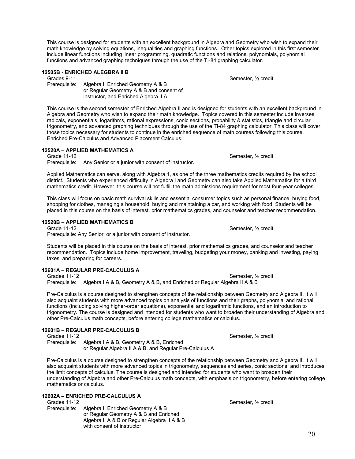This course is designed for students with an excellent background in Algebra and Geometry who wish to expand their math knowledge by solving equations, inequalities and graphing functions. Other topics explored in this first semester include linear functions including linear programming, quadratic functions and relations, polynomials, polynomial functions and advanced graphing techniques through the use of the TI-84 graphing calculator.

### **12505B - ENRICHED ALEGBRA II B**

Grades 9-11 Semester, 1/2 credit Prerequisite: Algebra I, Enriched Geometry A & B or Regular Geometry A & B and consent of instructor, and Enriched Algebra II A

This course is the second semester of Enriched Algebra II and is designed for students with an excellent background in Algebra and Geometry who wish to expand their math knowledge. Topics covered in this semester include inverses, radicals, exponentials, logarithms, rational expressions, conic sections, probability & statistics, triangle and circular trigonometry, and advanced graphing techniques through the use of the TI-84 graphing calculator. This class will cover those topics necessary for students to continue in the enriched sequence of math courses following this course, Enriched Pre-Calculus and Advanced Placement Calculus.

### **12520A – APPLIED MATHEMATICS A**

Grade 11-12 Semester, 1/2 credit<br>Prerequisite: Any Senior or a junior with consent of instructor. Any Senior or a junior with consent of instructor.

Applied Mathematics can serve, along with Algebra 1, as one of the three mathematics credits required by the school district. Students who experienced difficulty in Algebra I and Geometry can also take Applied Mathematics for a third mathematics credit. However, this course will not fulfill the math admissions requirement for most four-year colleges.

This class will focus on basic math survival skills and essential consumer topics such as personal finance, buying food, shopping for clothes, managing a household, buying and maintaining a car, and working with food. Students will be placed in this course on the basis of interest, prior mathematics grades, and counselor and teacher recommendation.

### **12520B – APPLIED MATHEMATICS B**

Grade 11-12 Semester, 1/2 credit Prerequisite: Any Senior, or a junior with consent of instructor.

Students will be placed in this course on the basis of interest, prior mathematics grades, and counselor and teacher recommendation. Topics include home improvement, traveling, budgeting your money, banking and investing, paying taxes, and preparing for careers.

### **12601A – REGULAR PRE-CALCULUS A**

Grades 11-12 Semester, ½ credit Prerequisite: Algebra I A & B, Geometry A & B, and Enriched or Regular Algebra II A & B

Pre-Calculus is a course designed to strengthen concepts of the relationship between Geometry and Algebra II. It will also acquaint students with more advanced topics on analysis of functions and their graphs, polynomial and rational functions (including solving higher-order equations), exponential and logarithmic functions, and an introduction to trigonometry. The course is designed and intended for students who want to broaden their understanding of Algebra and other Pre-Calculus math concepts, before entering college mathematics or calculus.

### **12601B – REGULAR PRE-CALCULUS B**

Grades 11-12 Semester, 1/2 credit Prerequisite: Algebra I A & B, Geometry A & B, Enriched or Regular Algebra II A & B, and Regular Pre-Calculus A

Pre-Calculus is a course designed to strengthen concepts of the relationship between Geometry and Algebra II. It will also acquaint students with more advanced topics in trigonometry, sequences and series, conic sections, and introduces the limit concepts of calculus. The course is designed and intended for students who want to broaden their understanding of Algebra and other Pre-Calculus math concepts, with emphasis on trigonometry, before entering college mathematics or calculus.

### **12602A – ENRICHED PRE-CALCULUS A**

Grades 11-12 Semester, 1/2 credit Prerequisite: Algebra I, Enriched Geometry A & B or Regular Geometry A & B and Enriched Algebra II A & B or Regular Algebra II A & B with consent of instructor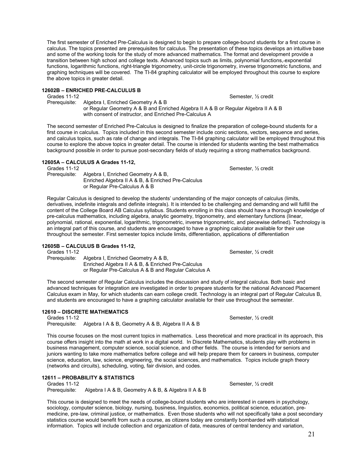The first semester of Enriched Pre-Calculus is designed to begin to prepare college-bound students for a first course in calculus. The topics presented are prerequisites for calculus. The presentation of these topics develops an intuitive base and some of the working tools for the study of more advanced mathematics. The format and development provide a transition between high school and college texts. Advanced topics such as limits, polynomial functions, exponential functions, logarithmic functions, right-triangle trigonometry, unit-circle trigonometry, inverse trigonometric functions, and graphing techniques will be covered. The TI-84 graphing calculator will be employed throughout this course to explore the above topics in greater detail.

### **12602B – ENRICHED PRE-CALCULUS B**

Grades 11-12 Semester, ½ credit Prerequisite: Algebra I, Enriched Geometry A & B or Regular Geometry A & B and Enriched Algebra II A & B or Regular Algebra II A & B with consent of instructor, and Enriched Pre-Calculus A

The second semester of Enriched Pre-Calculus is designed to finalize the preparation of college-bound students for a first course in calculus. Topics included in this second semester include conic sections, vectors, sequence and series, and calculus topics, such as rate of change and integrals. The TI-84 graphing calculator will be employed throughout this course to explore the above topics in greater detail. The course is intended for students wanting the best mathematics background possible in order to pursue post-secondary fields of study requiring a strong mathematics background.

### **12605A – CALCULUS A Grades 11-12,**

Grades 11-12 **Contained Semester, 12 credit** Semester, 12 credit<br>Prerequisite: Algebra I, Enriched Geometry A & B. Algebra I, Enriched Geometry A & B, Enriched Algebra II A & B, & Enriched Pre-Calculus or Regular Pre-Calculus A & B

Regular Calculus is designed to develop the students' understanding of the major concepts of calculus (limits, derivatives, indefinite integrals and definite integrals). It is intended to be challenging and demanding and will fulfill the content of the College Board AB Calculus syllabus. Students enrolling in this class should have a thorough knowledge of pre-calculus mathematics, including algebra, analytic geometry, trigonometry, and elementary functions (linear, polynomial, rational, exponential, logarithmic, trigonometric, inverse trigonometric, and piecewise defined). Technology is an integral part of this course, and students are encouraged to have a graphing calculator available for their use throughout the semester. First semester topics include limits, differentiation, applications of differentiation

### **12605B – CALCULUS B Grades 11-12,**

Grades 11-12 Semester, ½ credit Prerequisite: Algebra I, Enriched Geometry A & B, Enriched Algebra II A & B, & Enriched Pre-Calculus or Regular Pre-Calculus A & B and Regular Calculus A

The second semester of Regular Calculus includes the discussion and study of integral calculus. Both basic and advanced techniques for integration are investigated in order to prepare students for the national Advanced Placement Calculus exam in May, for which students can earn college credit. Technology is an integral part of Regular Calculus B, and students are encouraged to have a graphing calculator available for their use throughout the semester.

### **12610 – DISCRETE MATHEMATICS**

Grades 11-12 Semester, 1/2 credit Prerequisite: Algebra I A & B, Geometry A & B, Algebra II A & B

This course focuses on the most current topics in mathematics. Less theoretical and more practical in its approach, this course offers insight into the math at work in a digital world. In Discrete Mathematics, students play with problems in business management, computer science, social science, and other fields. The course is intended for seniors and juniors wanting to take more mathematics before college and will help prepare them for careers in business, computer science, education, law, science, engineering, the social sciences, and mathematics. Topics include graph theory (networks and circuits), scheduling, voting, fair division, and codes.

### **12611 – PROBABILITY & STATISTICS**

Grades 11-12 Semester,  $\frac{1}{2}$  Semester,  $\frac{1}{2}$  credit Prerequisite: Algebra I A & B, Geometry A & B, & Algebra II A & B

This course is designed to meet the needs of college-bound students who are interested in careers in psychology, sociology, computer science, biology, nursing, business, linguistics, economics, political science, education, premedicine, pre-law, criminal justice, or mathematics. Even those students who will not specifically take a post secondary statistics course would benefit from such a course, as citizens today are constantly bombarded with statistical information. Topics will include collection and organization of data, measures of central tendency and variation,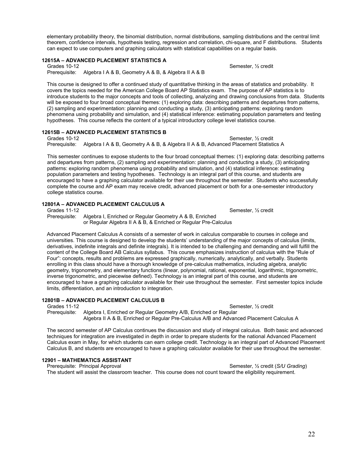elementary probability theory, the binomial distribution, normal distributions, sampling distributions and the central limit theorem, confidence intervals, hypothesis testing, regression and correlation, chi-square, and F distributions. Students can expect to use computers and graphing calculators with statistical capabilities on a regular basis.

# **12615A – ADVANCED PLACEMENT STATISTICS A**

Prerequisite: Algebra I A & B, Geometry A & B, & Algebra II A & B

This course is designed to offer a continued study of quantitative thinking in the areas of statistics and probability. It covers the topics needed for the American College Board AP Statistics exam. The purpose of AP statistics is to introduce students to the major concepts and tools of collecting, analyzing and drawing conclusions from data. Students will be exposed to four broad conceptual themes: (1) exploring data: describing patterns and departures from patterns, (2) sampling and experimentation: planning and conducting a study, (3) anticipating patterns: exploring random phenomena using probability and simulation, and (4) statistical inference: estimating population parameters and testing hypotheses. This course reflects the content of a typical introductory college level statistics course.

### **12615B – ADVANCED PLACEMENT STATISTICS B**

Grades 10-12  $\blacksquare$  Semester,  $\frac{1}{2}$  credit Prerequisite: Algebra I A & B, Geometry A & B, & Algebra II A & B, Advanced Placement Statistics A

This semester continues to expose students to the four broad conceptual themes: (1) exploring data: describing patterns and departures from patterns, (2) sampling and experimentation: planning and conducting a study, (3) anticipating patterns: exploring random phenomena using probability and simulation, and (4) statistical inference: estimating population parameters and testing hypotheses. Technology is an integral part of this course, and students are encouraged to have a graphing calculator available for their use throughout the semester. Students who successfully complete the course and AP exam may receive credit, advanced placement or both for a one-semester introductory college statistics course.

# **12801A – ADVANCED PLACEMENT CALCULUS A**

Grades 11-12 Semester, 1/2 credit<br>Prerequisite: Algebra I, Enriched or Regular Geometry A & B, Enriched Algebra I, Enriched or Regular Geometry A & B, Enriched or Regular Algebra II A & B, & Enriched or Regular Pre-Calculus

Advanced Placement Calculus A consists of a semester of work in calculus comparable to courses in college and universities. This course is designed to develop the students' understanding of the major concepts of calculus (limits, derivatives, indefinite integrals and definite integrals). It is intended to be challenging and demanding and will fulfill the content of the College Board AB Calculus syllabus. This course emphasizes instruction of calculus with the "Rule of Four": concepts, results and problems are expressed graphically, numerically, analytically, and verbally. Students enrolling in this class should have a thorough knowledge of pre-calculus mathematics, including algebra, analytic geometry, trigonometry, and elementary functions (linear, polynomial, rational, exponential, logarithmic, trigonometric, inverse trigonometric, and piecewise defined). Technology is an integral part of this course, and students are encouraged to have a graphing calculator available for their use throughout the semester. First semester topics include limits, differentiation, and an introduction to integration.

# **12801B – ADVANCED PLACEMENT CALCULUS B**

Semester, 1/2 credit

Semester, 1/2 credit

Prerequisite: Algebra I, Enriched or Regular Geometry A/B, Enriched or Regular Algebra II A & B, Enriched or Regular Pre-Calculus A/B and Advanced Placement Calculus A

The second semester of AP Calculus continues the discussion and study of integral calculus. Both basic and advanced techniques for integration are investigated in depth in order to prepare students for the national Advanced Placement Calculus exam in May, for which students can earn college credit. Technology is an integral part of Advanced Placement Calculus B, and students are encouraged to have a graphing calculator available for their use throughout the semester.

# **12901 – MATHEMATICS ASSISTANT**

Semester, 1/<sub>2</sub> credit (*S/U Grading*) The student will assist the classroom teacher. This course does not count toward the eligibility requirement.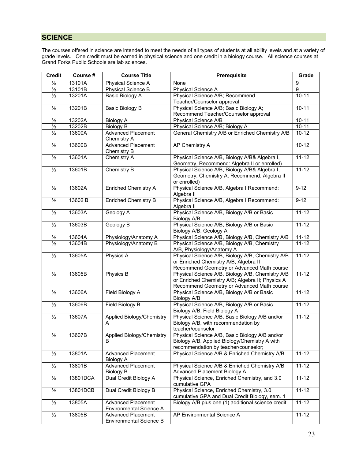### **SCIENCE**

The courses offered in science are intended to meet the needs of all types of students at all ability levels and at a variety of grade levels. One credit must be earned in physical science and one credit in a biology course. All science courses at Grand Forks Public Schools are lab sciences.

| <b>Credit</b> | Course # | <b>Course Title</b>                                         | <b>Prerequisite</b>                                                                                                                                | Grade     |
|---------------|----------|-------------------------------------------------------------|----------------------------------------------------------------------------------------------------------------------------------------------------|-----------|
| $\frac{1}{2}$ | 13101A   | Physical Science A                                          | None                                                                                                                                               | 9         |
| $\frac{1}{2}$ | 13101B   | Physical Science B                                          | Physical Science A                                                                                                                                 | 9         |
| $\frac{1}{2}$ | 13201A   | <b>Basic Biology A</b>                                      | Physical Science A/B; Recommend<br>Teacher/Counselor approval                                                                                      | $10 - 11$ |
| $\frac{1}{2}$ | 13201B   | Basic Biology B                                             | Physical Science A/B; Basic Biology A;<br>Recommend Teacher/Counselor approval                                                                     | $10 - 11$ |
| $\frac{1}{2}$ | 13202A   | <b>Biology A</b>                                            | Physical Science A/B                                                                                                                               | $10 - 11$ |
| $\frac{1}{2}$ | 13202B   | <b>Biology B</b>                                            | Physical Science A/B; Biology A                                                                                                                    | $10 - 11$ |
| $\frac{1}{2}$ | 13600A   | <b>Advanced Placement</b><br>Chemistry A                    | General Chemistry A/B or Enriched Chemistry A/B                                                                                                    | $10-12$   |
| $\frac{1}{2}$ | 13600B   | <b>Advanced Placement</b><br>Chemistry B                    | <b>AP Chemistry A</b>                                                                                                                              | $10-12$   |
| $\frac{1}{2}$ | 13601A   | Chemistry A                                                 | Physical Science A/B, Biology A/B& Algebra I,<br>Geometry, Recommend: Algebra II or enrolled)                                                      | $11 - 12$ |
| $\frac{1}{2}$ | 13601B   | Chemistry B                                                 | Physical Science A/B, Biology A/B& Algebra I,<br>Geometry, Chemistry A, Recommend: Algebra II<br>or enrolled)                                      | $11 - 12$ |
| $\frac{1}{2}$ | 13602A   | <b>Enriched Chemistry A</b>                                 | Physical Science A/B, Algebra I Recommend:<br>Algebra II                                                                                           | $9 - 12$  |
| $\frac{1}{2}$ | 13602 B  | <b>Enriched Chemistry B</b>                                 | Physical Science A/B, Algebra I Recommend:<br>Algebra II                                                                                           | $9-12$    |
| $\frac{1}{2}$ | 13603A   | Geology A                                                   | Physical Science A/B, Biology A/B or Basic<br><b>Biology A/B</b>                                                                                   | $11 - 12$ |
| $\frac{1}{2}$ | 13603B   | Geology B                                                   | Physical Science A/B, Biology A/B or Basic<br>Biology A/B, Geology A                                                                               | $11 - 12$ |
| $\frac{1}{2}$ | 13604A   | Physiology/Anatomy A                                        | Physical Science A/B, Biology A/B, Chemistry A/B                                                                                                   | $11 - 12$ |
| $\frac{1}{2}$ | 13604B   | Physiology/Anatomy B                                        | Physical Science A/B, Biology A/B, Chemistry<br>A/B, Physiology/Anatomy A                                                                          | $11 - 12$ |
| $\frac{1}{2}$ | 13605A   | <b>Physics A</b>                                            | Physical Science A/B, Biology A/B, Chemistry A/B<br>or Enriched Chemistry A/B; Algebra II<br>Recommend Geometry or Advanced Math course            | $11 - 12$ |
| $\frac{1}{2}$ | 13605B   | <b>Physics B</b>                                            | Physical Science A/B, Biology A/B, Chemistry A/B<br>or Enriched Chemistry A/B; Algebra II; Physics A<br>Recommend Geometry or Advanced Math course | $11 - 12$ |
| $\frac{1}{2}$ | 13606A   | <b>Field Biology A</b>                                      | Physical Science A/B, Biology A/B or Basic<br><b>Biology A/B</b>                                                                                   | $11 - 12$ |
| $\frac{1}{2}$ | 13606B   | <b>Field Biology B</b>                                      | Physical Science A/B, Biology A/B or Basic<br>Biology A/B; Field Biology A                                                                         | $11 - 12$ |
| $\frac{1}{2}$ | 13607A   | Applied Biology/Chemistry<br>A                              | Physical Science A/B, Basic Biology A/B and/or<br>Biology A/B, with recommendation by<br>teacher/counselor                                         | $11 - 12$ |
| $\frac{1}{2}$ | 13607B   | Applied Biology/Chemistry<br>В                              | Physical Science A/B, Basic Biology A/B and/or<br>Biology A/B, Applied Biology/Chemistry A with<br>recommendation by teacher/counselor;            |           |
| $\frac{1}{2}$ | 13801A   | <b>Advanced Placement</b><br>Biology A                      | Physical Science A/B & Enriched Chemistry A/B                                                                                                      | $11 - 12$ |
| $\frac{1}{2}$ | 13801B   | <b>Advanced Placement</b><br><b>Biology B</b>               | Physical Science A/B & Enriched Chemistry A/B<br>Advanced Placement Biology A                                                                      | $11 - 12$ |
| $\frac{1}{2}$ | 13801DCA | Dual Credit Biology A                                       | Physical Science, Enriched Chemistry, and 3.0<br>cumulative GPA                                                                                    | $11 - 12$ |
| $\frac{1}{2}$ | 13801DCB | Dual Credit Biology B                                       | Physical Science, Enriched Chemistry, 3.0<br>cumulative GPA and Dual Credit Biology, sem. 1                                                        | $11 - 12$ |
| $\frac{1}{2}$ | 13805A   | <b>Advanced Placement</b><br>Environmental Science A        | Biology A/B plus one (1) additional science credit                                                                                                 | $11 - 12$ |
| $\frac{1}{2}$ | 13805B   | <b>Advanced Placement</b><br><b>Environmental Science B</b> | AP Environmental Science A                                                                                                                         | $11 - 12$ |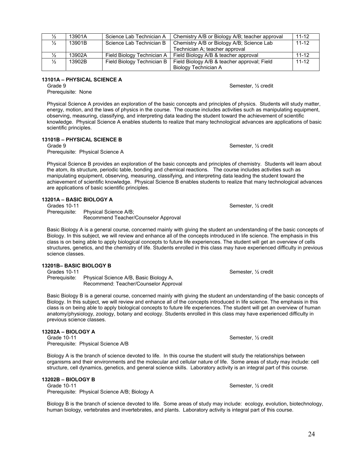| $\frac{1}{2}$ | 13901A | Science Lab Technician A   | Chemistry A/B or Biology A/B; teacher approval | $11 - 12$ |
|---------------|--------|----------------------------|------------------------------------------------|-----------|
| $\frac{1}{2}$ | 13901B | Science Lab Technician B   | Chemistry A/B or Biology A/B; Science Lab      | $11 - 12$ |
|               |        |                            | Technician A; teacher approval                 |           |
| $\frac{1}{2}$ | 13902A | Field Biology Technician A | Field Biology A/B & teacher approval           | $11 - 12$ |
| $\frac{1}{2}$ | 13902B | Field Biology Technician B | Field Biology A/B & teacher approval; Field    | $11 - 12$ |
|               |        |                            | Biology Technician A                           |           |

# **13101A – PHYSICAL SCIENCE A**

Prerequisite: None

Physical Science A provides an exploration of the basic concepts and principles of physics. Students will study matter, energy, motion, and the laws of physics in the course. The course includes activities such as manipulating equipment, observing, measuring, classifying, and interpreting data leading the student toward the achievement of scientific knowledge. Physical Science A enables students to realize that many technological advances are applications of basic scientific principles.

### **13101B – PHYSICAL SCIENCE B**

Grade 9 Semester,  $\frac{1}{2}$  credit Prerequisite: Physical Science A

Physical Science B provides an exploration of the basic concepts and principles of chemistry. Students will learn about the atom, its structure, periodic table, bonding and chemical reactions. The course includes activities such as manipulating equipment, observing, measuring, classifying, and interpreting data leading the student toward the achievement of scientific knowledge. Physical Science B enables students to realize that many technological advances are applications of basic scientific principles.

### **13201A – BASIC BIOLOGY A**

Grades 10-11 Semester, 1/2 credit entitled by the Semester, 1/2 credit entitled by Semester, 1/2 credit Prerequisite: Physical Science A/B; Recommend Teacher/Counselor Approval

Basic Biology A is a general course, concerned mainly with giving the student an understanding of the basic concepts of Biology. In this subject, we will review and enhance all of the concepts introduced in life science. The emphasis in this class is on being able to apply biological concepts to future life experiences. The student will get an overview of cells structures, genetics, and the chemistry of life. Students enrolled in this class may have experienced difficulty in previous science classes.

### **13201B– BASIC BIOLOGY B**

Grades 10-11 Semester, 1/2 credit<br>Prerequisite: Physical Science A/B, Basic Biology A, Physical Science A/B, Basic Biology A, Recommend: Teacher/Counselor Approval

Basic Biology B is a general course, concerned mainly with giving the student an understanding of the basic concepts of Biology. In this subject, we will review and enhance all of the concepts introduced in life science. The emphasis in this class is on being able to apply biological concepts to future life experiences. The student will get an overview of human anatomy/physiology, zoology, botany and ecology. Students enrolled in this class may have experienced difficulty in previous science classes.

# **13202A – BIOLOGY A**

Prerequisite: Physical Science A/B

Biology A is the branch of science devoted to life. In this course the student will study the relationships between organisms and their environments and the molecular and cellular nature of life. Some areas of study may include: cell structure, cell dynamics, genetics, and general science skills. Laboratory activity is an integral part of this course.

# **13202B – BIOLOGY B**

Prerequisite: Physical Science A/B; Biology A

Biology B is the branch of science devoted to life. Some areas of study may include: ecology, evolution, biotechnology, human biology, vertebrates and invertebrates, and plants. Laboratory activity is integral part of this course.

Semester, 1/2 credit

Semester, 1/2 credit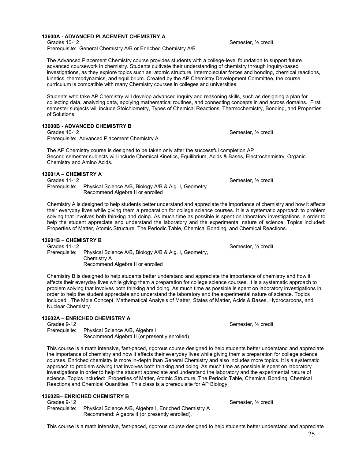**13600A - ADVANCED PLACEMENT CHEMISTRY A** Grades 10-12 Semester,  $\frac{1}{2}$  credit

Prerequisite: General Chemistry A/B or Enriched Chemistry A/B

The Advanced Placement Chemistry course provides students with a college-level foundation to support future advanced coursework in chemistry. Students cultivate their understanding of chemistry through inquiry-based investigations, as they explore topics such as: atomic structure, intermolecular forces and bonding, chemical reactions, kinetics, thermodynamics, and equilibrium. Created by the AP Chemistry Development Committee, the course curriculum is compatible with many Chemistry courses in colleges and universities.

Students who take AP Chemistry will develop advanced inquiry and reasoning skills, such as designing a plan for collecting data, analyzing data, applying mathematical routines, and connecting concepts in and across domains. First semester subjects will include Stoichiometry, Types of Chemical Reactions, Thermochemistry, Bonding, and Properties of Solutions.

### **13600B - ADVANCED CHEMISTRY B**

Grades 10-12 Semester,  $\frac{1}{2}$  credit Prerequisite: Advanced Placement Chemistry A

The AP Chemistry course is designed to be taken only after the successful completion AP Second semester subjects will include Chemical Kinetics, Equilibrium, Acids & Bases, Electrochemistry, Organic Chemistry and Amino Acids.

### **13601A – CHEMISTRY A**

Grades 11-12 Semester,  $\frac{1}{2}$  credit Prerequisite: Physical Science A/B, Biology A/B & Alg. I, Geometry Recommend Algebra II or enrolled

Chemistry A is designed to help students better understand and appreciate the importance of chemistry and how it affects their everyday lives while giving them a preparation for college science courses. It is a systematic approach to problem solving that involves both thinking and doing. As much time as possible is spent on laboratory investigations in order to help the student appreciate and understand the laboratory and the experimental nature of science. Topics included: Properties of Matter, Atomic Structure, The Periodic Table, Chemical Bonding, and Chemical Reactions.

### **13601B – CHEMISTRY B**

Prerequisite: Physical Science A/B, Biology A/B & Alg. I, Geometry, Chemistry A Recommend Algebra II or enrolled

Chemistry B is designed to help students better understand and appreciate the importance of chemistry and how it affects their everyday lives while giving them a preparation for college science courses. It is a systematic approach to problem solving that involves both thinking and doing. As much time as possible is spent on laboratory investigations in order to help the student appreciate and understand the laboratory and the experimental nature of science. Topics included: The Mole Concept, Mathematical Analysis of Matter, States of Matter, Acids & Bases, Hydrocarbons, and Nuclear Chemistry.

### **13602A – ENRICHED CHEMISTRY A**

Grades 9-12 Semester,  $\frac{1}{2}$  credit Prerequisite: Physical Science A/B, Algebra I Recommend Algebra II (or presently enrolled)

This course is a math intensive, fast-paced, rigorous course designed to help students better understand and appreciate the importance of chemistry and how it affects their everyday lives while giving them a preparation for college science courses. Enriched chemistry is more in-depth than General Chemistry and also includes more topics. It is a systematic approach to problem solving that involves both thinking and doing. As much time as possible is spent on laboratory investigations in order to help the student appreciate and understand the laboratory and the experimental nature of science. Topics included: Properties of Matter, Atomic Structure, The Periodic Table, Chemical Bonding, Chemical Reactions and Chemical Quantities. This class is a prerequisite for AP Biology.

This course is a math intensive, fast-paced, rigorous course designed to help students better understand and appreciate

### **13602B– ENRICHED CHEMISTRY B**

Prerequisite: Physical Science A/B, Algebra I, Enriched Chemistry A Recommend: Algebra II (or presently enrolled),

Grades 9-12 Semester, 1/2 credit

Grades 11-12 Semester, 1/2 credit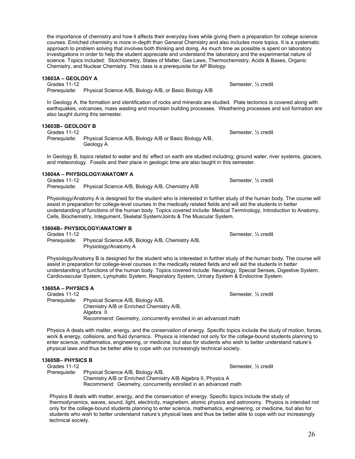the importance of chemistry and how it affects their everyday lives while giving them a preparation for college science courses. Enriched chemistry is more in-depth than General Chemistry and also includes more topics. It is a systematic approach to problem solving that involves both thinking and doing. As much time as possible is spent on laboratory investigations in order to help the student appreciate and understand the laboratory and the experimental nature of science. Topics included: Stoichiometry, States of Matter, Gas Laws, Thermochemistry, Acids & Bases, Organic Chemistry, and Nuclear Chemistry. This class is a prerequisite for AP Biology.

### **13603A – GEOLOGY A**

Grades 11-12 Semester, *1* Semester, *1* Semester, *1* Semester, *1* Semester, *1* Semester, *1* Semester, *1* Semester, *1* Semester, *1* Semester, *1* Semester, *1* Semester, *1* Semester, *1* Semester, *1* Semester, *1* 

Prerequisite: Physical Science A/B, Biology A/B, or Basic Biology A/B

In Geology A, the formation and identification of rocks and minerals are studied. Plate tectonics is covered along with earthquakes, volcanoes, mass wasting and mountain building processes. Weathering processes and soil formation are also taught during this semester.

### **13603B– GEOLOGY B**

Grades 11-12 Semester,  $\frac{1}{2}$  credit Prerequisite: Physical Science A/B, Biology A/B or Basic Biology A/B, Geology A

In Geology B, topics related to water and its' effect on earth are studied including; ground water, river systems, glaciers, and meteorology. Fossils and their place in geologic time are also taught in this semester.

### **13604A – PHYSIOLOGY/ANATOMY A**

Grades 11-12 Semester,  $\frac{1}{2}$  credit Prerequisite: Physical Science A/B, Biology A/B, Chemistry A/B

Physiology/Anatomy A is designed for the student who is interested in further study of the human body. The course will assist in preparation for college-level courses in the medically related fields and will aid the students in better understanding of functions of the human body. Topics covered include: Medical Terminology, Introduction to Anatomy, Cells, Biochemistry, Integument, Skeletal System/Joints & The Muscular System.

#### **13604B– PHYSIOLOGY/ANATOMY B**

Grades 11-12 Semester, 1/2 Credit Control of the Semester, 1/2 Credit Credit Credit Credit Credit Credit Credit Credit Credit Credit Credit Credit Credit Credit Credit Credit Credit Credit Credit Credit Credit Credit Credi

Prerequisite: Physical Science A/B, Biology A/B, Chemistry A/B, Physiology/Anatomy A

Physiology/Anatomy B is designed for the student who is interested in further study of the human body. The course will assist in preparation for college-level courses in the medically related fields and will aid the students in better understanding of functions of the human body. Topics covered include: Neurology, Special Senses, Digestive System, Cardiovascular System, Lymphatic System, Respiratory System, Urinary System & Endocrine System.

### **13605A – PHYSICS A**

Grades 11-12 Semester,  $\frac{1}{2}$  credit Prerequisite: Physical Science A/B, Biology A/B, Chemistry A/B or Enriched Chemistry A/B, Algebra II Recommend: Geometry, concurrently enrolled in an advanced math

Physics A deals with matter, energy, and the conservation of energy. Specific topics include the study of motion, forces, work & energy, collisions, and fluid dynamics. Physics is intended not only for the college-bound students planning to enter science, mathematics, engineering, or medicine, but also for students who wish to better understand nature's physical laws and thus be better able to cope with our increasingly technical society.

# **13605B– PHYSICS B**

Grades 11-12<br>Prerequisite: Physical Science A/B, Biology A/B, Superveyor Semester, 1/2 credit Physical Science A/B, Biology A/B, Chemistry A/B or Enriched Chemistry A/B Algebra II, Physics A Recommend: Geometry, concurrently enrolled in an advanced math

Physics B deals with matter, energy, and the conservation of energy. Specific topics include the study of thermodynamics, waves, sound, light, electricity, magnetism, atomic physics and astronomy. Physics is intended not only for the college-bound students planning to enter science, mathematics, engineering, or medicine, but also for students who wish to better understand nature's physical laws and thus be better able to cope with our increasingly technical society.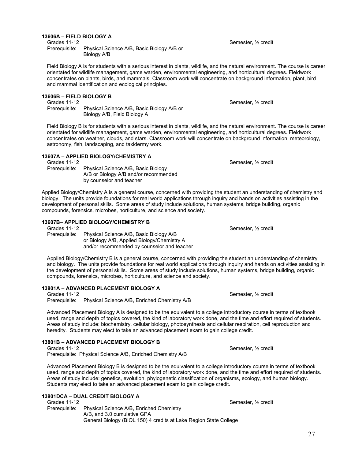### **13606A – FIELD BIOLOGY A**

Grades 11-12 Semester,  $\frac{1}{2}$  credit Prerequisite: Physical Science A/B, Basic Biology A/B or Biology A/B

Field Biology A is for students with a serious interest in plants, wildlife, and the natural environment. The course is career orientated for wildlife management, game warden, environmental engineering, and horticultural degrees. Fieldwork concentrates on plants, birds, and mammals. Classroom work will concentrate on background information, plant, bird and mammal identification and ecological principles.

### **13606B – FIELD BIOLOGY B**

Grades 11-12 Semester, ½ credit

Prerequisite: Physical Science A/B, Basic Biology A/B or Biology A/B, Field Biology A

Field Biology B is for students with a serious interest in plants, wildlife, and the natural environment. The course is career orientated for wildlife management, game warden, environmental engineering, and horticultural degrees. Fieldwork concentrates on weather, clouds, and stars. Classroom work will concentrate on background information, meteorology, astronomy, fish, landscaping, and taxidermy work.

### **13607A – APPLIED BIOLOGY/CHEMISTRY A**

Grades 11-12 Semester, ½ credit Prerequisite: Physical Science A/B, Basic Biology A/B or Biology A/B and/or recommended by counselor and teacher

Applied Biology/Chemistry A is a general course, concerned with providing the student an understanding of chemistry and biology. The units provide foundations for real world applications through inquiry and hands on activities assisting in the development of personal skills. Some areas of study include solutions, human systems, bridge building, organic compounds, forensics, microbes, horticulture, and science and society.

### **13607B– APPLIED BIOLOGY/CHEMISTRY B**

Grades 11-12 Semester, 1/2 credit

Prerequisite: Physical Science A/B, Basic Biology A/B or Biology A/B, Applied Biology/Chemistry A and/or recommended by counselor and teacher

Applied Biology/Chemistry B is a general course, concerned with providing the student an understanding of chemistry and biology. The units provide foundations for real world applications through inquiry and hands on activities assisting in the development of personal skills. Some areas of study include solutions, human systems, bridge building, organic compounds, forensics, microbes, horticulture, and science and society.

### **13801A – ADVANCED PLACEMENT BIOLOGY A**

Grades 11-12 Semester,  $\frac{1}{2}$  Semester,  $\frac{1}{2}$  credit

Prerequisite: Physical Science A/B, Enriched Chemistry A/B

Advanced Placement Biology A is designed to be the equivalent to a college introductory course in terms of textbook used, range and depth of topics covered, the kind of laboratory work done, and the time and effort required of students. Areas of study include: biochemistry, cellular biology, photosynthesis and cellular respiration, cell reproduction and heredity. Students may elect to take an advanced placement exam to gain college credit.

### **13801B – ADVANCED PLACEMENT BIOLOGY B**

Grades 11-12 Semester,  $\frac{1}{2}$  credit Prerequisite: Physical Science A/B, Enriched Chemistry A/B

Advanced Placement Biology B is designed to be the equivalent to a college introductory course in terms of textbook used, range and depth of topics covered, the kind of laboratory work done, and the time and effort required of students. Areas of study include: genetics, evolution, phylogenetic classification of organisms, ecology, and human biology. Students may elect to take an advanced placement exam to gain college credit.

### **13801DCA – DUAL CREDIT BIOLOGY A**

Grades 11-12 Semester, ½ credit Prerequisite: Physical Science A/B, Enriched Chemistry A/B, and 3.0 cumulative GPA General Biology (BIOL 150) 4 credits at Lake Region State College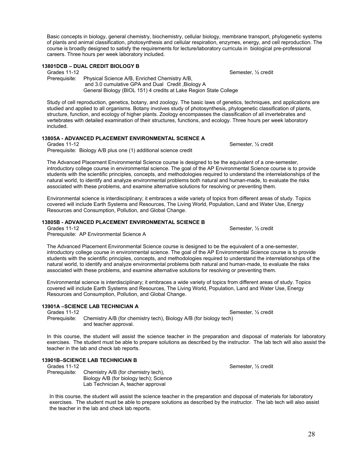Basic concepts in biology, general chemistry, biochemistry, cellular biology, membrane transport, phylogenetic systems of plants and animal classification, photosynthesis and cellular respiration, enzymes, energy, and cell reproduction. The course is broadly designed to satisfy the requirements for lecture/laboratory curricula in biological pre-professional careers. Three hours per week laboratory included.

### **13801DCB – DUAL CREDIT BIOLOGY B**

Grades 11-12 Semester, ½ credit

Prerequisite: Physical Science A/B, Enriched Chemistry A/B, and 3.0 cumulative GPA and Dual Credit ,Biology A General Biology (BIOL 151) 4 credits at Lake Region State College

Study of cell reproduction, genetics, botany, and zoology. The basic laws of genetics, techniques, and applications are studied and applied to all organisms. Botany involves study of photosynthesis, phylogenetic classification of plants, structure, function, and ecology of higher plants. Zoology encompasses the classification of all invertebrates and vertebrates with detailed examination of their structures, functions, and ecology. Three hours per week laboratory included.

### **13805A - ADVANCED PLACEMENT ENVIRONMENTAL SCIENCE A**

Grades 11-12 Semester, ½ credit Prerequisite: Biology A/B plus one (1) additional science credit

The Advanced Placement Environmental Science course is designed to be the equivalent of a one-semester, introductory college course in environmental science. The goal of the AP Environmental Science course is to provide students with the scientific principles, concepts, and methodologies required to understand the interrelationships of the natural world, to identify and analyze environmental problems both natural and human-made, to evaluate the risks associated with these problems, and examine alternative solutions for resolving or preventing them.

Environmental science is interdisciplinary; it embraces a wide variety of topics from different areas of study. Topics covered will include Earth Systems and Resources, The Living World, Population, Land and Water Use, Energy Resources and Consumption, Pollution, and Global Change.

### **13805B - ADVANCED PLACEMENT ENVIRONMENTAL SCIENCE B**

Grades 11-12 Semester, ½ credit Prerequisite: AP Environmental Science A

The Advanced Placement Environmental Science course is designed to be the equivalent of a one-semester, introductory college course in environmental science. The goal of the AP Environmental Science course is to provide students with the scientific principles, concepts, and methodologies required to understand the interrelationships of the natural world, to identify and analyze environmental problems both natural and human-made, to evaluate the risks associated with these problems, and examine alternative solutions for resolving or preventing them.

Environmental science is interdisciplinary; it embraces a wide variety of topics from different areas of study. Topics covered will include Earth Systems and Resources, The Living World, Population, Land and Water Use, Energy Resources and Consumption, Pollution, and Global Change.

### **13901A –SCIENCE LAB TECHNICIAN A**

Grades 11-12 Semester, ½ credit

Prerequisite: Chemistry A/B (for chemistry tech), Biology A/B (for biology tech) and teacher approval.

In this course, the student will assist the science teacher in the preparation and disposal of materials for laboratory exercises. The student must be able to prepare solutions as described by the instructor. The lab tech will also assist the teacher in the lab and check lab reports.

# **13901B–SCIENCE LAB TECHNICIAN B**

Grades 11-12 Chemistry A/B (for chemistry tech), Semester, 1/2 credit Semester, 1/2 credit Chemistry A/B (for chemistry tech), Biology A/B (for biology tech); Science Lab Technician A, teacher approval

In this course, the student will assist the science teacher in the preparation and disposal of materials for laboratory exercises. The student must be able to prepare solutions as described by the instructor. The lab tech will also assist the teacher in the lab and check lab reports.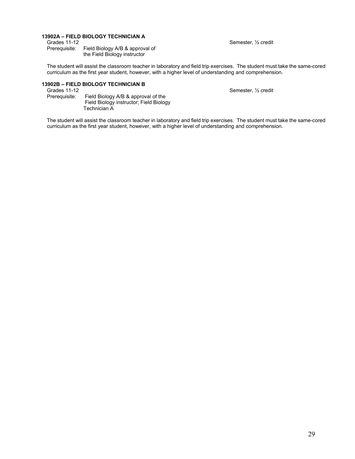# **13902A – FIELD BIOLOGY TECHNICIAN A**

Grades 11-12 **Semester, 12** credit Prerequisite: Field Biology A/B & approval of Field Biology A/B & approval of the Field Biology instructor

The student will assist the classroom teacher in laboratory and field trip exercises. The student must take the same-cored curriculum as the first year student, however, with a higher level of understanding and comprehension.

### **13902B – FIELD BIOLOGY TECHNICIAN B**

Prerequisite: Field Biology A/B & approval of the Field Biology instructor; Field Biology Technician A

Grades 11-12 Semester, ½ credit

The student will assist the classroom teacher in laboratory and field trip exercises. The student must take the same-cored curriculum as the first year student, however, with a higher level of understanding and comprehension.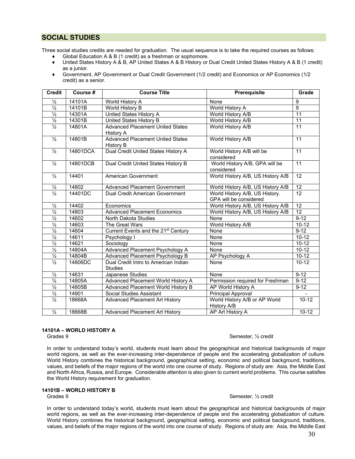### **SOCIAL STUDIES**

Three social studies credits are needed for graduation. The usual sequence is to take the required courses as follows:

- Global Education A & B (1 credit) as a freshman or sophomore.
- ♦ United States History A & B, AP United States A & B History or Dual Credit United States History A & B (1 credit) as a junior.
- ♦ Government, AP Government or Dual Credit Government (1/2 credit) and Economics or AP Economics (1/2 credit) as a senior.

| <b>Credit</b>            | Course # | <b>Course Title</b>                                         | <b>Prerequisite</b>                                      | Grade            |
|--------------------------|----------|-------------------------------------------------------------|----------------------------------------------------------|------------------|
| $\frac{1}{2}$            | 14101A   | World History A                                             | None                                                     | $\boldsymbol{9}$ |
| $\frac{1}{2}$            | 14101B   | World History B                                             | World History A                                          | $\overline{9}$   |
| $\frac{1}{2}$            | 14301A   | United States History A                                     | World History A/B                                        | 11               |
| $\frac{1}{2}$            | 14301B   | United States History B                                     | World History A/B                                        | $\overline{11}$  |
| $\frac{1}{2}$            | 14801A   | <b>Advanced Placement United States</b><br><b>History A</b> | World History A/B                                        | $\overline{11}$  |
| $\overline{\frac{1}{2}}$ | 14801B   | <b>Advanced Placement United States</b><br><b>History B</b> | World History A/B                                        | $\overline{11}$  |
| $\overline{\frac{1}{2}}$ | 14801DCA | Dual Credit United States History A                         | World History A/B will be<br>considered                  | $\overline{11}$  |
| $\frac{1}{2}$            | 14801DCB | Dual Credit United States History B                         | World History A/B, GPA will be<br>considered             | $\overline{11}$  |
| $\overline{\frac{1}{2}}$ | 14401    | American Government                                         | World History A/B, US History A/B                        | 12               |
| $\frac{1}{2}$            | 14802    | <b>Advanced Placement Government</b>                        | World History A/B, US History A/B                        | $\overline{12}$  |
| $\frac{1}{2}$            | 14401DC  | Dual Credit American Government                             | World History A/B, US History.<br>GPA will be considered | 12               |
| $\frac{1}{2}$            | 14402    | Economics                                                   | World History A/B, US History A/B                        | $\overline{12}$  |
| $\frac{1}{2}$            | 14803    | <b>Advanced Placement Economics</b>                         | World History A/B, US History A/B                        | $\overline{12}$  |
| $\frac{1}{2}$            | 14602    | North Dakota Studies                                        | None                                                     | $9-12$           |
| $\frac{1}{2}$            | 14603    | The Great Wars                                              | World History A/B                                        | $10-12$          |
| $\frac{1}{2}$            | 14604    | Current Events and the 21 <sup>st</sup> Century             | None                                                     | $9 - 12$         |
| $\frac{1}{2}$            | 14611    | Psychology I                                                | None                                                     | $10-12$          |
| $\frac{1}{2}$            | 14621    | Sociology                                                   | None                                                     | $10-12$          |
| $\frac{1}{2}$            | 14804A   | <b>Advanced Placement Psychology A</b>                      | None                                                     | $10-12$          |
| $\frac{1}{2}$            | 14804B   | Advanced Placement Psychology B                             | AP Psychology A                                          | $10 - 12$        |
| $\frac{1}{2}$            | 14806DC  | Dual Credit Intro to American Indian<br><b>Studies</b>      | None                                                     | $10 - 12$        |
| $\frac{1}{2}$            | 14631    | Japanese Studies                                            | None                                                     | $9 - 12$         |
| $\frac{1}{2}$            | 14805A   | Advanced Placement World History A                          | Permission required for Freshman                         | $9 - 12$         |
| $\frac{1}{2}$            | 14805B   | Advanced Placement World History B                          | AP World History A                                       | $9 - 12$         |
| $\frac{1}{2}$            | 14901    | Social Studies Assistant                                    | <b>Principal Approval</b>                                |                  |
| $\frac{1}{2}$            | 18668A   | <b>Advanced Placement Art History</b>                       | World History A/B or AP World<br><b>History A/B</b>      | $10-12$          |
| $\frac{1}{2}$            | 18668B   | Advanced Placement Art History                              | AP Art History A                                         | $10 - 12$        |

### **14101A – WORLD HISTORY A**

Grades 9 Semester, <sup>1/2</sup> credit

In order to understand today's world, students must learn about the geographical and historical backgrounds of major world regions, as well as the ever-increasing inter-dependence of people and the accelerating globalization of culture. World History combines the historical background, geographical setting, economic and political background, traditions, values, and beliefs of the major regions of the world into one course of study. Regions of study are: Asia, the Middle East and North Africa, Russia, and Europe. Considerable attention is also given to current world problems. This course satisfies the World History requirement for graduation.

### **14101B – WORLD HISTORY B**

Grades 9 Semester, <sup>1</sup>/<sub>2</sub> credit **Contract 2** Semester, <sup>1</sup>/<sub>2</sub> credit

In order to understand today's world, students must learn about the geographical and historical backgrounds of major world regions, as well as the ever-increasing inter-dependence of people and the accelerating globalization of culture. World History combines the historical background, geographical setting, economic and political background, traditions, values, and beliefs of the major regions of the world into one course of study. Regions of study are: Asia, the Middle East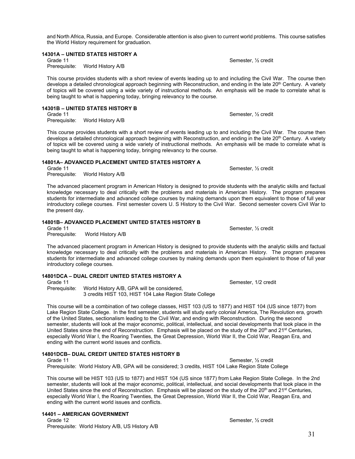and North Africa, Russia, and Europe. Considerable attention is also given to current world problems. This course satisfies the World History requirement for graduation.

# **14301A – UNITED STATES HISTORY A**

Prerequisite: World History A/B

This course provides students with a short review of events leading up to and including the Civil War. The course then develops a detailed chronological approach beginning with Reconstruction, and ending in the late  $20<sup>th</sup>$  Century. A variety of topics will be covered using a wide variety of instructional methods. An emphasis will be made to correlate what is being taught to what is happening today, bringing relevancy to the course.

### **14301B – UNITED STATES HISTORY B**

Grade 11 Semester, 1/2 credit

Prerequisite: World History A/B

This course provides students with a short review of events leading up to and including the Civil War. The course then develops a detailed chronological approach beginning with Reconstruction, and ending in the late 20<sup>th</sup> Century. A variety of topics will be covered using a wide variety of instructional methods. An emphasis will be made to correlate what is being taught to what is happening today, bringing relevancy to the course.

### **14801A– ADVANCED PLACEMENT UNITED STATES HISTORY A**

Grade 11 Semester, 1/2 credit entitled by the semester of the Semester, 1/2 credit Prerequisite: World History A/B

The advanced placement program in American History is designed to provide students with the analytic skills and factual knowledge necessary to deal critically with the problems and materials in American History. The program prepares students for intermediate and advanced college courses by making demands upon them equivalent to those of full year introductory college courses. First semester covers U. S History to the Civil War. Second semester covers Civil War to the present day.

### **14801B– ADVANCED PLACEMENT UNITED STATES HISTORY B**

Grade 11 Semester, 1/2 credit Prerequisite: World History A/B

The advanced placement program in American History is designed to provide students with the analytic skills and factual knowledge necessary to deal critically with the problems and materials in American History. The program prepares students for intermediate and advanced college courses by making demands upon them equivalent to those of full year introductory college courses.

### **14801DCA – DUAL CREDIT UNITED STATES HISTORY A**

Grade 11 Semester, 1/2 credit Prerequisite: World History A/B, GPA will be considered, 3 credits HIST 103, HIST 104 Lake Region State College

This course will be a combination of two college classes, HIST 103 (US to 1877) and HIST 104 (US since 1877) from Lake Region State College. In the first semester, students will study early colonial America, The Revolution era, growth of the United States, sectionalism leading to the Civil War, and ending with Reconstruction. During the second semester, students will look at the major economic, political, intellectual, and social developments that took place in the United States since the end of Reconstruction. Emphasis will be placed on the study of the 20<sup>th</sup> and 21<sup>st</sup> Centuries, especially World War I, the Roaring Twenties, the Great Depression, World War II, the Cold War, Reagan Era, and ending with the current world issues and conflicts.

# **14801DCB– DUAL CREDIT UNITED STATES HISTORY B**

Semester, 1/2 credit Prerequisite: World History A/B, GPA will be considered; 3 credits, HIST 104 Lake Region State College

This course will be HIST 103 (US to 1877) and HIST 104 (US since 1877) from Lake Region State College. In the 2nd semester, students will look at the major economic, political, intellectual, and social developments that took place in the United States since the end of Reconstruction. Emphasis will be placed on the study of the 20<sup>th</sup> and 21<sup>st</sup> Centuries, especially World War I, the Roaring Twenties, the Great Depression, World War II, the Cold War, Reagan Era, and ending with the current world issues and conflicts.

### **14401 – AMERICAN GOVERNMENT**

Grade 12 Semester, 1/2 credit Prerequisite: World History A/B, US History A/B

31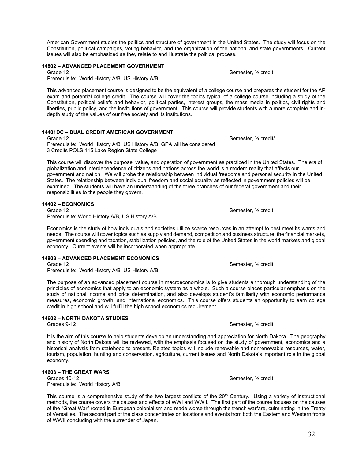American Government studies the politics and structure of government in the United States. The study will focus on the Constitution, political campaigns, voting behavior, and the organization of the national and state governments. Current issues will also be emphasized as they relate to and illustrate the political process.

### **14802 – ADVANCED PLACEMENT GOVERNMENT**

Prerequisite: World History A/B, US History A/B

This advanced placement course is designed to be the equivalent of a college course and prepares the student for the AP exam and potential college credit. The course will cover the topics typical of a college course including a study of the Constitution, political beliefs and behavior, political parties, interest groups, the mass media in politics, civil rights and liberties, public policy, and the institutions of government. This course will provide students with a more complete and indepth study of the values of our free society and its institutions.

### **14401DC – DUAL CREDIT AMERICAN GOVERNMENT**

Grade 12 Semester, 1/2 credit/ Prerequisite: World History A/B, US History A/B, GPA will be considered 3 Credits POLS 115 Lake Region State College

This course will discover the purpose, value, and operation of government as practiced in the United States. The era of globalization and interdependence of citizens and nations across the world is a modern reality that affects our government and nation. We will probe the relationship between individual freedoms and personal security in the United States. The relationship between individual freedom and social equality as reflected in government policies will be examined. The students will have an understanding of the three branches of our federal government and their responsibilities to the people they govern.

# **14402 – ECONOMICS**

Prerequisite: World History A/B, US History A/B

Economics is the study of how individuals and societies utilize scarce resources in an attempt to best meet its wants and needs. The course will cover topics such as supply and demand, competition and business structure, the financial markets, government spending and taxation, stabilization policies, and the role of the United States in the world markets and global economy. Current events will be incorporated when appropriate.

### **14803 – ADVANCED PLACEMENT ECONOMICS**

Grade 12 Semester,  $\frac{1}{2}$  credit

Prerequisite: World History A/B, US History A/B

The purpose of an advanced placement course in macroeconomics is to give students a thorough understanding of the principles of economics that apply to an economic system as a whole. Such a course places particular emphasis on the study of national income and price determination, and also develops student's familiarity with economic performance measures, economic growth, and international economics. This course offers students an opportunity to earn college credit in high school and will fulfill the high school economics requirement.

### **14602 – NORTH DAKOTA STUDIES**

It is the aim of this course to help students develop an understanding and appreciation for North Dakota. The geography and history of North Dakota will be reviewed, with the emphasis focused on the study of government, economics and a historical analysis from statehood to present. Related topics will include renewable and nonrenewable resources, water, tourism, population, hunting and conservation, agriculture, current issues and North Dakota's important role in the global economy.

### **14603 – THE GREAT WARS**

Grades 10-12 Semester,  $\frac{1}{2}$  credit Prerequisite: World History A/B

This course is a comprehensive study of the two largest conflicts of the  $20<sup>th</sup>$  Century. Using a variety of instructional methods, the course covers the causes and effects of WWI and WWII. The first part of the course focuses on the causes of the "Great War" rooted in European colonialism and made worse through the trench warfare, culminating in the Treaty of Versailles. The second part of the class concentrates on locations and events from both the Eastern and Western fronts of WWII concluding with the surrender of Japan.

Semester, 1/2 credit

Grades 9-12 Semester,  $\frac{1}{2}$  credit

Grade 12 Semester, 1/2 credit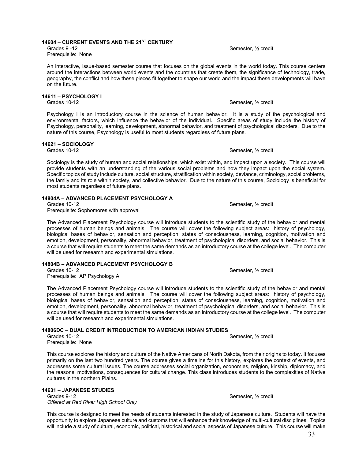### **14604 – CURRENT EVENTS AND THE 21ST CENTURY**

Prerequisite: None

An interactive, issue-based semester course that focuses on the global events in the world today. This course centers around the interactions between world events and the countries that create them, the significance of technology, trade, geography, the conflict and how these pieces fit together to shape our world and the impact these developments will have on the future.

### **14611 – PSYCHOLOGY I**

Grades 10-12 Semester,  $\frac{1}{2}$  credit

Psychology I is an introductory course in the science of human behavior. It is a study of the psychological and environmental factors, which influence the behavior of the individual. Specific areas of study include the history of Psychology, personality, learning, development, abnormal behavior, and treatment of psychological disorders. Due to the nature of this course, Psychology is useful to most students regardless of future plans.

# **14621 – SOCIOLOGY**

Sociology is the study of human and social relationships, which exist within, and impact upon a society. This course will provide students with an understanding of the various social problems and how they impact upon the social system. Specific topics of study include culture, social structure, stratification within society, deviance, criminology, social problems, the family and its role within society, and collective behavior. Due to the nature of this course, Sociology is beneficial for most students regardless of future plans.

### **14804A – ADVANCED PLACEMENT PSYCHOLOGY A**

Grades 10-12 Semester,  $\frac{1}{2}$  credit Prerequisite: Sophomores with approval

The Advanced Placement Psychology course will introduce students to the scientific study of the behavior and mental processes of human beings and animals. The course will cover the following subject areas: history of psychology, biological bases of behavior, sensation and perception, states of consciousness, learning, cognition, motivation and emotion, development, personality, abnormal behavior, treatment of psychological disorders, and social behavior. This is a course that will require students to meet the same demands as an introductory course at the college level. The computer will be used for research and experimental simulations.

# **14804B – ADVANCED PLACEMENT PSYCHOLOGY B**

Prerequisite: AP Psychology A

The Advanced Placement Psychology course will introduce students to the scientific study of the behavior and mental processes of human beings and animals. The course will cover the following subject areas: history of psychology, biological bases of behavior, sensation and perception, states of consciousness, learning, cognition, motivation and emotion, development, personality, abnormal behavior, treatment of psychological disorders, and social behavior. This is a course that will require students to meet the same demands as an introductory course at the college level. The computer will be used for research and experimental simulations.

### **14806DC – DUAL CREDIT INTRODUCTION TO AMERICAN INDIAN STUDIES**

Grades 10-12 Semester,  $\frac{1}{2}$  credit Prerequisite: None

This course explores the history and culture of the Native Americans of North Dakota, from their origins to today. It focuses primarily on the last two hundred years. The course gives a timeline for this history, explores the context of events, and addresses some cultural issues. The course addresses social organization, economies, religion, kinship, diplomacy, and the reasons, motivations, consequences for cultural change. This class introduces students to the complexities of Native cultures in the northern Plains.

### **14631 – JAPANESE STUDIES**

Grades 9-12 Semester,  $\frac{1}{2}$  credit *Offered at Red River High School Only*

This course is designed to meet the needs of students interested in the study of Japanese culture. Students will have the opportunity to explore Japanese culture and customs that will enhance their knowledge of multi-cultural disciplines. Topics will include a study of cultural, economic, political, historical and social aspects of Japanese culture. This course will make

Grades 9 -12 Semester, 1/2 credit

Semester, 1/2 credit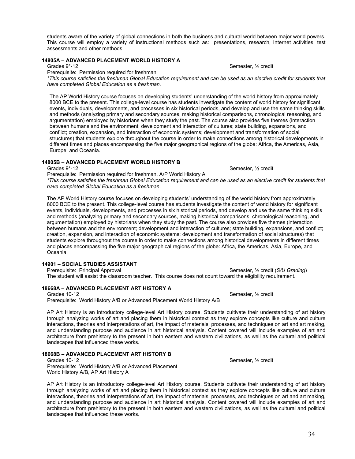students aware of the variety of global connections in both the business and cultural world between major world powers. This course will employ a variety of instructional methods such as: presentations, research, Internet activities, test assessments and other methods.

# **14805A – ADVANCED PLACEMENT WORLD HISTORY A**

Semester, 1/2 credit

Semester, 1/2 credit

Prerequisite: Permission required for freshman

*\*This course satisfies the freshman Global Education requirement and can be used as an elective credit for students that have completed Global Education as a freshman.* 

The AP World History course focuses on developing students' understanding of the world history from approximately 8000 BCE to the present. This college-level course has students investigate the content of world history for significant events, individuals, developments, and processes in six historical periods, and develop and use the same thinking skills and methods (analyzing primary and secondary sources, making historical comparisons, chronological reasoning, and argumentation) employed by historians when they study the past. The course also provides five themes (interaction between humans and the environment; development and interaction of cultures; state building, expansions, and conflict; creation, expansion, and interaction of economic systems; development and transformation of social structures) that students explore throughout the course in order to make connections among historical developments in different times and places encompassing the five major geographical regions of the globe: Africa, the Americas, Asia, Europe, and Oceania.

# **14805B – ADVANCED PLACEMENT WORLD HISTORY B**

Prerequisite: Permission required for freshman, A/P World History A

*\*This course satisfies the freshman Global Education requirement and can be used as an elective credit for students that have completed Global Education as a freshman.* 

The AP World History course focuses on developing students' understanding of the world history from approximately 8000 BCE to the present. This college-level course has students investigate the content of world history for significant events, individuals, developments, and processes in six historical periods, and develop and use the same thinking skills and methods (analyzing primary and secondary sources, making historical comparisons, chronological reasoning, and argumentation) employed by historians when they study the past. The course also provides five themes (interaction between humans and the environment; development and interaction of cultures; state building, expansions, and conflict; creation, expansion, and interaction of economic systems; development and transformation of social structures) that students explore throughout the course in order to make connections among historical developments in different times and places encompassing the five major geographical regions of the globe: Africa, the Americas, Asia, Europe, and Oceania.

# **14901 – SOCIAL STUDIES ASSISTANT**

Semester, 1/<sub>2</sub> credit (*S/U Grading*) The student will assist the classroom teacher. This course does not count toward the eligibility requirement.

### **18668A – ADVANCED PLACEMENT ART HISTORY A**

Grades 10-12 Semester,  $\frac{1}{2}$  credit Prerequisite: World History A/B or Advanced Placement World History A/B

AP Art History is an introductory college-level Art History course. Students cultivate their understanding of art history through analyzing works of art and placing them in historical context as they explore concepts like culture and culture interactions, theories and interpretations of art, the impact of materials, processes, and techniques on art and art making, and understanding purpose and audience in art historical analysis. Content covered will include examples of art and architecture from prehistory to the present in both eastern and western civilizations, as well as the cultural and political landscapes that influenced these works.

# **18668B – ADVANCED PLACEMENT ART HISTORY B**

Prerequisite: World History A/B or Advanced Placement World History A/B, AP Art History A

AP Art History is an introductory college-level Art History course. Students cultivate their understanding of art history through analyzing works of art and placing them in historical context as they explore concepts like culture and culture interactions, theories and interpretations of art, the impact of materials, processes, and techniques on art and art making, and understanding purpose and audience in art historical analysis. Content covered will include examples of art and architecture from prehistory to the present in both eastern and western civilizations, as well as the cultural and political landscapes that influenced these works.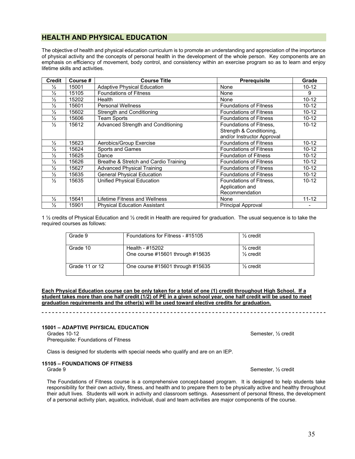### **HEALTH AND PHYSICAL EDUCATION**

The objective of health and physical education curriculum is to promote an understanding and appreciation of the importance of physical activity and the concepts of personal health in the development of the whole person. Key components are an emphasis on efficiency of movement, body control, and consistency within an exercise program so as to learn and enjoy lifetime skills and activities.

| <b>Credit</b> | Course # | <b>Course Title</b>                   | Prerequisite                                                                      | Grade     |
|---------------|----------|---------------------------------------|-----------------------------------------------------------------------------------|-----------|
| $\frac{1}{2}$ | 15001    | <b>Adaptive Physical Education</b>    | None                                                                              | $10 - 12$ |
| $\frac{1}{2}$ | 15105    | <b>Foundations of Fitness</b>         | None                                                                              | 9         |
| $\frac{1}{2}$ | 15202    | Health                                | None                                                                              | $10 - 12$ |
| $\frac{1}{2}$ | 15601    | <b>Personal Wellness</b>              | <b>Foundations of Fitness</b>                                                     | $10 - 12$ |
| $\frac{1}{2}$ | 15602    | Strength and Conditioning             | <b>Foundations of Fitness</b>                                                     | $10 - 12$ |
| $\frac{1}{2}$ | 15606    | Team Sports                           | <b>Foundations of Fitness</b>                                                     | $10 - 12$ |
| $\frac{1}{2}$ | 15612    | Advanced Strength and Conditioning    | Foundations of Fitness,<br>Strength & Conditioning,<br>and/or Instructor Approval | $10 - 12$ |
| $\frac{1}{2}$ | 15623    | Aerobics/Group Exercise               | <b>Foundations of Fitness</b>                                                     | $10 - 12$ |
| $\frac{1}{2}$ | 15624    | Sports and Games                      | <b>Foundations of Fitness</b>                                                     | $10 - 12$ |
| $\frac{1}{2}$ | 15625    | Dance                                 | <b>Foundation of Fitness</b>                                                      | $10 - 12$ |
| $\frac{1}{2}$ | 15626    | Breathe & Stretch and Cardio Training | <b>Foundations of Fitness</b>                                                     | $10 - 12$ |
| $\frac{1}{2}$ | 15627    | <b>Advanced Physical Training</b>     | <b>Foundations of Fitness</b>                                                     | $10 - 12$ |
| $\frac{1}{2}$ | 15635    | <b>General Physical Education</b>     | <b>Foundations of Fitness</b>                                                     | $10 - 12$ |
| $\frac{1}{2}$ | 15635    | Unified Physical Education            | Foundations of Fitness,<br>Application and<br>Recommendation                      | $10 - 12$ |
| $\frac{1}{2}$ | 15641    | Lifetime Fitness and Wellness         | None                                                                              | $11 - 12$ |
| $\frac{1}{2}$ | 15901    | <b>Physical Education Assistant</b>   | Principal Approval                                                                |           |

1 ½ credits of Physical Education and ½ credit in Health are required for graduation. The usual sequence is to take the required courses as follows:

| Grade 9        | Foundations for Fitness - #15105                    | $\frac{1}{2}$ credit                         |
|----------------|-----------------------------------------------------|----------------------------------------------|
| Grade 10       | Health - #15202<br>One course #15601 through #15635 | $\frac{1}{2}$ credit<br>$\frac{1}{2}$ credit |
| Grade 11 or 12 | One course #15601 through #15635                    | $\frac{1}{2}$ credit                         |

**Each Physical Education course can be only taken for a total of one (1) credit throughout High School. If a student takes more than one half credit (1/2) of PE in a given school year, one half credit will be used to meet graduation requirements and the other(s) will be used toward elective credits for graduation.** 

### **15001 – ADAPTIVE PHYSICAL EDUCATION**

Prerequisite: Foundations of Fitness

Class is designed for students with special needs who qualify and are on an IEP.

# **15105 – FOUNDATIONS OF FITNESS**

The Foundations of Fitness course is a comprehensive concept-based program. It is designed to help students take responsibility for their own activity, fitness, and health and to prepare them to be physically active and healthy throughout their adult lives. Students will work in activity and classroom settings. Assessment of personal fitness, the development of a personal activity plan, aquatics, individual, dual and team activities are major components of the course.

Grades 10-12 Semester,  $\frac{1}{2}$  credit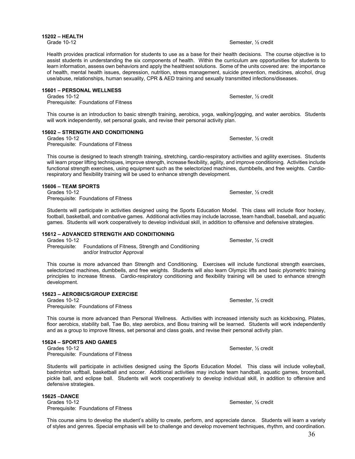Grade 10-12 Semester,  $\frac{1}{2}$  credit

Health provides practical information for students to use as a base for their health decisions. The course objective is to assist students in understanding the six components of health. Within the curriculum are opportunities for students to learn information, assess own behaviors and apply the healthiest solutions. Some of the units covered are: the importance of health, mental health issues, depression, nutrition, stress management, suicide prevention, medicines, alcohol, drug use/abuse, relationships, human sexuality, CPR & AED training and sexually transmitted infections/diseases.

### **15601 – PERSONAL WELLNESS**

**15202 – HEALTH** 

Grades 10-12 Semester,  $\frac{1}{2}$  credit Prerequisite: Foundations of Fitness

This course is an introduction to basic strength training, aerobics, yoga, walking/jogging, and water aerobics. Students will work independently, set personal goals, and revise their personal activity plan.

# **15602 – STRENGTH AND CONDITIONING**

Prerequisite: Foundations of Fitness

This course is designed to teach strength training, stretching, cardio-respiratory activities and agility exercises. Students will learn proper lifting techniques, improve strength, increase flexibility, agility, and improve conditioning. Activities include functional strength exercises, using equipment such as the selectorized machines, dumbbells, and free weights. Cardiorespiratory and flexibility training will be used to enhance strength development.

### **15606 – TEAM SPORTS**

Grades 10-12 Semester,  $\frac{1}{2}$  credit Prerequisite: Foundations of Fitness

Students will participate in activities designed using the Sports Education Model. This class will include floor hockey, football, basketball, and combative games. Additional activities may include lacrosse, team handball, baseball, and aquatic games. Students will work cooperatively to develop individual skill, in addition to offensive and defensive strategies.

### **15612 – ADVANCED STRENGTH AND CONDITIONING**

Grades 10-12 Semester, ½ credit Prerequisite: Foundations of Fitness, Strength and Conditioning and/or Instructor Approval

This course is more advanced than Strength and Conditioning. Exercises will include functional strength exercises, selectorized machines, dumbbells, and free weights. Students will also learn Olympic lifts and basic plyometric training principles to increase fitness. Cardio-respiratory conditioning and flexibility training will be used to enhance strength development.

### **15623 – AEROBICS/GROUP EXERCISE**

Grades 10-12 Semester,  $\frac{1}{2}$  credit Prerequisite: Foundations of Fitness

This course is more advanced than Personal Wellness. Activities with increased intensity such as kickboxing, Pilates, floor aerobics, stability ball, Tae Bo, step aerobics, and Bosu training will be learned. Students will work independently and as a group to improve fitness, set personal and class goals, and revise their personal activity plan.

### **15624 – SPORTS AND GAMES**

Grades 10-12  $\blacksquare$  Semester,  $\frac{1}{2}$  credit Prerequisite: Foundations of Fitness

Students will participate in activities designed using the Sports Education Model. This class will include volleyball, badminton softball, basketball and soccer. Additional activities may include team handball, aquatic games, broomball, pickle ball, and eclipse ball. Students will work cooperatively to develop individual skill, in addition to offensive and defensive strategies.

### **15625 –DANCE**

Grades 10-12 Semester,  $\frac{1}{2}$  credit Prerequisite: Foundations of Fitness

This course aims to develop the student's ability to create, perform, and appreciate dance. Students will learn a variety of styles and genres. Special emphasis will be to challenge and develop movement techniques, rhythm, and coordination.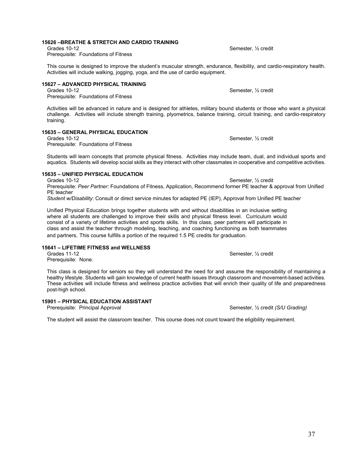### **15626 –BREATHE & STRETCH AND CARDIO TRAINING**

Grades 10-12 Semester,  $\frac{1}{2}$  credit Prerequisite: Foundations of Fitness

This course is designed to improve the student's muscular strength, endurance, flexibility, and cardio-respiratory health. Activities will include walking, jogging, yoga, and the use of cardio equipment.

### **15627 – ADVANCED PHYSICAL TRAINING**

Grades 10-12 Semester,  $\frac{1}{2}$  credit Prerequisite: Foundations of Fitness

Activities will be advanced in nature and is designed for athletes, military bound students or those who want a physical challenge. Activities will include strength training, plyometrics, balance training, circuit training, and cardio-respiratory training.

# **15635 – GENERAL PHYSICAL EDUCATION**

Prerequisite: Foundations of Fitness

Students will learn concepts that promote physical fitness. Activities may include team, dual, and individual sports and aquatics. Students will develop social skills as they interact with other classmates in cooperative and competitive activities.

### **15635 – UNIFIED PHYSICAL EDUCATION**

Grades 10-12 Semester,  $\frac{1}{2}$  credit Prerequisite: *Peer Partner:* Foundations of Fitness, Application, Recommend former PE teacher & approval from Unified PE teacher

*Student w/Disability*: Consult or direct service minutes for adapted PE (IEP), Approval from Unified PE teacher

Unified Physical Education brings together students with and without disabilities in an inclusive setting where all students are challenged to improve their skills and physical fitness level. Curriculum would consist of a variety of lifetime activities and sports skills. In this class, peer partners will participate in class and assist the teacher through modeling, teaching, and coaching functioning as both teammates and partners. This course fulfills a portion of the required 1.5 PE credits for graduation.

### **15641 – LIFETIME FITNESS and WELLNESS**

Grades 11-12 Semester,  $\frac{1}{2}$  credit Prerequisite: None.

This class is designed for seniors so they will understand the need for and assume the responsibility of maintaining a healthy lifestyle. Students will gain knowledge of current health issues through classroom and movement-based activities. These activities will include fitness and wellness practice activities that will enrich their quality of life and preparedness post-high school.

### **15901 – PHYSICAL EDUCATION ASSISTANT**

Prerequisite: Principal Approval **Semester, <sup>1</sup>/<sub>2</sub>** credit *(S/U Grading)* **Semester,** <sup>1</sup>/<sub>2</sub> credit *(S/U Grading) Semester,* 

The student will assist the classroom teacher. This course does not count toward the eligibility requirement.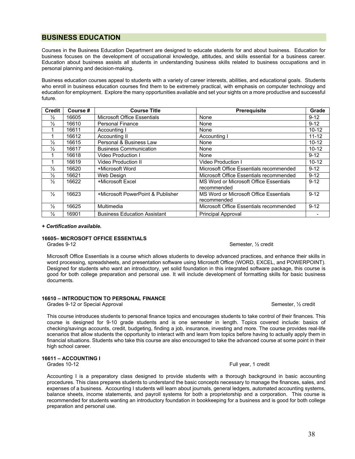### **BUSINESS EDUCATION**

Courses in the Business Education Department are designed to educate students for and about business. Education for business focuses on the development of occupational knowledge, attitudes, and skills essential for a business career. Education about business assists all students in understanding business skills related to business occupations and in personal planning and decision-making.

Business education courses appeal to students with a variety of career interests, abilities, and educational goals. Students who enroll in business education courses find them to be extremely practical, with emphasis on computer technology and education for employment. Explore the many opportunities available and set your sights on a more productive and successful future.

| <b>Credit</b> | Course # | <b>Course Title</b>                 | <b>Prerequisite</b>                     | Grade     |
|---------------|----------|-------------------------------------|-----------------------------------------|-----------|
| $\frac{1}{2}$ | 16605    | <b>Microsoft Office Essentials</b>  | None                                    | $9 - 12$  |
| $\frac{1}{2}$ | 16610    | <b>Personal Finance</b>             | None                                    | $9 - 12$  |
|               | 16611    | Accounting I                        | None                                    | $10 - 12$ |
|               | 16612    | Accounting II                       | Accounting I                            | $11 - 12$ |
| $\frac{1}{2}$ | 16615    | Personal & Business Law             | None                                    | $10 - 12$ |
| $\frac{1}{2}$ | 16617    | <b>Business Communication</b>       | None                                    | $10 - 12$ |
|               | 16618    | Video Production I                  | None                                    | $9 - 12$  |
|               | 16619    | Video Production II                 | Video Production I                      | $10 - 12$ |
| $\frac{1}{2}$ | 16620    | +Microsoft Word                     | Microsoft Office Essentials recommended | $9 - 12$  |
| $\frac{1}{2}$ | 16621    | Web Design                          | Microsoft Office Essentials recommended | $9 - 12$  |
| $\frac{1}{2}$ | 16622    | +Microsoft Excel                    | MS Word or Microsoft Office Essentials  | $9 - 12$  |
|               |          |                                     | recommended                             |           |
| $\frac{1}{2}$ | 16623    | +Microsoft PowerPoint & Publisher   | MS Word or Microsoft Office Essentials  | $9 - 12$  |
|               |          |                                     | recommended                             |           |
| $\frac{1}{2}$ | 16625    | Multimedia                          | Microsoft Office Essentials recommended | $9 - 12$  |
| $\frac{1}{2}$ | 16901    | <b>Business Education Assistant</b> | <b>Principal Approval</b>               |           |

#### *+ Certification available.*

### **16605– MICROSOFT OFFICE ESSENTIALS**

Grades 9-12 Semester,  $\frac{1}{2}$  credit

Microsoft Office Essentials is a course which allows students to develop advanced practices, and enhance their skills in word processing, spreadsheets, and presentation software using Microsoft Office (WORD, EXCEL, and POWERPOINT). Designed for students who want an introductory, yet solid foundation in this integrated software package, this course is good for both college preparation and personal use. It will include development of formatting skills for basic business documents.

#### **16610 – INTRODUCTION TO PERSONAL FINANCE**

Grades 9-12 or Special Approval Semester, 1/2 credit

This course introduces students to personal finance topics and encourages students to take control of their finances. This course is designed for 9-10 grade students and is one semester in length. Topics covered include: basics of checking/savings accounts, credit, budgeting, finding a job, insurance, investing and more. The course provides real-life scenarios that allow students the opportunity to interact with and learn from topics before having to actually apply them in financial situations. Students who take this course are also encouraged to take the advanced course at some point in their high school career.

### **16611 – ACCOUNTING I**

Grades 10-12 **Full year, 1 credit** example of the state of the state of the state of the state of the state of the state of the state of the state of the state of the state of the state of the state of the state of the sta

Accounting I is a preparatory class designed to provide students with a thorough background in basic accounting procedures. This class prepares students to understand the basic concepts necessary to manage the finances, sales, and expenses of a business. Accounting I students will learn about journals, general ledgers, automated accounting systems, balance sheets, income statements, and payroll systems for both a proprietorship and a corporation. This course is recommended for students wanting an introductory foundation in bookkeeping for a business and is good for both college preparation and personal use.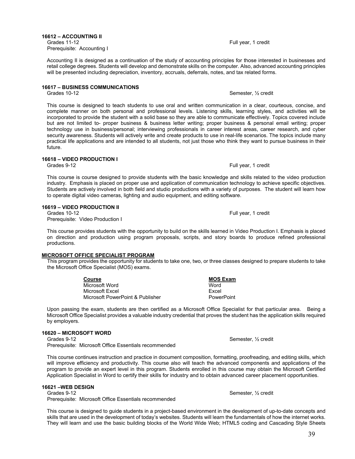**16612 – ACCOUNTING II** Grades 11-12 **Full year, 1 credit** Prerequisite: Accounting I

Accounting II is designed as a continuation of the study of accounting principles for those interested in businesses and retail college degrees. Students will develop and demonstrate skills on the computer. Also, advanced accounting principles will be presented including depreciation, inventory, accruals, deferrals, notes, and tax related forms.

### **16617 – BUSINESS COMMUNICATIONS**

Grades 10-12 Semester,  $\frac{1}{2}$  credit

This course is designed to teach students to use oral and written communication in a clear, courteous, concise, and complete manner on both personal and professional levels. Listening skills, learning styles, and activities will be incorporated to provide the student with a solid base so they are able to communicate effectively. Topics covered include but are not limited to- proper business & business letter writing; proper business & personal email writing; proper technology use in business/personal; interviewing professionals in career interest areas, career research, and cyber security awareness. Students will actively write and create products to use in real-life scenarios. The topics include many practical life applications and are intended to all students, not just those who think they want to pursue business in their future.

### **16618 – VIDEO PRODUCTION I**

This course is course designed to provide students with the basic knowledge and skills related to the video production industry. Emphasis is placed on proper use and application of communication technology to achieve specific objectives. Students are actively involved in both field and studio productions with a variety of purposes. The student will learn how to operate digital video cameras, lighting and audio equipment, and editing software.

# **16619 – VIDEO PRODUCTION II**

Prerequisite: Video Production I

This course provides students with the opportunity to build on the skills learned in Video Production I. Emphasis is placed on direction and production using program proposals, scripts, and story boards to produce refined professional productions.

### **MICROSOFT OFFICE SPECIALIST PROGRAM**

This program provides the opportunity for students to take one, two, or three classes designed to prepare students to take the Microsoft Office Specialist (MOS) exams.

| Course                           | <b>MOS Exam</b> |
|----------------------------------|-----------------|
| Microsoft Word                   | Word            |
| Microsoft Fxcel                  | Fxcel           |
| Microsoft PowerPoint & Publisher | PowerPoint      |

Upon passing the exam, students are then certified as a Microsoft Office Specialist for that particular area. Being a Microsoft Office Specialist provides a valuable industry credential that proves the student has the application skills required by employers.

### **16620 – MICROSOFT WORD**

Grades 9-12  $\blacksquare$  Semester,  $\frac{1}{2}$  credit Prerequisite: Microsoft Office Essentials recommended

This course continues instruction and practice in document composition, formatting, proofreading, and editing skills, which will improve efficiency and productivity. This course also will teach the advanced components and applications of the program to provide an expert level in this program. Students enrolled in this course may obtain the Microsoft Certified Application Specialist in Word to certify their skills for industry and to obtain advanced career placement opportunities.

### **16621 –WEB DESIGN**

Grades 9-12 Semester,  $\frac{1}{2}$  credit Prerequisite: Microsoft Office Essentials recommended

This course is designed to guide students in a project-based environment in the development of up-to-date concepts and skills that are used in the development of today's websites. Students will learn the fundamentals of how the internet works. They will learn and use the basic building blocks of the World Wide Web; HTML5 coding and Cascading Style Sheets

Grades 9-12 Full year, 1 credit

Full year, 1 credit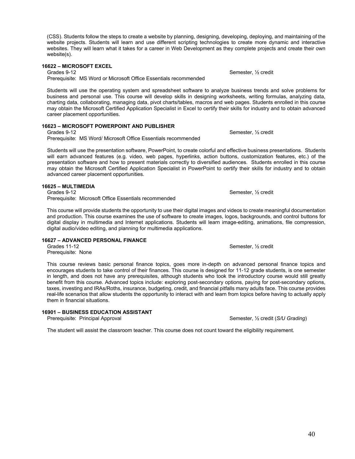(CSS). Students follow the steps to create a website by planning, designing, developing, deploying, and maintaining of the website projects. Students will learn and use different scripting technologies to create more dynamic and interactive websites. They will learn what it takes for a career in Web Development as they complete projects and create their own website(s).

### **16622 – MICROSOFT EXCEL**

Grades 9-12 Semester, 1/2 credit Prerequisite: MS Word or Microsoft Office Essentials recommended

Students will use the operating system and spreadsheet software to analyze business trends and solve problems for business and personal use. This course will develop skills in designing worksheets, writing formulas, analyzing data, charting data, collaborating, managing data, pivot charts/tables, macros and web pages. Students enrolled in this course may obtain the Microsoft Certified Application Specialist in Excel to certify their skills for industry and to obtain advanced career placement opportunities.

### **16623 – MICROSOFT POWERPOINT AND PUBLISHER**

Grades 9-12 Semester,  $\frac{1}{2}$  credit Prerequisite: MS Word/ Microsoft Office Essentials recommended

Students will use the presentation software, PowerPoint, to create colorful and effective business presentations. Students will earn advanced features (e.g. video, web pages, hyperlinks, action buttons, customization features, etc.) of the presentation software and how to present materials correctly to diversified audiences. Students enrolled in this course may obtain the Microsoft Certified Application Specialist in PowerPoint to certify their skills for industry and to obtain advanced career placement opportunities.

### **16625 – MULTIMEDIA**

Grades 9-12 Semester,  $\frac{1}{2}$  credit Prerequisite: Microsoft Office Essentials recommended

This course will provide students the opportunity to use their digital images and videos to create meaningful documentation and production. This course examines the use of software to create images, logos, backgrounds, and control buttons for digital display in multimedia and Internet applications. Students will learn image-editing, animations, file compression, digital audio/video editing, and planning for multimedia applications.

### **16627 – ADVANCED PERSONAL FINANCE**

Prerequisite: None

This course reviews basic personal finance topics, goes more in-depth on advanced personal finance topics and encourages students to take control of their finances. This course is designed for 11-12 grade students, is one semester in length, and does not have any prerequisites, although students who took the introductory course would still greatly benefit from this course. Advanced topics include: exploring post-secondary options, paying for post-secondary options, taxes, investing and IRAs/Roths, insurance, budgeting, credit, and financial pitfalls many adults face. This course provides real-life scenarios that allow students the opportunity to interact with and learn from topics before having to actually apply them in financial situations.

### **16901 – BUSINESS EDUCATION ASSISTANT**

Prerequisite: Principal Approval Semester, <sup>12</sup> credit (*S/U Grading*)

The student will assist the classroom teacher. This course does not count toward the eligibility requirement.

Grades 11-12 Semester, ½ credit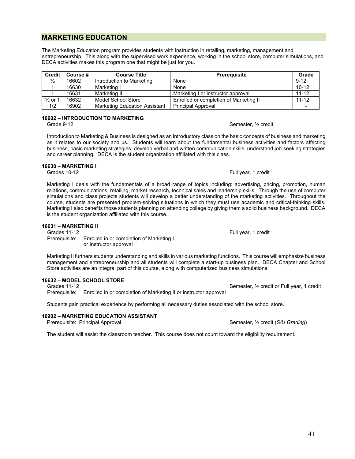### **MARKETING EDUCATION**

The Marketing Education program provides students with instruction in retailing, marketing, management and entrepreneurship. This along with the supervised work experience, working in the school store, computer simulations, and DECA activities makes this program one that might be just for you.

| <b>Credit</b>            | Course # | <b>Course Title</b>                  | <b>Prereguisite</b>                    | Grade                    |
|--------------------------|----------|--------------------------------------|----------------------------------------|--------------------------|
| $\frac{1}{2}$            | 16602    | Introduction to Marketing            | None                                   | $9 - 12$                 |
|                          | 16630    | Marketing I                          | None                                   | $10 - 12$                |
|                          | 16631    | Marketing II                         | Marketing I or instructor approval     | $11 - 12$                |
| $\frac{1}{2}$ or $\cdot$ | 16632    | Model School Store                   | Enrolled or completion of Marketing II | $11 - 12$                |
| 1/2                      | 16902    | <b>Marketing Education Assistant</b> | <b>Principal Approval</b>              | $\overline{\phantom{0}}$ |

# **16602 – INTRODUCTION TO MARKETING**

Introduction to Marketing & Business is designed as an introductory class on the basic concepts of business and marketing as it relates to our society and us. Students will learn about the fundamental business activities and factors affecting business, basic marketing strategies, develop verbal and written communication skills, understand job-seeking strategies and career planning. DECA is the student organization affiliated with this class.

# **16630 – MARKETING I**

Marketing I deals with the fundamentals of a broad range of topics including: advertising, pricing, promotion, human relations, communications, retailing, market research, technical sales and leadership skills. Through the use of computer simulations and class projects students will develop a better understanding of the marketing activities. Throughout the course, students are presented problem-solving situations in which they must use academic and critical-thinking skills. Marketing I also benefits those students planning on attending college by giving them a solid business background. DECA is the student organization affiliated with this course.

### **16631 – MARKETING II**

Grades 11-12 Full year, 1 credit Prerequisite: Enrolled in or completion of Marketing I or Instructor approval

Marketing II furthers students understanding and skills in various marketing functions. This course will emphasize business management and entrepreneurship and all students will complete a start-up business plan. DECA Chapter and School Store activities are an integral part of this course, along with computerized business simulations.

### **16632 – MODEL SCHOOL STORE**

Grades 11-12 Semester, 1/2 credit or Full year, 1 credit Prerequisite: Enrolled in or completion of Marketing II or instructor approval

Students gain practical experience by performing all necessary duties associated with the school store.

### **16902 – MARKETING EDUCATION ASSISTANT**

Prerequisite: Principal Approval Semester, <sup>12</sup> credit (*S/U Grading*)

The student will assist the classroom teacher. This course does not count toward the eligibility requirement.

Full year, 1 credit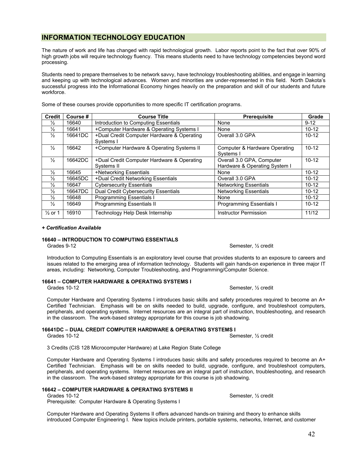### **INFORMATION TECHNOLOGY EDUCATION**

The nature of work and life has changed with rapid technological growth. Labor reports point to the fact that over 90% of high growth jobs will require technology fluency. This means students need to have technology competencies beyond word processing.

Students need to prepare themselves to be network savvy, have technology troubleshooting abilities, and engage in learning and keeping up with technological advances. Women and minorities are under-represented in this field. North Dakota's successful progress into the Informational Economy hinges heavily on the preparation and skill of our students and future workforce.

| <b>Credit</b>      | Course # | <b>Course Title</b>                        | <b>Prerequisite</b>                      | Grade     |
|--------------------|----------|--------------------------------------------|------------------------------------------|-----------|
| ⅓                  | 16640    | Introduction to Computing Essentials       | None                                     | $9 - 12$  |
| $\frac{1}{2}$      | 16641    | +Computer Hardware & Operating Systems I   | None                                     | $10 - 12$ |
| $\frac{1}{2}$      | 16641DC  | +Dual Credit Computer Hardware & Operating | Overall 3.0 GPA                          | $10 - 12$ |
|                    |          | Systems I                                  |                                          |           |
| $\frac{1}{2}$      | 16642    | +Computer Hardware & Operating Systems II  | <b>Computer &amp; Hardware Operating</b> | $10 - 12$ |
|                    |          |                                            | Systems I                                |           |
| $\frac{1}{2}$      | 16642DC  | +Dual Credit Computer Hardware & Operating | Overall 3.0 GPA, Computer                | $10 - 12$ |
|                    |          | Systems II                                 | Hardware & Operating System I            |           |
| $\frac{1}{2}$      | 16645    | +Networking Essentials                     | None                                     | $10 - 12$ |
| $\frac{1}{2}$      | 16645DC  | +Dual Credit Networking Essentials         | Overall 3.0 GPA                          | $10 - 12$ |
| $\frac{1}{2}$      | 16647    | <b>Cybersecurity Essentials</b>            | <b>Networking Essentials</b>             | $10 - 12$ |
| $\frac{1}{2}$      | 16647DC  | Dual Credit Cybersecurity Essentials       | <b>Networking Essentials</b>             | $10 - 12$ |
| $\frac{1}{2}$      | 16648    | <b>Programming Essentials I</b>            | None                                     | $10 - 12$ |
| $\frac{1}{2}$      | 16649    | <b>Programming Essentials II</b>           | <b>Programming Essentials I</b>          | $10 - 12$ |
| $\frac{1}{2}$ or 1 | 16910    | Technology Help Desk Internship            | Instructor Permission                    | 11/12     |

Some of these courses provide opportunities to more specific IT certification programs.

### *+ Certification Available*

### **16640 – INTRODUCTION TO COMPUTING ESSENTIALS**

Grades 9-12 Semester, 1/2 credit

Introduction to Computing Essentials is an exploratory level course that provides students to an exposure to careers and issues related to the emerging area of information technology. Students will gain hands-on experience in three major IT areas, including: Networking, Computer Troubleshooting, and Programming/Computer Science.

### **16641 – COMPUTER HARDWARE & OPERATING SYSTEMS I**

Grades 10-12 Semester,  $\frac{1}{2}$  credit

Computer Hardware and Operating Systems I introduces basic skills and safety procedures required to become an A+ Certified Technician. Emphasis will be on skills needed to build, upgrade, configure, and troubleshoot computers, peripherals, and operating systems. Internet resources are an integral part of instruction, troubleshooting, and research in the classroom. The work-based strategy appropriate for this course is job shadowing.

# **16641DC – DUAL CREDIT COMPUTER HARDWARE & OPERATING SYSTEMS I**

Semester,  $\frac{1}{2}$  credit

3 Credits (CIS 128 Microcomputer Hardware) at Lake Region State College

Computer Hardware and Operating Systems I introduces basic skills and safety procedures required to become an A+ Certified Technician. Emphasis will be on skills needed to build, upgrade, configure, and troubleshoot computers, peripherals, and operating systems. Internet resources are an integral part of instruction, troubleshooting, and research in the classroom. The work-based strategy appropriate for this course is job shadowing.

### **16642 – COMPUTER HARDWARE & OPERATING SYSTEMS II**

Grades 10-12 Semester,  $\frac{1}{2}$  credit Prerequisite: Computer Hardware & Operating Systems I

Computer Hardware and Operating Systems II offers advanced hands-on training and theory to enhance skills introduced Computer Engineering I. New topics include printers, portable systems, networks, Internet, and customer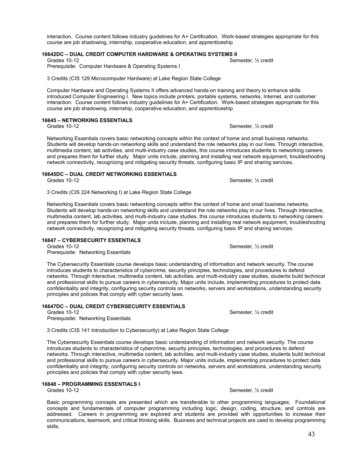interaction. Course content follows industry guidelines for A+ Certification. Work-based strategies appropriate for this course are job shadowing, internship, cooperative education, and apprenticeship

### **16642DC – DUAL CREDIT COMPUTER HARDWARE & OPERATING SYSTEMS II**

Grades 10-12 Semester, 1/2 credit Prerequisite: Computer Hardware & Operating Systems I

3 Credits (CIS 129 Microcomputer Hardware) at Lake Region State College

Computer Hardware and Operating Systems II offers advanced hands-on training and theory to enhance skills introduced Computer Engineering I. New topics include printers, portable systems, networks, Internet, and customer interaction. Course content follows industry guidelines for A+ Certification. Work-based strategies appropriate for this course are job shadowing, internship, cooperative education, and apprenticeship

### **16645 – NETWORKING ESSENTIALS**

Networking Essentials covers basic networking concepts within the context of home and small business networks. Students will develop hands-on networking skills and understand the role networks play in our lives. Through interactive, multimedia content, lab activities, and multi-industry case studies, this course introduces students to networking careers and prepares them for further study. Major units include, planning and installing real network equipment, troubleshooting network connectivity, recognizing and mitigating security threats, configuring basic IP and sharing services.

### **16645DC – DUAL CREDIT NETWORKING ESSENTIALS**

Grades 10-12 Semester,  $\frac{1}{2}$  credit

3 Credits (CIS 224 Networking I) at Lake Region State College

Networking Essentials covers basic networking concepts within the context of home and small business networks. Students will develop hands-on networking skills and understand the role networks play in our lives. Through interactive, multimedia content, lab activities, and multi-industry case studies, this course introduces students to networking careers and prepares them for further study. Major units include, planning and installing real network equipment, troubleshooting network connectivity, recognizing and mitigating security threats, configuring basic IP and sharing services.

### **16647 – CYBERSECURITY ESSENTIALS**

Grades 10-12 Semester, ½ credit Prerequisite: Networking Essentials

The Cybersecurity Essentials course develops basic understanding of information and network security. The course introduces students to characteristics of cybercrime, security principles, technologies, and procedures to defend networks. Through interactive, multimedia content, lab activities, and multi-industry case studies, students build technical and professional skills to pursue careers in cybersecurity. Major units include, implementing procedures to protect data confidentiality and integrity, configuring security controls on networks, servers and workstations, understanding security principles and policies that comply with cyber security laws.

### **16647DC – DUAL CREDIT CYBERSECURITY ESSENTIALS**

Prerequisite: Networking Essentials

3 Credits (CIS 141 Introduction to Cybersecurity) at Lake Region State College

The Cybersecurity Essentials course develops basic understanding of information and network security. The course introduces students to characteristics of cybercrime, security principles, technologies, and procedures to defend networks. Through interactive, multimedia content, lab activities, and multi-industry case studies, students build technical and professional skills to pursue careers in cybersecurity. Major units include, implementing procedures to protect data confidentiality and integrity, configuring security controls on networks, servers and workstations, understanding security principles and policies that comply with cyber security laws.

### **16648 – PROGRAMMING ESSENTIALS I**

Grades 10-12  $\blacksquare$ 

Basic programming concepts are presented which are transferable to other programming languages. Foundational concepts and fundamentals of computer programming including logic, design, coding, structure, and controls are addressed. Careers in programming are explored and students are provided with opportunities to increase their communications, teamwork, and critical thinking skills. Business and technical projects are used to develop programming skills.

Grades 10-12 Semester, 1/2 credit

Grades 10-12 Semester, ½ credit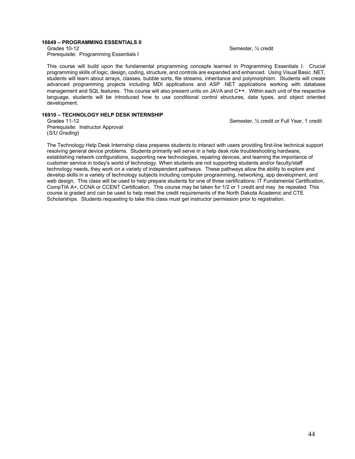# **16649 – PROGRAMMING ESSENTIALS II**

Prerequisite: Programming Essentials I

Semester, 1/2 credit

This course will build upon the fundamental programming concepts learned in Programming Essentials I. Crucial programming skills of logic, design, coding, structure, and controls are expanded and enhanced. Using Visual Basic .NET, students will learn about arrays, classes, bubble sorts, file streams, inheritance and polymorphism. Students will create advanced programming projects including MDI applications and ASP .NET applications working with database management and SQL features. This course will also present units on JAVA and C++. Within each unit of the respective language, students will be introduced how to use conditional control structures, data types, and object oriented development.

### **16910 – TECHNOLOGY HELP DESK INTERNSHIP**

Grades 11-12 Semester, ½ credit or Full Year, 1 credit Prerequisite: Instructor Approval (*S/U Grading*)

The Technology Help Desk Internship class prepares students to interact with users providing first-line technical support resolving general device problems. Students primarily will serve in a help desk role troubleshooting hardware, establishing network configurations, supporting new technologies, repairing devices, and learning the importance of customer service in today's world of technology. When students are not supporting students and/or faculty/staff technology needs, they work on a variety of independent pathways. These pathways allow the ability to explore and develop skills in a variety of technology subjects including computer programming, networking, app development, and web design. This class will be used to help prepare students for one of three certifications: IT Fundamental Certification, CompTIA A+, CCNA or CCENT Certification. This course may be taken for 1/2 or 1 credit and may be repeated. This course is graded and can be used to help meet the credit requirements of the North Dakota Academic and CTE Scholarships. Students requesting to take this class must get instructor permission prior to registration.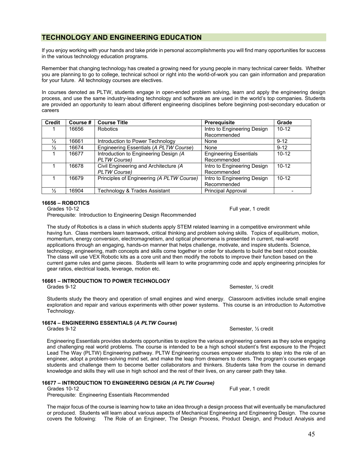### **TECHNOLOGY AND ENGINEERING EDUCATION**

If you enjoy working with your hands and take pride in personal accomplishments you will find many opportunities for success in the various technology education programs.

Remember that changing technology has created a growing need for young people in many technical career fields. Whether you are planning to go to college, technical school or right into the world-of-work you can gain information and preparation for your future. All technology courses are electives.

In courses denoted as PLTW, students engage in open-ended problem solving, learn and apply the engineering design process, and use the same industry-leading technology and software as are used in the world's top companies. Students are provided an opportunity to learn about different engineering disciplines before beginning post-secondary education or careers

| <b>Credit</b> | Course # | <b>Course Title</b>                       | Prerequisite                  | Grade     |
|---------------|----------|-------------------------------------------|-------------------------------|-----------|
|               | 16656    | <b>Robotics</b>                           | Intro to Engineering Design   | $10 - 12$ |
|               |          |                                           | Recommended                   |           |
| $\frac{1}{2}$ | 16661    | Introduction to Power Technology          | None                          | $9 - 12$  |
| $\frac{1}{2}$ | 16674    | Engineering Essentials (A PLTW Course)    | None                          | $9 - 12$  |
|               | 16677    | Introduction to Engineering Design (A     | <b>Engineering Essentials</b> | $10 - 12$ |
|               |          | PLTW Course)                              | Recommended                   |           |
|               | 16678    | Civil Engineering and Architecture (A     | Intro to Engineering Design   | $10 - 12$ |
|               |          | PLTW Course)                              | Recommended                   |           |
|               | 16679    | Principles of Engineering (A PLTW Course) | Intro to Engineering Design   | $10 - 12$ |
|               |          |                                           | Recommended                   |           |
| $\frac{1}{2}$ | 16904    | Technology & Trades Assistant             | <b>Principal Approval</b>     |           |

### **16656 – ROBOTICS**

Grades 10-12 Full year, 1 credit Prerequisite: Introduction to Engineering Design Recommended

The study of Robotics is a class in which students apply STEM related learning in a competitive environment while having fun. Class members learn teamwork, critical thinking and problem solving skills. Topics of equilibrium, motion, momentum, energy conversion, electromagnetism, and optical phenomena is presented in current, real-world applications through an engaging, hands-on manner that helps challenge, motivate, and inspire students. Science, technology, engineering, math concepts and skills come together in order for students to build the best robot possible. The class will use VEX Robotic kits as a core unit and then modify the robots to improve their function based on the current game rules and game pieces. Students will learn to write programming code and apply engineering principles for gear ratios, electrical loads, leverage, motion etc.

# **16661 – INTRODUCTION TO POWER TECHNOLOGY**

Students study the theory and operation of small engines and wind energy. Classroom activities include small engine exploration and repair and various experiments with other power systems. This course is an introduction to Automotive Technology.

### **16674 – ENGINEERING ESSENTIALS (***A PLTW Course***)**

Grades 9-12 Semester, 1/2 credit

Engineering Essentials provides students opportunities to explore the various engineering careers as they solve engaging and challenging real world problems. The course is intended to be a high school student's first exposure to the Project Lead The Way (PLTW) Engineering pathway. PLTW Engineering courses empower students to step into the role of an engineer, adopt a problem-solving mind set, and make the leap from dreamers to doers. The program's courses engage students and challenge them to become better collaborators and thinkers. Students take from the course in demand knowledge and skills they will use in high school and the rest of their lives, on any career path they take.

### **16677 – INTRODUCTION TO ENGINEERING DESIGN** *(A PLTW Course)*

Grades 10-12 Full year, 1 credit with the state of the state of the state of the state of the state of the state of the state of the state of the state of the state of the state of the state of the state of the state of th

Prerequisite: Engineering Essentials Recommended

The major focus of the course is learning how to take an idea through a design process that will eventually be manufactured or produced. Students will learn about various aspects of Mechanical Engineering and Engineering Design. The course covers the following: The Role of an Engineer, The Design Process, Product Design, and Product Analysis and

Semester, 1/2 credit

45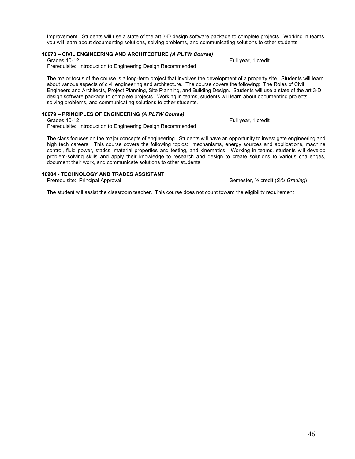Improvement. Students will use a state of the art 3-D design software package to complete projects. Working in teams, you will learn about documenting solutions, solving problems, and communicating solutions to other students.

# **16678 – CIVIL ENGINEERING AND ARCHITECTURE** *(A PLTW Course)*

Prerequisite: Introduction to Engineering Design Recommended

The major focus of the course is a long-term project that involves the development of a property site. Students will learn about various aspects of civil engineering and architecture. The course covers the following: The Roles of Civil Engineers and Architects, Project Planning, Site Planning, and Building Design. Students will use a state of the art 3-D design software package to complete projects. Working in teams, students will learn about documenting projects, solving problems, and communicating solutions to other students.

### **16679 – PRINCIPLES OF ENGINEERING** *(A PLTW Course)*

Grades 10-12 Full year, 1 credit

Prerequisite: Introduction to Engineering Design Recommended

The class focuses on the major concepts of engineering. Students will have an opportunity to investigate engineering and high tech careers. This course covers the following topics: mechanisms, energy sources and applications, machine control, fluid power, statics, material properties and testing, and kinematics. Working in teams, students will develop problem-solving skills and apply their knowledge to research and design to create solutions to various challenges, document their work, and communicate solutions to other students.

### **16904 - TECHNOLOGY AND TRADES ASSISTANT**

Prerequisite: Principal Approval Semester, <sup>1</sup>/<sub>2</sub> credit (*S/U Grading*) Semester, <sup>1</sup>/<sub>2</sub> credit (*S/U Grading*)

The student will assist the classroom teacher. This course does not count toward the eligibility requirement

Full year, 1 credit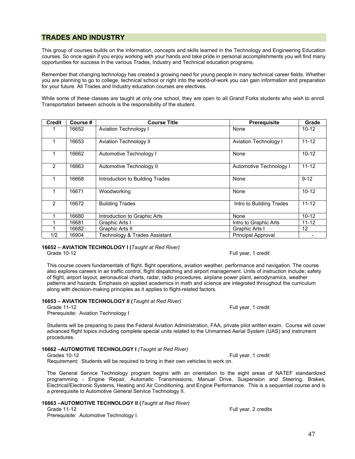### **TRADES AND INDUSTRY**

This group of courses builds on the information, concepts and skills learned in the Technology and Engineering Education courses. So once again if you enjoy working with your hands and take pride in personal accomplishments you will find many opportunities for success in the various Trades, Industry and Technical education programs.

Remember that changing technology has created a growing need for young people in many technical career fields. Whether you are planning to go to college, technical school or right into the world-of-work you can gain information and preparation for your future. All Trades and Industry education courses are electives.

While some of these classes are taught at only one school, they are open to all Grand Forks students who wish to enroll. Transportation between schools is the responsibility of the student.

| <b>Credit</b>  | Course # | <b>Course Title</b>             | <b>Prerequisite</b>          | Grade           |
|----------------|----------|---------------------------------|------------------------------|-----------------|
|                | 16652    | <b>Aviation Technology I</b>    | None                         | $10 - 12$       |
| 1              | 16653    | <b>Aviation Technology II</b>   | <b>Aviation Technology I</b> | $11 - 12$       |
| 1              | 16662    | Automotive Technology I         | None                         | $10 - 12$       |
| 2              | 16663    | Automotive Technology II        | Automotive Technology I      | $11 - 12$       |
|                | 16668    | Introduction to Building Trades | None                         | $9 - 12$        |
|                | 16671    | Woodworking                     | None                         | $10 - 12$       |
| $\mathfrak{p}$ | 16672    | <b>Building Trades</b>          | Intro to Building Trades     | $11 - 12$       |
|                | 16680    | Introduction to Graphic Arts    | None                         | $10 - 12$       |
|                | 16681    | Graphic Arts I                  | Intro to Graphic Arts        | $11 - 12$       |
|                | 16682    | Graphic Arts II                 | Graphic Arts I               | 12 <sup>2</sup> |
| 1/2            | 16904    | Technology & Trades Assistant   | <b>Principal Approval</b>    |                 |

#### **16652 – AVIATION TECHNOLOGY I (***Taught at Red River)* Grade 10-12 Full year, 1 credit

This course covers fundamentals of flight, flight operations, aviation weather, performance and navigation. The course also explores careers in air traffic control, flight dispatching and airport management. Units of instruction include; safety of flight, airport layout, aeronautical charts, radar, radio procedures, airplane power plant, aerodynamics, weather patterns and hazards. Emphasis on applied academics in math and science are integrated throughout the curriculum along with decision-making principles as it applies to flight-related factors.

### **16653 – AVIATION TECHNOLOGY II (***Taught at Red River)*

Grade 11-12 **Full year, 1 credit** example of the state of the state of the state of the state of the state of the state of the state of the state of the state of the state of the state of the state of the state of the stat Prerequisite: Aviation Technology I

Students will be preparing to pass the Federal Aviation Administration, FAA, private pilot written exam. Course will cover advanced flight topics including complete special units related to the Unmanned Aerial System (UAS) and instrument procedures.

### **16662 –AUTOMOTIVE TECHNOLOGY I** *(Taught at Red River)*

Grades 10-12 Full year, 1 credit with the state of the state of the state of the state of the state of the state of the state of the state of the state of the state of the state of the state of the state of the state of th Requirement: Students will be required to bring in their own vehicles to work on.

The General Service Technology program begins with an orientation to the eight areas of NATEF standardized programming - Engine Repair, Automatic Transmissions, Manual Drive, Suspension and Steering, Brakes, Electrical/Electronic Systems, Heating and Air Conditioning, and Engine Performance. This is a sequential course and is a prerequisite to Automotive General Service Technology II.

# **16663 –AUTOMOTIVE TECHNOLOGY II (***Taught at Red River)*

Prerequisite: Automotive Technology I.

Full year, 2 credits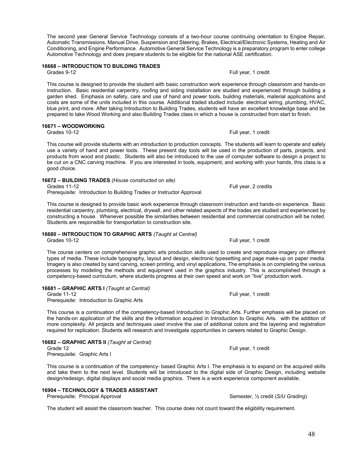The second year General Service Technology consists of a two-hour course continuing orientation to Engine Repair, Automatic Transmissions, Manual Drive, Suspension and Steering, Brakes, Electrical/Electronic Systems, Heating and Air Conditioning, and Engine Performance. Automotive General Service Technology is a preparatory program to enter college Automotive Technology and does prepare students to be eligible for the national ASE certification.

### **16668 – INTRODUCTION TO BUILDING TRADES**

This course is designed to provide the student with basic construction work experience through classroom and hands-on instruction. Basic residential carpentry, roofing and siding installation are studied and experienced through building a garden shed. Emphasis on safety, care and use of hand and power tools, building materials, material applications and costs are some of the units included in this course. Additional traded studied include: electrical wiring, plumbing, HVAC, blue print, and more. After taking Introduction to Building Trades, students will have an excellent knowledge base and be prepared to take Wood Working and also Building Trades class in which a house is constructed from start to finish.

### **16671 – WOODWORKING**

Grades 10-12 **Full year, 1 credit** example of the state of the state of the state of the state of the state of the state of the state of the state of the state of the state of the state of the state of the state of the sta

This course will provide students with an introduction to production concepts. The students will learn to operate and safely use a variety of hand and power tools. These present day tools will be used in the production of parts, projects, and products from wood and plastic. Students will also be introduced to the use of computer software to design a project to be cut on a CNC carving machine. If you are interested in tools, equipment, and working with your hands, this class is a good choice.

#### **16672 – BUILDING TRADES** *(House constructed on site)*

Grades 11-12 **Full year, 2 credits** Prerequisite: Introduction to Building Trades or Instructor Approval

This course is designed to provide basic work experience through classroom instruction and hands-on experience. Basic residential carpentry, plumbing, electrical, drywall, and other related aspects of the trades are studied and experienced by constructing a house. Whenever possible the similarities between residential and commercial construction will be noted. Students are responsible for transportation to construction site.

### **16680 – INTRODUCTION TO GRAPHIC ARTS** *(Taught at Central)*

The course centers on comprehensive graphic arts production skills used to create and reproduce imagery on different types of media. These include typography, layout and design, electronic typesetting and page make-up on paper media. Imagery is also created by sand carving, screen printing, and vinyl applications. The emphasis is on completing the various processes by modeling the methods and equipment used in the graphics industry. This is accomplished through a competency-based curriculum, where students progress at their own speed and work on "live" production work.

### **16681 – GRAPHIC ARTS I** *(Taught at Central)*

Prerequisite: Introduction to Graphic Arts

This course is a continuation of the competency-based Introduction to Graphic Arts. Further emphasis will be placed on the hands-on application of the skills and the information acquired in Introduction to Graphic Arts. with the addition of more complexity. All projects and techniques used involve the use of additional colors and the layering and registration required for replication. Students will research and investigate opportunities in careers related to Graphic Design.

#### **16682 – GRAPHIC ARTS II** *(Taught at Central)*

Grade 12 Full year, 1 credit with the state of the state of the state of the Sun of the Sun of the Sun of the Sun of the Sun of the Sun of the Sun of the Sun of the Sun of the Sun of the Sun of the Sun of the Sun of the Su Prerequisite: Graphic Arts I

This course is a continuation of the competency- based Graphic Arts I. The emphasis is to expand on the acquired skills and take them to the next level. Students will be introduced to the digital side of Graphic Design, including website design/redesign, digital displays and social media graphics. There is a work experience component available.

### **16904 – TECHNOLOGY & TRADES ASSISTANT**

Prerequisite: Principal Approval Semester, <sup>1</sup>/<sub>2</sub> credit (*S/U Grading*) Semester, <sup>1</sup>/<sub>2</sub> credit (*S/U Grading*)

The student will assist the classroom teacher. This course does not count toward the eligibility requirement.

Grade 11-12 **Full year, 1 credit** example of the state of the state of the state of the state of the state of the state of the state of the state of the state of the state of the state of the state of the state of the stat

Grades 10-12 **Full year, 1 credit** example of the state of the state of the state of the state of the state of the state of the state of the state of the state of the state of the state of the state of the state of the sta

Grades 9-12 **Full year, 1 credit** example of the state of the state of the state of the state of the state of the state of the state of the state of the state of the state of the state of the state of the state of the stat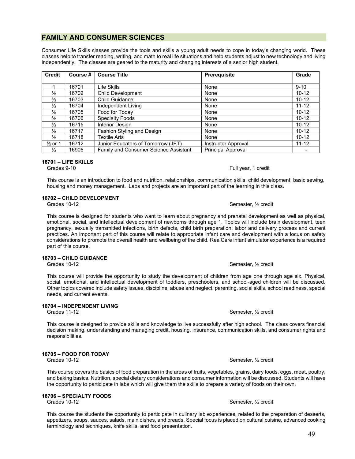### **FAMILY AND CONSUMER SCIENCES**

Consumer Life Skills classes provide the tools and skills a young adult needs to cope in today's changing world. These classes help to transfer reading, writing, and math to real life situations and help students adjust to new technology and living independently. The classes are geared to the maturity and changing interests of a senior high student.

| <b>Credit</b>      | Course # | <b>Course Title</b>                          | <b>Prerequisite</b>        | Grade     |
|--------------------|----------|----------------------------------------------|----------------------------|-----------|
|                    |          |                                              |                            |           |
|                    | 16701    | Life Skills                                  | None                       | $9 - 10$  |
| $\frac{1}{2}$      | 16702    | <b>Child Development</b>                     | None                       | $10 - 12$ |
| $\frac{1}{2}$      | 16703    | <b>Child Guidance</b>                        | None                       | $10 - 12$ |
| $\frac{1}{2}$      | 16704    | Independent Living                           | None                       | $11 - 12$ |
| $\frac{1}{2}$      | 16705    | Food for Today                               | None                       | $10 - 12$ |
| $\frac{1}{2}$      | 16706    | <b>Specialty Foods</b>                       | None                       | $10 - 12$ |
| $\frac{1}{2}$      | 16715    | <b>Interior Design</b>                       | None                       | $10 - 12$ |
| $\frac{1}{2}$      | 16717    | Fashion Styling and Design                   | None                       | $10 - 12$ |
| $\frac{1}{2}$      | 16718    | <b>Textile Arts</b>                          | None                       | $10 - 12$ |
| $\frac{1}{2}$ or 1 | 16712    | Junior Educators of Tomorrow (JET)           | <b>Instructor Approval</b> | $11 - 12$ |
| $\frac{1}{2}$      | 16905    | <b>Family and Consumer Science Assistant</b> | <b>Principal Approval</b>  |           |

### **16701 – LIFE SKILLS**

Grades 9-10 **Full year, 1** credit

This course is an introduction to food and nutrition, relationships, communication skills, child development, basic sewing, housing and money management. Labs and projects are an important part of the learning in this class.

# **16702 – CHILD DEVELOPMENT**

This course is designed for students who want to learn about pregnancy and prenatal development as well as physical, emotional, social, and intellectual development of newborns through age 1. Topics will include brain development, teen pregnancy, sexually transmitted infections, birth defects, child birth preparation, labor and delivery process and current practices. An important part of this course will relate to appropriate infant care and development with a focus on safety considerations to promote the overall health and wellbeing of the child. RealCare infant simulator experience is a required part of this course.

# **16703 – CHILD GUIDANCE**

This course will provide the opportunity to study the development of children from age one through age six. Physical, social, emotional, and intellectual development of toddlers, preschoolers, and school-aged children will be discussed. Other topics covered include safety issues, discipline, abuse and neglect, parenting, social skills, school readiness, special needs, and current events.

### **16704 – INDEPENDENT LIVING**

Grades 11-12 Semester, 1/2 credit

This course is designed to provide skills and knowledge to live successfully after high school. The class covers financial decision making, understanding and managing credit, housing, insurance, communication skills, and consumer rights and responsibilities.

# **16705 – FOOD FOR TODAY**

This course covers the basics of food preparation in the areas of fruits, vegetables, grains, dairy foods, eggs, meat, poultry, and baking basics. Nutrition, special dietary considerations and consumer information will be discussed. Students will have the opportunity to participate in labs which will give them the skills to prepare a variety of foods on their own.

### **16706 – SPECIALTY FOODS**

This course the students the opportunity to participate in culinary lab experiences, related to the preparation of desserts, appetizers, soups, sauces, salads, main dishes, and breads. Special focus is placed on cultural cuisine, advanced cooking terminology and techniques, knife skills, and food presentation.

# Semester, 1/2 credit

Semester, 1/2 credit

Semester, 1/2 credit

Grades 10-12 Semester,  $\frac{1}{2}$  credit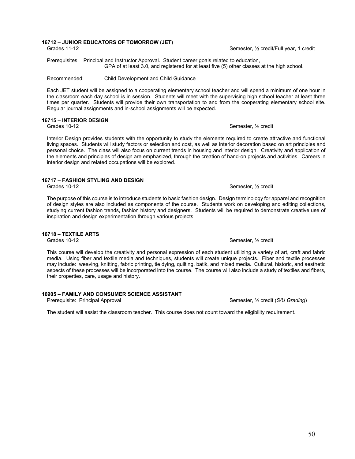### **16712 – JUNIOR EDUCATORS OF TOMORROW (JET)**

 Prerequisites: Principal and Instructor Approval. Student career goals related to education, GPA of at least 3.0, and registered for at least five (5) other classes at the high school.

Recommended: Child Development and Child Guidance

Each JET student will be assigned to a cooperating elementary school teacher and will spend a minimum of one hour in the classroom each day school is in session. Students will meet with the supervising high school teacher at least three times per quarter. Students will provide their own transportation to and from the cooperating elementary school site. Regular journal assignments and in-school assignments will be expected.

### **16715 – INTERIOR DESIGN**

Grades 10-12 Semester,  $\frac{1}{2}$  credit

Interior Design provides students with the opportunity to study the elements required to create attractive and functional living spaces. Students will study factors or selection and cost, as well as interior decoration based on art principles and personal choice. The class will also focus on current trends in housing and interior design. Creativity and application of the elements and principles of design are emphasized, through the creation of hand-on projects and activities. Careers in interior design and related occupations will be explored.

### **16717 – FASHION STYLING AND DESIGN**

Grades 10-12 Semester,  $\frac{1}{2}$  credit

The purpose of this course is to introduce students to basic fashion design. Design terminology for apparel and recognition of design styles are also included as components of the course. Students work on developing and editing collections, studying current fashion trends, fashion history and designers. Students will be required to demonstrate creative use of inspiration and design experimentation through various projects.

### **16718 – TEXTILE ARTS**

Grades 10-12 Semester,  $\frac{1}{2}$  credit

This course will develop the creativity and personal expression of each student utilizing a variety of art, craft and fabric media. Using fiber and textile media and techniques, students will create unique projects. Fiber and textile processes may include: weaving, knitting, fabric printing, tie dying, quilting, batik, and mixed media. Cultural, historic, and aesthetic aspects of these processes will be incorporated into the course. The course will also include a study of textiles and fibers, their properties, care, usage and history.

### **16905 – FAMILY AND CONSUMER SCIENCE ASSISTANT**

Prerequisite: Principal Approval Semester, <sup>1</sup>/<sub>2</sub> credit (*S/U Grading*) Semester, <sup>1</sup>/<sub>2</sub> credit (*S/U Grading*)

The student will assist the classroom teacher. This course does not count toward the eligibility requirement.

Grades 11-12 Grades 11-12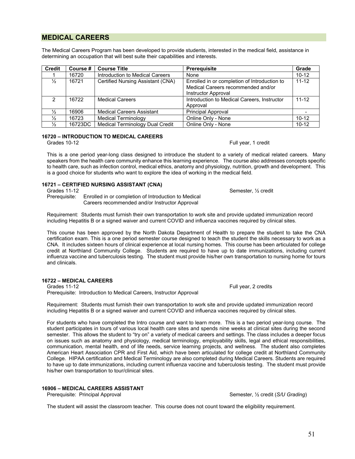### **MEDICAL CAREERS**

The Medical Careers Program has been developed to provide students, interested in the medical field, assistance in determining an occupation that will best suite their capabilities and interests.

| <b>Credit</b> | Course # | <b>Course Title</b>               | <b>Prerequisite</b>                          | Grade     |
|---------------|----------|-----------------------------------|----------------------------------------------|-----------|
|               | 16720    | Introduction to Medical Careers   | None                                         | $10 - 12$ |
| $\frac{1}{2}$ | 16721    | Certified Nursing Assistant (CNA) | Enrolled in or completion of Introduction to | $11 - 12$ |
|               |          |                                   | Medical Careers recommended and/or           |           |
|               |          |                                   | Instructor Approval                          |           |
| $\mathcal{P}$ | 16722    | <b>Medical Careers</b>            | Introduction to Medical Careers, Instructor  | $11 - 12$ |
|               |          |                                   | Approval                                     |           |
| $\frac{1}{2}$ | 16906    | <b>Medical Careers Assistant</b>  | <b>Principal Approval</b>                    |           |
| $\frac{1}{2}$ | 16723    | <b>Medical Terminology</b>        | Online Only - None                           | $10 - 12$ |
| $\frac{1}{2}$ | 16723DC  | Medical Terminology Dual Credit   | Online Only - None                           | $10 - 12$ |

### **16720 – INTRODUCTION TO MEDICAL CAREERS**

Grades 10-12 Full year, 1 credit

Full year, 2 credits

This is a one period year-long class designed to introduce the student to a variety of medical related careers. Many speakers from the health care community enhance this learning experience. The course also addresses concepts specific to health care, such as infection control, medical ethics, anatomy and physiology, nutrition, growth and development. This is a good choice for students who want to explore the idea of working in the medical field.

### **16721 – CERTIFIED NURSING ASSISTANT (CNA)**

Grades 11-12 Semester, 1/2 credit

 Prerequisite: Enrolled in or completion of Introduction to Medical Careers recommended and/or Instructor Approval

Requirement: Students must furnish their own transportation to work site and provide updated immunization record including Hepatitis B or a signed waiver and current COVID and influenza vaccines required by clinical sites.

This course has been approved by the North Dakota Department of Health to prepare the student to take the CNA certification exam. This is a one period semester course designed to teach the student the skills necessary to work as a CNA. It includes sixteen hours of clinical experience at local nursing homes. This course has been articulated for college credit at Northland Community College. Students are required to have up to date immunizations, including current influenza vaccine and tuberculosis testing. The student must provide his/her own transportation to nursing home for tours and clinicals.

# **16722 – MEDICAL CAREERS**

Prerequisite: Introduction to Medical Careers, Instructor Approval

Requirement: Students must furnish their own transportation to work site and provide updated immunization record including Hepatitis B or a signed waiver and current COVID and influenza vaccines required by clinical sites.

For students who have completed the Intro course and want to learn more. This is a two period year-long course. The student participates in tours of various local health care sites and spends nine weeks at clinical sites during the second semester. This allows the student to "try on" a variety of medical careers and settings. The class includes a deeper focus on issues such as anatomy and physiology, medical terminology, employability skills, legal and ethical responsibilities, communication, mental health, end of life needs, service learning projects, and wellness. The student also completes American Heart Association CPR and First Aid, which have been articulated for college credit at Northland Community College. HIPAA certification and Medical Terminology are also completed during Medical Careers. Students are required to have up to date immunizations, including current influenza vaccine and tuberculosis testing. The student must provide his/her own transportation to tour/clinical sites.

### **16906 – MEDICAL CAREERS ASSISTANT**

Prerequisite: Principal Approval Semester, <sup>1</sup>/<sub>2</sub> credit (*S/U Grading*) Semester, <sup>1</sup>/<sub>2</sub> credit (*S/U Grading*)

The student will assist the classroom teacher. This course does not count toward the eligibility requirement.

51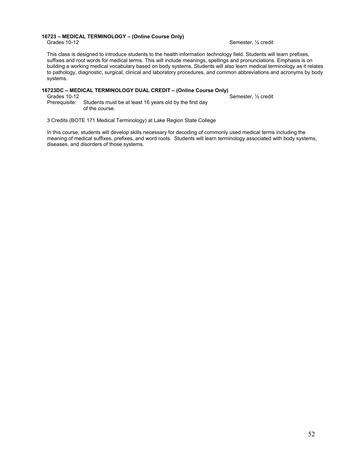# **16723 – MEDICAL TERMINOLOGY – (Online Course Only)**

Semester, 1/2 credit

This class is designed to introduce students to the health information technology field. Students will learn prefixes, suffixes and root words for medical terms. This will include meanings, spellings and pronunciations. Emphasis is on building a working medical vocabulary based on body systems. Students will also learn medical terminology as it relates to pathology, diagnostic, surgical, clinical and laboratory procedures, and common abbreviations and acronyms by body systems.

### **16723DC – MEDICAL TERMINOLOGY DUAL CREDIT – (Online Course Only)**

Grades 10-12<br>Prerequisite: Students must be at least 16 years old by the first day Students must be at least 16 years old by the first day of the course.

3 Credits (BOTE 171 Medical Terminology) at Lake Region State College

In this course, students will develop skills necessary for decoding of commonly used medical terms including the meaning of medical suffixes, prefixes, and word roots. Students will learn terminology associated with body systems, diseases, and disorders of those systems.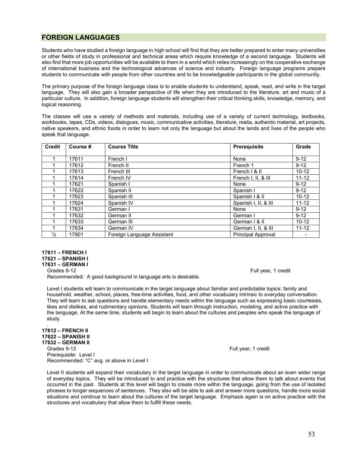### **FOREIGN LANGUAGES**

Students who have studied a foreign language in high school will find that they are better prepared to enter many universities or other fields of study in professional and technical areas which require knowledge of a second language. Students will also find that more job opportunities will be available to them in a world which relies increasingly on the cooperative exchange of international business and the technological advances of science and industry. Foreign language programs prepare students to communicate with people from other countries and to be knowledgeable participants in the global community.

The primary purpose of the foreign language class is to enable students to understand, speak, read, and write in the target language. They will also gain a broader perspective of life when they are introduced to the literature, art and music of a particular culture. In addition, foreign language students will strengthen their critical thinking skills, knowledge, memory, and logical reasoning.

The classes will use a variety of methods and materials, including use of a variety of current technology, textbooks, workbooks, tapes, CDs, videos, dialogues, music, communicative activities, literature, realia, authentic material, art projects, native speakers, and ethnic foods in order to learn not only the language but about the lands and lives of the people who speak that language.

| <b>Credit</b> | Course # | <b>Course Title</b>        | Prerequisite              | Grade     |
|---------------|----------|----------------------------|---------------------------|-----------|
|               |          |                            |                           |           |
|               | 17611    | French I                   | None                      | $9 - 12$  |
|               | 17612    | French II                  | French 1                  | $9 - 12$  |
|               | 17613    | French III                 | French   & II             | $10 - 12$ |
|               | 17614    | French IV                  | French I, II, & III       | $11 - 12$ |
|               | 17621    | Spanish I                  | None                      | $9 - 12$  |
|               | 17622    | Spanish II                 | Spanish I                 | $9 - 12$  |
|               | 17623    | Spanish III                | Spanish I & II            | $10 - 12$ |
|               | 17624    | Spanish IV                 | Spanish I, II, & III      | $11 - 12$ |
|               | 17631    | German I                   | None                      | $9 - 12$  |
|               | 17632    | German II                  | German I                  | $9 - 12$  |
|               | 17633    | German III                 | German   & II             | $10 - 12$ |
|               | 17634    | German IV                  | German I, II, & III       | $11 - 12$ |
| $\frac{1}{2}$ | 17901    | Foreign Language Assistant | <b>Principal Approval</b> |           |

**17611 – FRENCH I 17621 – SPANISH I 17631 – GERMAN I** 

.

Recommended: A good background in language arts is desirable.

Grades 9-12 Full year, 1 credit

Level I students will learn to communicate in the target language about familiar and predictable topics: family and household, weather, school, places, free-time activities, food, and other vocabulary intrinsic to everyday conversation. They will learn to ask questions and handle elementary needs within the language such as expressing basic courtesies, likes and dislikes, and rudimentary opinions. Students will learn through instruction, modeling, and active practice with the language. At the same time, students will begin to learn about the cultures and peoples who speak the language of study.

**17612 – FRENCH II 17622 – SPANISH II 17632 – GERMAN II**  Grades 9-12 Full year, 1 credit Prerequisite: Level I Recommended: "C" avg. or above in Level I

Level II students will expand their vocabulary in the target language in order to communicate about an even wider range of everyday topics. They will be introduced to and practice with the structures that allow them to talk about events that occurred in the past. Students at this level will begin to create more within the language, going from the use of isolated phrases to longer sequences of sentences. They also will be able to ask and answer more questions, handle more social situations and continue to learn about the cultures of the target language. Emphasis again is on active practice with the structures and vocabulary that allow them to fulfill these needs.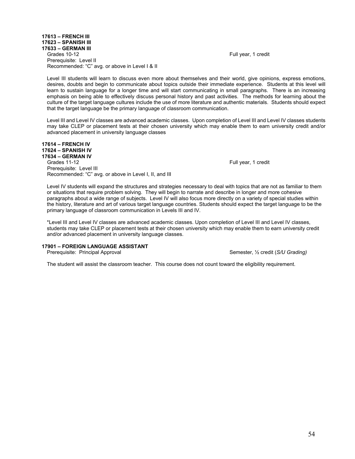**17613 – FRENCH III 17623 – SPANISH III 17633 – GERMAN III**  Prerequisite: Level II Recommended: "C" avg. or above in Level I & II

Full year, 1 credit

Level III students will learn to discuss even more about themselves and their world, give opinions, express emotions, desires, doubts and begin to communicate about topics outside their immediate experience. Students at this level will learn to sustain language for a longer time and will start communicating in small paragraphs. There is an increasing emphasis on being able to effectively discuss personal history and past activities. The methods for learning about the culture of the target language cultures include the use of more literature and authentic materials. Students should expect that the target language be the primary language of classroom communication.

Level III and Level IV classes are advanced academic classes. Upon completion of Level III and Level IV classes students may take CLEP or placement tests at their chosen university which may enable them to earn university credit and/or advanced placement in university language classes

### **17614 – FRENCH IV 17624 – SPANISH IV 17634 – GERMAN IV** Prerequisite: Level III Recommended: "C" avg. or above in Level I, II, and III

Full year, 1 credit

Level IV students will expand the structures and strategies necessary to deal with topics that are not as familiar to them or situations that require problem solving. They will begin to narrate and describe in longer and more cohesive paragraphs about a wide range of subjects. Level IV will also focus more directly on a variety of special studies within the history, literature and art of various target language countries. Students should expect the target language to be the primary language of classroom communication in Levels III and IV.

\*Level III and Level IV classes are advanced academic classes. Upon completion of Level III and Level IV classes, students may take CLEP or placement tests at their chosen university which may enable them to earn university credit and/or advanced placement in university language classes.

### **17901 – FOREIGN LANGUAGE ASSISTANT**

Prerequisite: Principal Approval Semester, <sup>1</sup>/<sub>2</sub> credit (*S/U Grading*) Semester, <sup>1</sup>/<sub>2</sub> credit (*S/U Grading*)

The student will assist the classroom teacher. This course does not count toward the eligibility requirement.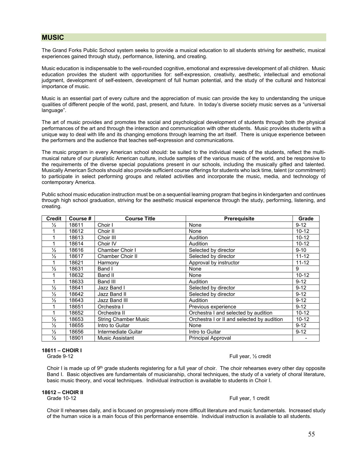### **MUSIC**

The Grand Forks Public School system seeks to provide a musical education to all students striving for aesthetic, musical experiences gained through study, performance, listening, and creating.

Music education is indispensable to the well-rounded cognitive, emotional and expressive development of all children. Music education provides the student with opportunities for: self-expression, creativity, aesthetic, intellectual and emotional judgment, development of self-esteem, development of full human potential, and the study of the cultural and historical importance of music.

Music is an essential part of every culture and the appreciation of music can provide the key to understanding the unique qualities of different people of the world, past, present, and future. In today's diverse society music serves as a "universal language".

The art of music provides and promotes the social and psychological development of students through both the physical performances of the art and through the interaction and communication with other students. Music provides students with a unique way to deal with life and its changing emotions through learning the art itself. There is unique experience between the performers and the audience that teaches self-expression and communications.

The music program in every American school should: be suited to the individual needs of the students, reflect the multimusical nature of our pluralistic American culture, include samples of the various music of the world, and be responsive to the requirements of the diverse special populations present in our schools, including the musically gifted and talented. Musically American Schools should also provide sufficient course offerings for students who lack time, talent (or commitment) to participate in select performing groups and related activities and incorporate the music, media, and technology of contemporary America.

Public school music education instruction must be on a sequential learning program that begins in kindergarten and continues through high school graduation, striving for the aesthetic musical experience through the study, performing, listening, and creating.

| <b>Credit</b> | Course # | <b>Course Title</b>         | Prerequisite                               | Grade     |
|---------------|----------|-----------------------------|--------------------------------------------|-----------|
| $\frac{1}{2}$ | 18611    | Choir I                     | None                                       | $9 - 12$  |
|               | 18612    | Choir II                    | None                                       | $10 - 12$ |
|               | 18613    | Choir III                   | <b>Audition</b>                            | $10 - 12$ |
|               | 18614    | Choir IV                    | <b>Audition</b>                            | $10 - 12$ |
| $\frac{1}{2}$ | 18616    | Chamber Choir I             | Selected by director                       | $9 - 10$  |
| $\frac{1}{2}$ | 18617    | <b>Chamber Choir II</b>     | Selected by director                       | $11 - 12$ |
|               | 18621    | Harmony                     | Approval by instructor                     | $11 - 12$ |
| $\frac{1}{2}$ | 18631    | Band I                      | None                                       | 9         |
|               | 18632    | Band II                     | None                                       | $10 - 12$ |
|               | 18633    | Band III                    | <b>Audition</b>                            | $9 - 12$  |
| $\frac{1}{2}$ | 18641    | Jazz Band I                 | Selected by director                       | $9 - 12$  |
| $\frac{1}{2}$ | 18642    | Jazz Band II                | Selected by director                       | $9 - 12$  |
| $\frac{1}{2}$ | 18643    | <b>Jazz Band III</b>        | Audition                                   | $9 - 12$  |
|               | 18651    | Orchestra I                 | Previous experience                        | $9 - 12$  |
|               | 18652    | Orchestra II                | Orchestra I and selected by audition       | $10 - 12$ |
| $\frac{1}{2}$ | 18653    | <b>String Chamber Music</b> | Orchestra I or II and selected by audition | $10 - 12$ |
| $\frac{1}{2}$ | 18655    | Intro to Guitar             | None                                       | $9 - 12$  |
| $\frac{1}{2}$ | 18656    | Intermediate Guitar         | Intro to Guitar                            | $9 - 12$  |
| $\frac{1}{2}$ | 18901    | Music Assistant             | <b>Principal Approval</b>                  |           |

#### **18611 – CHOIR I**

Grade 9-12 **Full year, 1/2 credit** Service of the Service of the Service of Tell year, 1/2 credit

Full year, 1 credit

Choir I is made up of  $9<sup>th</sup>$  grade students registering for a full year of choir. The choir rehearses every other day opposite Band I. Basic objectives are fundamentals of musicianship, choral techniques, the study of a variety of choral literature, basic music theory, and vocal techniques. Individual instruction is available to students in Choir I.

# **18612 – CHOIR II**

Choir II rehearses daily, and is focused on progressively more difficult literature and music fundamentals. Increased study of the human voice is a main focus of this performance ensemble. Individual instruction is available to all students.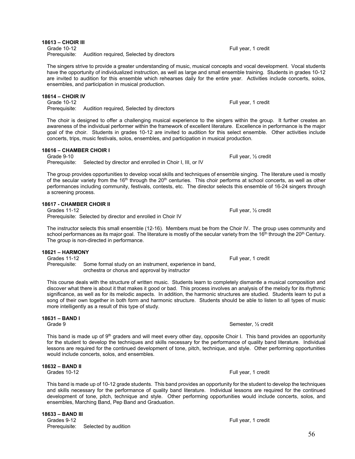**18613 – CHOIR III**

Grade 10-12 Full year, 1 credit Prerequisite: Audition required, Selected by directors

The singers strive to provide a greater understanding of music, musical concepts and vocal development. Vocal students have the opportunity of individualized instruction, as well as large and small ensemble training. Students in grades 10-12 are invited to audition for this ensemble which rehearses daily for the entire year. Activities include concerts, solos, ensembles, and participation in musical production.

### **18614 – CHOIR IV**

Grade 10-12 **Full year, 1 credit** Prerequisite: Audition required, Selected by directors

The choir is designed to offer a challenging musical experience to the singers within the group. It further creates an awareness of the individual performer within the framework of excellent literature. Excellence in performance is the major goal of the choir. Students in grades 10-12 are invited to audition for this select ensemble. Other activities include concerts, trips, music festivals, solos, ensembles, and participation in musical production.

### **18616 – CHAMBER CHOIR I**

Grade 9-10 Full year, ½ credit Prerequisite: Selected by director and enrolled in Choir I, III, or IV

The group provides opportunities to develop vocal skills and techniques of ensemble singing. The literature used is mostly of the secular variety from the  $16<sup>th</sup>$  through the  $20<sup>th</sup>$  centuries. This choir performs at school concerts, as well as other performances including community, festivals, contests, etc. The director selects this ensemble of 16-24 singers through a screening process.

### **18617 - CHAMBER CHOIR II**

Grades 11-12 **Full year, 12** Credit Control of the United States of the European Control of the European Control of the European Control of the European Control of the European Control of the European Control of the Europe Prerequisite: Selected by director and enrolled in Choir IV

The instructor selects this small ensemble (12-16). Members must be from the Choir IV. The group uses community and school performances as its major goal. The literature is mostly of the secular variety from the 16<sup>th</sup> through the 20<sup>th</sup> Century. The group is non-directed in performance.

### **18621 – HARMONY**

Grades 11-12 Full year, 1 credit with the state of the state of the state of the state of the state of the state of the state of the state of the state of the state of the state of the state of the state of the state of th Prerequisite: Some formal study on an instrument, experience in band, orchestra or chorus and approval by instructor

This course deals with the structure of written music. Students learn to completely dismantle a musical composition and discover what there is about it that makes it good or bad. This process involves an analysis of the melody for its rhythmic significance, as well as for its melodic aspects. In addition, the harmonic structures are studied. Students learn to put a song of their own together in both form and harmonic structure. Students should be able to listen to all types of music more intelligently as a result of this type of study.

### **18631 – BAND I**

This band is made up of 9<sup>th</sup> graders and will meet every other day, opposite Choir I. This band provides an opportunity for the student to develop the techniques and skills necessary for the performance of quality band literature. Individual lessons are required for the continued development of tone, pitch, technique, and style. Other performing opportunities would include concerts, solos, and ensembles.

# **18632 – BAND II**

This band is made up of 10-12 grade students. This band provides an opportunity for the student to develop the techniques and skills necessary for the performance of quality band literature. Individual lessons are required for the continued development of tone, pitch, technique and style. Other performing opportunities would include concerts, solos, and ensembles, Marching Band, Pep Band and Graduation.

**18633 – BAND III**  Grades 9-12 **Full year, 1** credit Prerequisite: Selected by audition

Grade 9 Semester,  $\frac{1}{2}$  credit

Full year, 1 credit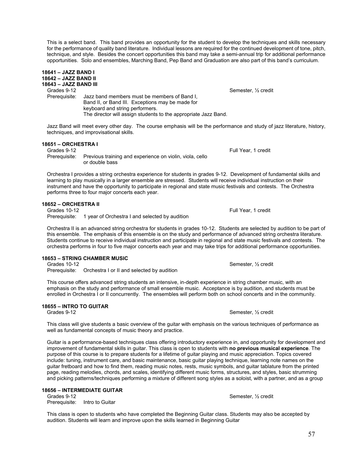This is a select band. This band provides an opportunity for the student to develop the techniques and skills necessary for the performance of quality band literature. Individual lessons are required for the continued development of tone, pitch, technique, and style. Besides the concert opportunities this band may take a semi-annual trip for additional performance opportunities. Solo and ensembles, Marching Band, Pep Band and Graduation are also part of this band's curriculum.

#### **18641 – JAZZ BAND I 18642 – JAZZ BAND II 18643 – JAZZ BAND III**

Prerequisite: Jazz band members must be members of Band I, Band II, or Band III. Exceptions may be made for keyboard and string performers. The director will assign students to the appropriate Jazz Band.

Jazz Band will meet every other day. The course emphasis will be the performance and study of jazz literature, history, techniques, and improvisational skills.

### **18651 – ORCHESTRA I**

Prerequisite: Previous training and experience on violin, viola, cello or double bass

Orchestra I provides a string orchestra experience for students in grades 9-12. Development of fundamental skills and learning to play musically in a larger ensemble are stressed. Students will receive individual instruction on their instrument and have the opportunity to participate in regional and state music festivals and contests. The Orchestra performs three to four major concerts each year.

# **18652 – ORCHESTRA II**

Prerequisite: 1 year of Orchestra I and selected by audition

Orchestra II is an advanced string orchestra for students in grades 10-12. Students are selected by audition to be part of this ensemble. The emphasis of this ensemble is on the study and performance of advanced string orchestra literature. Students continue to receive individual instruction and participate in regional and state music festivals and contests. The orchestra performs in four to five major concerts each year and may take trips for additional performance opportunities.

### **18653 – STRING CHAMBER MUSIC**

Prerequisite: Orchestra I or II and selected by audition

This course offers advanced string students an intensive, in-depth experience in string chamber music, with an emphasis on the study and performance of small ensemble music. Acceptance is by audition, and students must be enrolled in Orchestra I or II concurrently. The ensembles will perform both on school concerts and in the community.

# **18655 – INTRO TO GUITAR**

This class will give students a basic overview of the guitar with emphasis on the various techniques of performance as well as fundamental concepts of music theory and practice.

Guitar is a performance-based techniques class offering introductory experience in, and opportunity for development and improvement of fundamental skills in guitar. This class is open to students with **no previous musical experience**. The purpose of this course is to prepare students for a lifetime of guitar playing and music appreciation. Topics covered include: tuning, instrument care, and basic maintenance, basic guitar playing technique, learning note names on the guitar fretboard and how to find them, reading music notes, rests, music symbols, and guitar tablature from the printed page, reading melodies, chords, and scales, identifying different music forms, structures, and styles, basic strumming and picking patterns/techniques performing a mixture of different song styles as a soloist, with a partner, and as a group

### **18656 – INTERMEDIATE GUITAR**

Grades 9-12 Semester,  $\frac{1}{2}$  credit Prerequisite: Intro to Guitar

This class is open to students who have completed the Beginning Guitar class. Students may also be accepted by audition. Students will learn and improve upon the skills learned in Beginning Guitar

Grades 9-12 Semester,  $\frac{1}{2}$  credit

Grades 9-12 Full Year, 1 credit

Full Year, 1 credit

Grades 10-12 Semester,  $\frac{1}{2}$  credit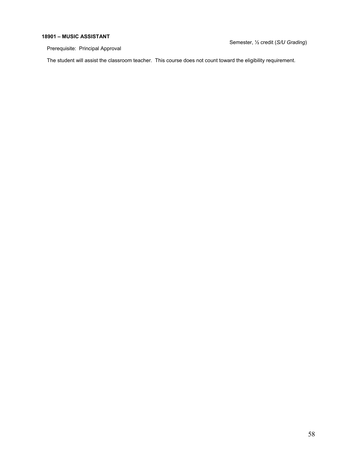### **18901 – MUSIC ASSISTANT**

Semester, ½ credit (*S/U Grading*)

Prerequisite: Principal Approval

The student will assist the classroom teacher. This course does not count toward the eligibility requirement.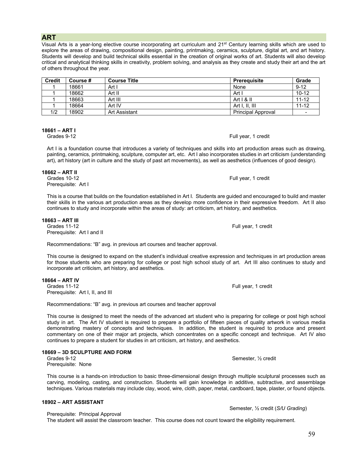**ART**

Visual Arts is a year-long elective course incorporating art curriculum and 21st Century learning skills which are used to explore the areas of drawing, compositional design, painting, printmaking, ceramics, sculpture, digital art, and art history. Students will develop and build technical skills essential in the creation of original works of art. Students will also develop critical and analytical thinking skills in creativity, problem solving, and analysis as they create and study their art and the art of others throughout the year.

| <b>Credit</b> | Course # | <b>Course Title</b> | <b>Prerequisite</b>       | Grade     |
|---------------|----------|---------------------|---------------------------|-----------|
|               | 18661    | Art I               | None                      | $9 - 12$  |
|               | 18662    | Art II              | Art I                     | $10 - 12$ |
|               | 18663    | Art III             | Art I & II                | $11 - 12$ |
|               | 18664    | Art IV              | Art I. II. III            | $11 - 12$ |
| 1/2           | 18902    | Art Assistant       | <b>Principal Approval</b> |           |

### **18661 – ART I**

Art I is a foundation course that introduces a variety of techniques and skills into art production areas such as drawing, painting, ceramics, printmaking, sculpture, computer art, etc. Art I also incorporates studies in art criticism (understanding art), art history (art in culture and the study of past art movements), as well as aesthetics (influences of good design).

#### **18662 – ART II**

Grades 10-12 **Full year, 1** credit Prerequisite: Art I

This is a course that builds on the foundation established in Art I. Students are guided and encouraged to build and master their skills in the various art production areas as they develop more confidence in their expressive freedom. Art II also continues to study and incorporate within the areas of study: art criticism, art history, and aesthetics.

**18663 – ART III**

Grades 11-12 Full year, 1 credit Prerequisite: Art I and II

Recommendations: "B" avg. in previous art courses and teacher approval.

This course is designed to expand on the student's individual creative expression and techniques in art production areas for those students who are preparing for college or post high school study of art. Art III also continues to study and incorporate art criticism, art history, and aesthetics.

### **18664 – ART IV**

Grades 11-12 **Full year, 1 credit** example of the state of the state of the state of the state of the state of the state of the state of the state of the state of the state of the state of the state of the state of the sta Prerequisite: Art I, II, and III

Recommendations: "B" avg. in previous art courses and teacher approval

This course is designed to meet the needs of the advanced art student who is preparing for college or post high school study in art. The Art IV student is required to prepare a portfolio of fifteen pieces of quality artwork in various media demonstrating mastery of concepts and techniques. In addition, the student is required to produce and present commentary on one of their major art projects, which concentrates on a specific concept and technique. Art IV also continues to prepare a student for studies in art criticism, art history, and aesthetics.

### **18669 – 3D SCULPTURE AND FORM**

Prerequisite: None

This course is a hands-on introduction to basic three-dimensional design through multiple sculptural processes such as carving, modeling, casting, and construction. Students will gain knowledge in additive, subtractive, and assemblage techniques. Various materials may include clay, wood, wire, cloth, paper, metal, cardboard, tape, plaster, or found objects.

### **18902 – ART ASSISTANT**

Prerequisite: Principal Approval

The student will assist the classroom teacher. This course does not count toward the eligibility requirement.

Grades 9-12 Semester, 1/2 credit

Semester, ½ credit (*S/U Grading*)

Grades 9-12 **Full year, 1** credit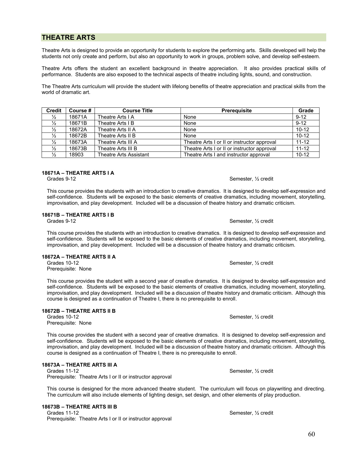### **THEATRE ARTS**

Theatre Arts is designed to provide an opportunity for students to explore the performing arts. Skills developed will help the students not only create and perform, but also an opportunity to work in groups, problem solve, and develop self-esteem.

Theatre Arts offers the student an excellent background in theatre appreciation. It also provides practical skills of performance. Students are also exposed to the technical aspects of theatre including lights, sound, and construction.

The Theatre Arts curriculum will provide the student with lifelong benefits of theatre appreciation and practical skills from the world of dramatic art.

| <b>Credit</b> | Course # | <b>Course Title</b>    | <b>Prerequisite</b>                         | Grade     |
|---------------|----------|------------------------|---------------------------------------------|-----------|
| 1/2           | 18671A   | Theatre Arts I A       | None                                        | $9 - 12$  |
| $\frac{1}{2}$ | 18671B   | Theatre Arts I B       | None                                        | $9 - 12$  |
| $\frac{1}{2}$ | 18672A   | Theatre Arts II A      | None                                        | $10-12$   |
| 1/2           | 18672B   | Theatre Arts II B      | None                                        | $10-12$   |
| $\frac{1}{2}$ | 18673A   | Theatre Arts III A     | Theatre Arts I or II or instructor approval | $11-12$   |
| $\frac{1}{2}$ | 18673B   | Theatre Arts III B     | Theatre Arts I or II or instructor approval | $11 - 12$ |
| $\frac{1}{2}$ | 18903    | Theatre Arts Assistant | Theatre Arts I and instructor approval      | $10 - 12$ |

### **18671A – THEATRE ARTS I A**

Grades 9-12 Semester, 1/2 credit

This course provides the students with an introduction to creative dramatics. It is designed to develop self-expression and self-confidence. Students will be exposed to the basic elements of creative dramatics, including movement, storytelling, improvisation, and play development. Included will be a discussion of theatre history and dramatic criticism.

# **18671B – THEATRE ARTS I B**

This course provides the students with an introduction to creative dramatics. It is designed to develop self-expression and self-confidence. Students will be exposed to the basic elements of creative dramatics, including movement, storytelling, improvisation, and play development. Included will be a discussion of theatre history and dramatic criticism.

### **18672A – THEATRE ARTS II A**

Prerequisite: None

This course provides the student with a second year of creative dramatics. It is designed to develop self-expression and self-confidence. Students will be exposed to the basic elements of creative dramatics, including movement, storytelling, improvisation, and play development. Included will be a discussion of theatre history and dramatic criticism. Although this course is designed as a continuation of Theatre I, there is no prerequisite to enroll.

### **18672B – THEATRE ARTS II B**

Prerequisite: None

This course provides the student with a second year of creative dramatics. It is designed to develop self-expression and self-confidence. Students will be exposed to the basic elements of creative dramatics, including movement, storytelling, improvisation, and play development. Included will be a discussion of theatre history and dramatic criticism. Although this course is designed as a continuation of Theatre I, there is no prerequisite to enroll.

### **18673A – THEATRE ARTS III A**

Grades 11-12 Semester, 1/2 credit Prerequisite: Theatre Arts I or II or instructor approval

This course is designed for the more advanced theatre student. The curriculum will focus on playwriting and directing. The curriculum will also include elements of lighting design, set design, and other elements of play production.

### **18673B – THEATRE ARTS III B**

Grades 11-12 Semester,  $\frac{1}{2}$  credit Prerequisite: Theatre Arts I or II or instructor approval

Semester,  $\frac{1}{2}$  credit

Grades 10-12 Semester,  $\frac{1}{2}$  credit

Grades 10-12 Semester,  $\frac{1}{2}$  Semester,  $\frac{1}{2}$  credit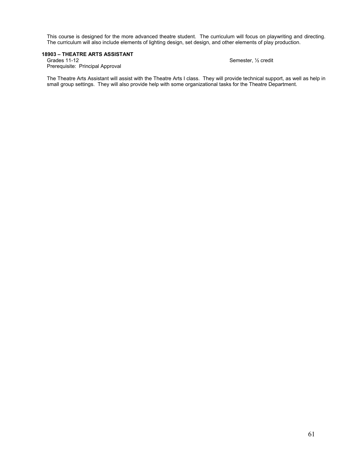This course is designed for the more advanced theatre student. The curriculum will focus on playwriting and directing. The curriculum will also include elements of lighting design, set design, and other elements of play production.

# **18903 – THEATRE ARTS ASSISTANT**

Semester, 1/2 credit

Prerequisite: Principal Approval

The Theatre Arts Assistant will assist with the Theatre Arts I class. They will provide technical support, as well as help in small group settings. They will also provide help with some organizational tasks for the Theatre Department.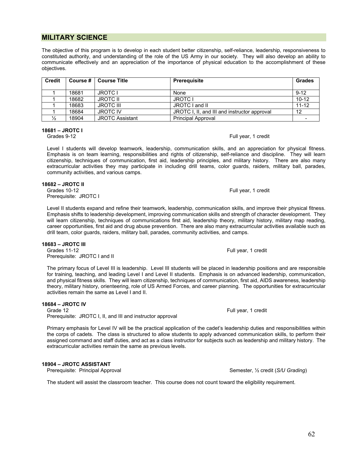### **MILITARY SCIENCE**

The objective of this program is to develop in each student better citizenship, self-reliance, leadership, responsiveness to constituted authority, and understanding of the role of the US Army in our society. They will also develop an ability to communicate effectively and an appreciation of the importance of physical education to the accomplishment of these objectives.

| <b>Credit</b> | Course # | <b>Course Title</b>    | <b>Prerequisite</b>                          | Grades    |
|---------------|----------|------------------------|----------------------------------------------|-----------|
|               |          |                        |                                              |           |
|               | 18681    | <b>JROTC I</b>         | None                                         | $9 - 12$  |
|               | 18682    | <b>JROTC II</b>        | <b>JROTC I</b>                               | $10 - 12$ |
|               | 18683    | <b>JROTC III</b>       | JROTC I and II                               | $11 - 12$ |
|               | 18684    | <b>JROTC IV</b>        | JROTC I, II, and III and instructor approval | 12        |
| $\frac{1}{2}$ | 18904    | <b>JROTC Assistant</b> | <b>Principal Approval</b>                    |           |

#### **18681 – JROTC I**

#### Grades 9-12 Full year, 1 credit

Level I students will develop teamwork, leadership, communication skills, and an appreciation for physical fitness. Emphasis is on team learning, responsibilities and rights of citizenship, self-reliance and discipline. They will learn citizenship, techniques of communication, first aid, leadership principles, and military history. There are also many extracurricular activities they may participate in including drill teams, color guards, raiders, military ball, parades, community activities, and various camps.

#### **18682 – JROTC II**

Grades 10-12 **Full year, 1 credit** example of the state of the state of the state of the state of the state of the state of the state of the state of the state of the state of the state of the state of the state of the sta Prerequisite: JROTC I

Level II students expand and refine their teamwork, leadership, communication skills, and improve their physical fitness. Emphasis shifts to leadership development, improving communication skills and strength of character development. They will learn citizenship, techniques of communications first aid, leadership theory, military history, military map reading, career opportunities, first aid and drug abuse prevention. There are also many extracurricular activities available such as drill team, color guards, raiders, military ball, parades, community activities, and camps.

### **18683 – JROTC III**

Grades 11-12 **Full year, 1 credit** example of the state of the state of the state of the state of the state of the state of the state of the state of the state of the state of the state of the state of the state of the sta Prerequisite: JROTC I and II

The primary focus of Level III is leadership. Level III students will be placed in leadership positions and are responsible for training, teaching, and leading Level I and Level II students. Emphasis is on advanced leadership, communication, and physical fitness skills. They will learn citizenship, techniques of communication, first aid, AIDS awareness, leadership theory, military history, orienteering, role of US Armed Forces, and career planning. The opportunities for extracurricular activities remain the same as Level I and II.

#### **18684 – JROTC IV**

Grade 12 Full year, 1 credit Prerequisite: JROTC I, II, and III and instructor approval

Primary emphasis for Level IV will be the practical application of the cadet's leadership duties and responsibilities within the corps of cadets. The class is structured to allow students to apply advanced communication skills, to perform their assigned command and staff duties, and act as a class instructor for subjects such as leadership and military history. The extracurricular activities remain the same as previous levels.

### **18904 – JROTC ASSISTANT**

Prerequisite: Principal Approval Semester, <sup>1</sup>/<sub>2</sub> credit (*S/U Grading*) Semester, <sup>1</sup>/<sub>2</sub> credit (*S/U Grading*)

The student will assist the classroom teacher. This course does not count toward the eligibility requirement.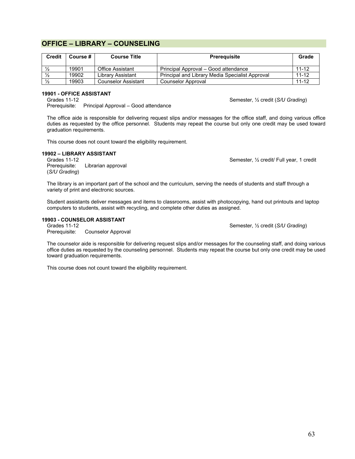### **OFFICE – LIBRARY – COUNSELING**

| <b>Credit</b> | Course # | <b>Course Title</b>        | <b>Prereguisite</b>                                    | Grade     |
|---------------|----------|----------------------------|--------------------------------------------------------|-----------|
| $\frac{1}{2}$ | 19901    | Office Assistant           | Principal Approval – Good attendance                   | $11 - 12$ |
| $\frac{1}{2}$ | 19902    | Librarv Assistant          | <b>Principal and Library Media Specialist Approval</b> | $11 - 12$ |
| $\frac{1}{2}$ | 19903    | <b>Counselor Assistant</b> | Counselor Approval                                     | $11 - 12$ |

### **19901 - OFFICE ASSISTANT**

Grades 11-12 Semester, ½ credit (*S/U Grading*) Prerequisite: Principal Approval – Good attendance

The office aide is responsible for delivering request slips and/or messages for the office staff, and doing various office duties as requested by the office personnel. Students may repeat the course but only one credit may be used toward graduation requirements.

This course does not count toward the eligibility requirement.

# **19902 – LIBRARY ASSISTANT**

Grades 11-12 Crades 11-12 Librarian approval Crades Crades Credit Semester, 1/2 credit/ Full year, 1 credit<br>Prerequisite: Librarian approval Librarian approval (*S/U Grading*)

The library is an important part of the school and the curriculum, serving the needs of students and staff through a variety of print and electronic sources.

Student assistants deliver messages and items to classrooms, assist with photocopying, hand out printouts and laptop computers to students, assist with recycling, and complete other duties as assigned.

# **19903 - COUNSELOR ASSISTANT**

Prerequisite: Counselor Approval

Semester, 1/2 credit (*S/U Grading*)

The counselor aide is responsible for delivering request slips and/or messages for the counseling staff, and doing various office duties as requested by the counseling personnel. Students may repeat the course but only one credit may be used toward graduation requirements.

This course does not count toward the eligibility requirement.